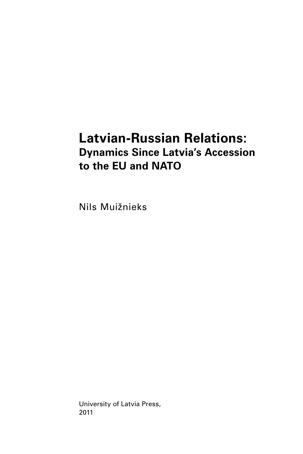# **Latvian-Russian Relations: Dynamics Since Latvia's Accession to the EU and NATO**

Nils Muižnieks

University of Latvia Press, 2011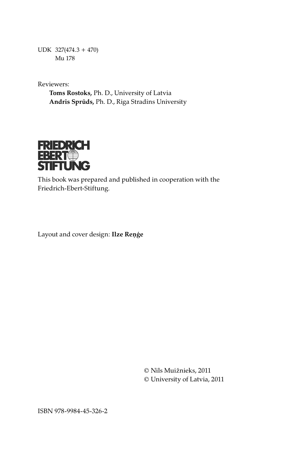UDK 327(474.3 + 470) Mu 178

Reviewers:

**Toms Rostoks,** Ph. D., University of Latvia **Andris Sprūds,** Ph. D., Riga Stradins University



This book was prepared and published in cooperation with the Friedrich-Ebert-Stiftung.

Layout and cover design: **Ilze Reņģe**

© Nils Muižnieks, 2011 © University of Latvia, 2011

ISBN 978-9984-45-326-2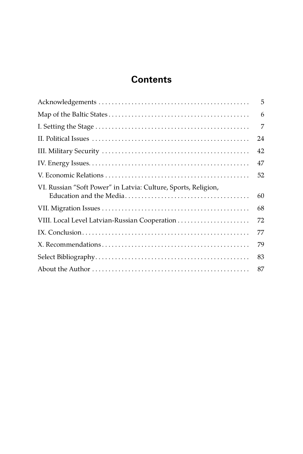# **Contents**

|                                                                | 5  |
|----------------------------------------------------------------|----|
|                                                                | 6  |
|                                                                | 7  |
|                                                                | 24 |
|                                                                | 42 |
|                                                                | 47 |
|                                                                | 52 |
| VI. Russian "Soft Power" in Latvia: Culture, Sports, Religion, | 60 |
|                                                                | 68 |
|                                                                | 72 |
|                                                                | 77 |
|                                                                | 79 |
|                                                                | 83 |
|                                                                | 87 |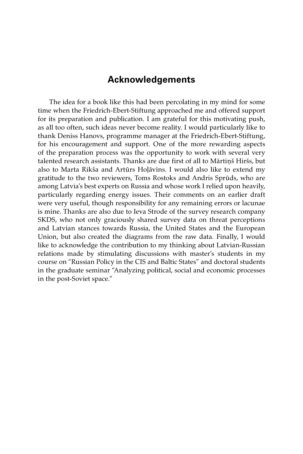# **Acknowledgements**

The idea for a book like this had been percolating in my mind for some time when the Friedrich-Ebert-Stiftung approached me and offered support for its preparation and publication. I am grateful for this motivating push, as all too often, such ideas never become reality. I would particularly like to thank Deniss Hanovs, programme manager at the Friedrich-Ebert-Stiftung, for his encouragement and support. One of the more rewarding aspects of the preparation process was the opportunity to work with several very talented research assistants. Thanks are due first of all to Mārtiņš Hiršs, but also to Marta Rikša and Artūrs Hoļāvins. I would also like to extend my gratitude to the two reviewers, Toms Rostoks and Andris Sprūds, who are among Latvia's best experts on Russia and whose work I relied upon heavily, particularly regarding energy issues. Their comments on an earlier draft were very useful, though responsibility for any remaining errors or lacunae is mine. Thanks are also due to Ieva Strode of the survey research company SKDS, who not only graciously shared survey data on threat perceptions and Latvian stances towards Russia, the United States and the European Union, but also created the diagrams from the raw data. Finally, I would like to acknowledge the contribution to my thinking about Latvian-Russian relations made by stimulating discussions with master's students in my course on "Russian Policy in the CIS and Baltic States" and doctoral students in the graduate seminar "Analyzing political, social and economic processes in the post-Soviet space."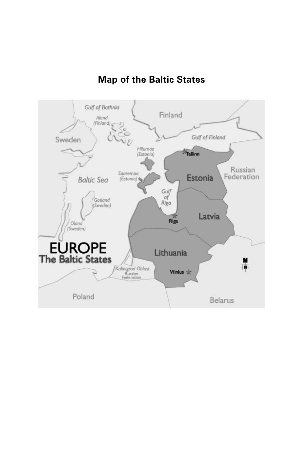

# **Map of the Baltic States**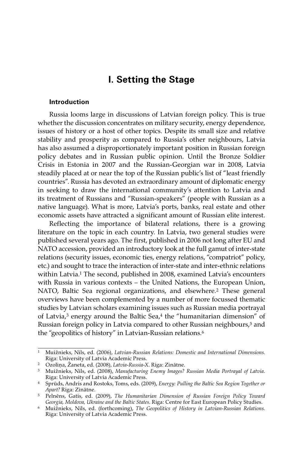# **I. Setting the Stage**

#### **Introduction**

Russia looms large in discussions of Latvian foreign policy. This is true whether the discussion concentrates on military security, energy dependence, issues of history or a host of other topics. Despite its small size and relative stability and prosperity as compared to Russia's other neighbours, Latvia has also assumed a disproportionately important position in Russian foreign policy debates and in Russian public opinion. Until the Bronze Soldier Crisis in Estonia in 2007 and the Russian-Georgian war in 2008, Latvia steadily placed at or near the top of the Russian public's list of "least friendly countries". Russia has devoted an extraordinary amount of diplomatic energy in seeking to draw the international community's attention to Latvia and its treatment of Russians and "Russian-speakers" (people with Russian as a native language). What is more, Latvia's ports, banks, real estate and other economic assets have attracted a significant amount of Russian elite interest.

Reflecting the importance of bilateral relations, there is a growing literature on the topic in each country. In Latvia, two general studies were published several years ago. The first, published in 2006 not long after EU and NATO accession, provided an introductory look at the full gamut of inter-state relations (security issues, economic ties, energy relations, "compatriot" policy, etc.) and sought to trace the interaction of inter-state and inter-ethnic relations within Latvia.<sup>1</sup> The second, published in 2008, examined Latvia's encounters with Russia in various contexts – the United Nations, the European Union, NATO, Baltic Sea regional organizations, and elsewhere.<sup>2</sup> These general overviews have been complemented by a number of more focussed thematic studies by Latvian scholars examining issues such as Russian media portrayal of Latvia,<sup>3</sup> energy around the Baltic Sea,<sup>4</sup> the "humanitarian dimension" of Russian foreign policy in Latvia compared to other Russian neighbours,<sup>5</sup> and the "geopolitics of history" in Latvian-Russian relations.6

<sup>1</sup> Muižnieks, Nils, ed. (2006), *Latvian-Russian Relations: Domestic and International Dimensions*.

<sup>&</sup>lt;sup>2</sup> Ozolina, Žaneta, ed. (2008), *Latvia-Russia-X*. Riga: Zinātne.

<sup>3</sup> Muižnieks, Nils, ed. (2008), *Manufacturing Enemy Images? Russian Media Portrayal of Latvia*.

<sup>&</sup>lt;sup>4</sup> Sprūds, Andris and Rostoks, Toms, eds. (2009), *Energy: Pulling the Baltic Sea Region Together or Apart? Riga: Zinātne.* 

<sup>&</sup>lt;sup>5</sup> Pelnēns, Gatis, ed. (2009), *The Humanitarian Dimension of Russian Foreign Policy Toward Georgia, Moldova, Ukraine and the Baltic States*. Riga: Centre for East European Policy Studies.

<sup>6</sup> Muižnieks, Nils, ed. (forthcoming), *The Geopolitics of History in Latvian-Russian Relations.*  Riga: University of Latvia Academic Press.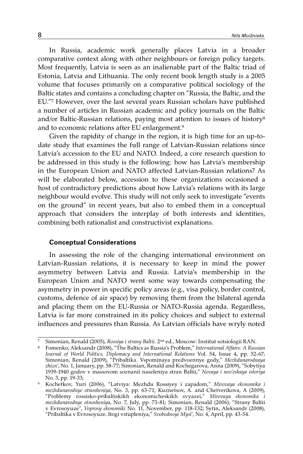In Russia, academic work generally places Latvia in a broader comparative context along with other neighbours or foreign policy targets. Most frequently, Latvia is seen as an inalienable part of the Baltic triad of Estonia, Latvia and Lithuania. The only recent book length study is a 2005 volume that focuses primarily on a comparative political sociology of the Baltic states and contains a concluding chapter on "Russia, the Baltic, and the EU."7 However, over the last several years Russian scholars have published a number of articles in Russian academic and policy journals on the Baltic and/or Baltic-Russian relations, paying most attention to issues of history<sup>8</sup> and to economic relations after EU enlargement.9

Given the rapidity of change in the region, it is high time for an up-todate study that examines the full range of Latvian-Russian relations since Latvia's accession to the EU and NATO. Indeed, a core research question to be addressed in this study is the following: how has Latvia's membership in the European Union and NATO affected Latvian-Russian relations? As will be elaborated below, accession to these organizations occasioned a host of contradictory predictions about how Latvia's relations with its large neighbour would evolve. This study will not only seek to investigate "events on the ground" in recent years, but also to embed them in a conceptual approach that considers the interplay of both interests and identities, combining both rationalist and constructivist explanations.

### **Conceptual Considerations**

In assessing the role of the changing international environment on Latvian-Russian relations, it is necessary to keep in mind the power asymmetry between Latvia and Russia. Latvia's membership in the European Union and NATO went some way towards compensating the asymmetry in power in specific policy areas (e.g., visa policy, border control, customs, defence of air space) by removing them from the bilateral agenda and placing them on the EU-Russia or NATO-Russia agenda. Regardless, Latvia is far more constrained in its policy choices and subject to external influences and pressures than Russia. As Latvian officials have wryly noted

<sup>7</sup> Simonian, Renald (2005), *Rossiya i strany Baltii*. 2nd ed., Moscow: Institut sotsiologii RAN. 8 Fomenko, Aleksandr (2008), "The Baltics as Russia's Problem," *International Affairs: A Russian Journal of World Politics, Diplomacy and International Relations* Vol. 54, Issue 4, pp. 52-67; Simonian, Renald (2009), "Pribaltika. Vspominaya predvoennye gody," *Mezhdunarodnaya zhizn'*, No. 1, January, pp. 58-77; Simonian, Renald and Kochegarova, Anna (2009), "Sobytiya 1939-1940 godov v massovom soznanii naseleniya stran Baltii," *Novaya i nov'eshaya istoriya*

No. 3, pp. 19-33; 9 Kochetkov, Yuri (2006), "Latviya: Mezhdu Rossiyey i zapadom," *Mirovaya ekonomika i mezhdunarodnye otnosheniya*, No. 3, pp. 63-71; Kuznetsov, A. and Chetverikova, A (2009), "Problemy rossisko-pribaltiskikh ekonomicheskikh svyazei," *Mirovaya ekonomika i mezhdunarodnye otnosheniya*, No. 7, July, pp. 73-81; Simonian, Renald (2006), "Strany Baltii v Evrosoyuze", *Voprosy ekonomiki* No. 11, November, pp. 118-132; Sytin, Aleksandr (2008), "Pribaltika v Evrosoyuze. Itogi vstupleniya," *Svobodnoye Mysl',* No. 4, April, pp. 43-54.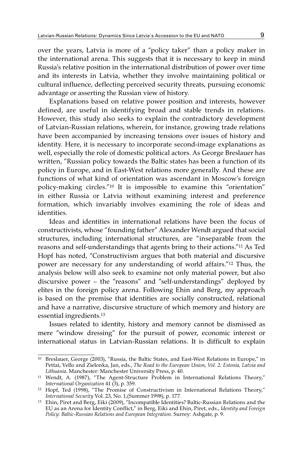over the years, Latvia is more of a "policy taker" than a policy maker in the international arena. This suggests that it is necessary to keep in mind Russia's relative position in the international distribution of power over time and its interests in Latvia, whether they involve maintaining political or cultural influence, deflecting perceived security threats, pursuing economic advantage or asserting the Russian view of history.

Explanations based on relative power position and interests, however defined, are useful in identifying broad and stable trends in relations. However, this study also seeks to explain the contradictory development of Latvian-Russian relations, wherein, for instance, growing trade relations have been accompanied by increasing tensions over issues of history and identity. Here, it is necessary to incorporate second-image explanations as well, especially the role of domestic political actors. As George Breslauer has written, "Russian policy towards the Baltic states has been a function of its policy in Europe, and in East-West relations more generally. And these are functions of what kind of orientation was ascendant in Moscow's foreign policy-making circles."10 It is impossible to examine this "orientation" in either Russia or Latvia without examining interest and preference formation, which invariably involves examining the role of ideas and identities.

Ideas and identities in international relations have been the focus of constructivists, whose "founding father" Alexander Wendt argued that social structures, including international structures, are "inseparable from the reasons and self-understandings that agents bring to their actions."11 As Ted Hopf has noted, "Constructivism argues that both material and discursive power are necessary for any understanding of world affairs."12 Thus, the analysis below will also seek to examine not only material power, but also discursive power – the "reasons" and "self-understandings" deployed by elites in the foreign policy arena. Following Ehin and Berg, my approach is based on the premise that identities are socially constructed, relational and have a narrative, discursive structure of which memory and history are essential ingredients.13

Issues related to identity, history and memory cannot be dismissed as mere "window dressing" for the pursuit of power, economic interest or international status in Latvian-Russian relations. It is difficult to explain

<sup>10</sup> Breslauer, George (2003), "Russia, the Baltic States, and East-West Relations in Europe," in Pettai, Vello and Zielonka, Jan, eds., *The Road to the European Union, Vol. 2: Estonia, Latvia and* 

*Lithuania*. Manchester: Manchester University Press, p. 40. 11 Wendt, A. (1987), "The Agent-Structure Problem in International Relations Theory," *International Organization* 41 (3), p. 359.

 $^{12}$  Hopf, Ted (1998), "The Promise of Constructivism in International Relations Theory," *International Security* Vol. 23, No. 1,(Summer 1998), p. 177.

<sup>13</sup> Ehin, Piret and Berg, Eiki (2009), "Incompatible Identities? Baltic-Russian Relations and the EU as an Arena for Identity Conflict," in Berg, Eiki and Ehin, Piret, eds., *Identity and Foreign Policy: Baltic-Russian Relations and European Integration*. Surrey: Ashgate, p. 9.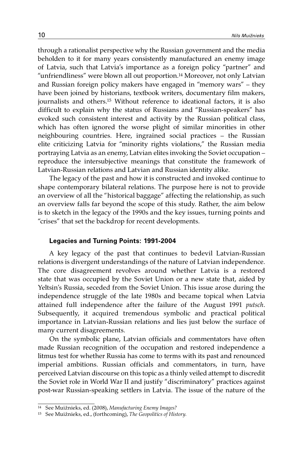through a rationalist perspective why the Russian government and the media beholden to it for many years consistently manufactured an enemy image of Latvia, such that Latvia's importance as a foreign policy "partner" and "unfriendliness" were blown all out proportion.14 Moreover, not only Latvian and Russian foreign policy makers have engaged in "memory wars" – they have been joined by historians, textbook writers, documentary film makers, journalists and others.15 Without reference to ideational factors, it is also difficult to explain why the status of Russians and "Russian-speakers" has evoked such consistent interest and activity by the Russian political class, which has often ignored the worse plight of similar minorities in other neighbouring countries. Here, ingrained social practices – the Russian elite criticizing Latvia for "minority rights violations," the Russian media portraying Latvia as an enemy, Latvian elites invoking the Soviet occupation – reproduce the intersubjective meanings that constitute the framework of Latvian-Russian relations and Latvian and Russian identity alike.

The legacy of the past and how it is constructed and invoked continue to shape contemporary bilateral relations. The purpose here is not to provide an overview of all the "historical baggage" affecting the relationship, as such an overview falls far beyond the scope of this study. Rather, the aim below is to sketch in the legacy of the 1990s and the key issues, turning points and "crises" that set the backdrop for recent developments.

### **Legacies and Turning Points: 1991-2004**

A key legacy of the past that continues to bedevil Latvian-Russian relations is divergent understandings of the nature of Latvian independence. The core disagreement revolves around whether Latvia is a restored state that was occupied by the Soviet Union or a new state that, aided by Yeltsin's Russia, seceded from the Soviet Union. This issue arose during the independence struggle of the late 1980s and became topical when Latvia attained full independence after the failure of the August 1991 *putsch*. Subsequently, it acquired tremendous symbolic and practical political importance in Latvian-Russian relations and lies just below the surface of many current disagreements.

On the symbolic plane, Latvian officials and commentators have often made Russian recognition of the occupation and restored independence a litmus test for whether Russia has come to terms with its past and renounced imperial ambitions. Russian officials and commentators, in turn, have perceived Latvian discourse on this topic as a thinly veiled attempt to discredit the Soviet role in World War II and justify "discriminatory" practices against post-war Russian-speaking settlers in Latvia. The issue of the nature of the

<sup>14</sup> See Muižnieks, ed. (2008), *Manufacturing Enemy Images?* 

<sup>15</sup> See Muižnieks, ed., (forthcoming), *The Geopolitics of History*.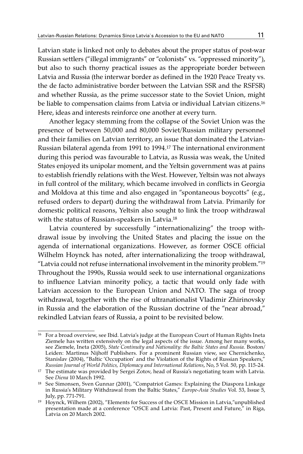Latvian state is linked not only to debates about the proper status of post-war Russian settlers ("illegal immigrants" or "colonists" vs. "oppressed minority"), but also to such thorny practical issues as the appropriate border between Latvia and Russia (the interwar border as defined in the 1920 Peace Treaty vs. the de facto administrative border between the Latvian SSR and the RSFSR) and whether Russia, as the prime successor state to the Soviet Union, might be liable to compensation claims from Latvia or individual Latvian citizens.<sup>16</sup> Here, ideas and interests reinforce one another at every turn.

Another legacy stemming from the collapse of the Soviet Union was the presence of between 50,000 and 80,000 Soviet/Russian military personnel and their families on Latvian territory, an issue that dominated the Latvian-Russian bilateral agenda from 1991 to 1994.17 The international environment during this period was favourable to Latvia, as Russia was weak, the United States enjoyed its unipolar moment, and the Yeltsin government was at pains to establish friendly relations with the West. However, Yeltsin was not always in full control of the military, which became involved in conflicts in Georgia and Moldova at this time and also engaged in "spontaneous boycotts" (e.g., refused orders to depart) during the withdrawal from Latvia. Primarily for domestic political reasons, Yeltsin also sought to link the troop withdrawal with the status of Russian-speakers in Latvia.18

Latvia countered by successfully "internationalizing" the troop withdrawal issue by involving the United States and placing the issue on the agenda of international organizations. However, as former OSCE official Wilhelm Hoynck has noted, after internationalizing the troop withdrawal, "Latvia could not refuse international involvement in the minority problem."19 Throughout the 1990s, Russia would seek to use international organizations to influence Latvian minority policy, a tactic that would only fade with Latvian accession to the European Union and NATO. The saga of troop withdrawal, together with the rise of ultranationalist Vladimir Zhirinovsky in Russia and the elaboration of the Russian doctrine of the "near abroad," rekindled Latvian fears of Russia, a point to be revisited below.

<sup>&</sup>lt;sup>16</sup> For a broad overview, see Ibid. Latvia's judge at the European Court of Human Rights Ineta Ziemele has written extensively on the legal aspects of the issue. Among her many works, see Ziemele, Ineta (2005), *State Continuity and Nationality: the Baltic States and Russia.* Boston/ Leiden: Martinus Nijhoff Publishers. For a prominent Russian view, see Chernichenko, Stanislav (2004), "Baltic 'Occupation' and the Violation of the Rights of Russian Speakers,"<br>Russian Journal of World Politics, Diplomacy and International Relations, No, 5 Vol. 50, pp. 115-24.

<sup>&</sup>lt;sup>17</sup> The estimate was provided by Sergei Zotov, head of Russia's negotiating team with Latvia. See *Diena* 10 March 1992.

<sup>&</sup>lt;sup>18</sup> See Simonsen, Sven Gunnar (2001), "Compatriot Games: Explaining the Diaspora Linkage in Russia's Military Withdrawal from the Baltic States," *Europe-Asia Studies* Vol. 53, Issue 5,

July, pp. 771-791. 19 Hoynck, Wilhem (2002), "Elements for Success of the OSCE Mission in Latvia,"unpublished presentation made at a conference "OSCE and Latvia: Past, Present and Future," in Riga, Latvia on 20 March 2002.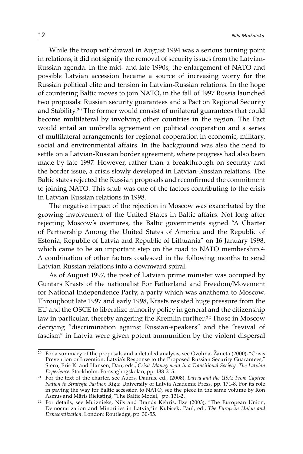While the troop withdrawal in August 1994 was a serious turning point in relations, it did not signify the removal of security issues from the Latvian-Russian agenda. In the mid- and late 1990s, the enlargement of NATO and possible Latvian accession became a source of increasing worry for the Russian political elite and tension in Latvian-Russian relations. In the hope of countering Baltic moves to join NATO, in the fall of 1997 Russia launched two proposals: Russian security guarantees and a Pact on Regional Security and Stability.20 The former would consist of unilateral guarantees that could become multilateral by involving other countries in the region. The Pact would entail an umbrella agreement on political cooperation and a series of multilateral arrangements for regional cooperation in economic, military, social and environmental affairs. In the background was also the need to settle on a Latvian-Russian border agreement, where progress had also been made by late 1997. However, rather than a breakthrough on security and the border issue, a crisis slowly developed in Latvian-Russian relations. The Baltic states rejected the Russian proposals and reconfirmed the commitment to joining NATO. This snub was one of the factors contributing to the crisis in Latvian-Russian relations in 1998.

The negative impact of the rejection in Moscow was exacerbated by the growing involvement of the United States in Baltic affairs. Not long after rejecting Moscow's overtures, the Baltic governments signed "A Charter of Partnership Among the United States of America and the Republic of Estonia, Republic of Latvia and Republic of Lithuania" on 16 January 1998, which came to be an important step on the road to NATO membership.<sup>21</sup> A combination of other factors coalesced in the following months to send Latvian-Russian relations into a downward spiral.

As of August 1997, the post of Latvian prime minister was occupied by Guntars Krasts of the nationalist For Fatherland and Freedom/Movement for National Independence Party, a party which was anathema to Moscow. Throughout late 1997 and early 1998, Krasts resisted huge pressure from the EU and the OSCE to liberalize minority policy in general and the citizenship law in particular, thereby angering the Kremlin further.<sup>22</sup> Those in Moscow decrying "discrimination against Russian-speakers" and the "revival of fascism" in Latvia were given potent ammunition by the violent dispersal

<sup>&</sup>lt;sup>20</sup> For a summary of the proposals and a detailed analysis, see Ozolina, Žaneta (2000), "Crisis Prevention or Invention: Latvia's Response to the Proposed Russian Security Guarantees," Stern, Eric K. and Hansen, Dan, eds., *Crisis Management in a Transitional Society: The Latvian*<br>Experience. Stockholm: Forsvaghogskolan, pp. 188-215.

<sup>&</sup>lt;sup>21</sup> For the text of the charter, see Auers, Daunis, ed., (2008), *Latvia and the USA: From Captive Nation to Strategic Partner*. Riga: University of Latvia Academic Press, pp. 171-8. For its role in paving the way for Baltic accession to NATO, see the piece in the same volume by Ron Asmus and Māris Riekstiņš, "The Baltic Model," pp. 131-2.

 $22$  For details, see Muiznieks, Nils and Brands Kehris, Ilze (2003), "The European Union, Democratization and Minorities in Latvia,"in Kubicek, Paul, ed., *The European Union and Democratization*. London: Routledge, pp. 30-55.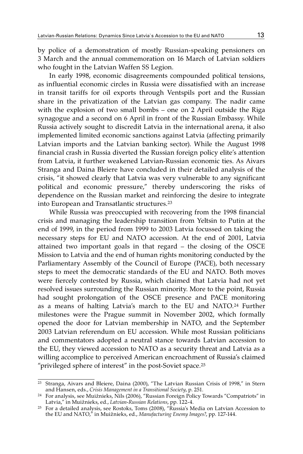by police of a demonstration of mostly Russian-speaking pensioners on 3 March and the annual commemoration on 16 March of Latvian soldiers who fought in the Latvian Waffen SS Legion.

In early 1998, economic disagreements compounded political tensions, as influential economic circles in Russia were dissatisfied with an increase in transit tariffs for oil exports through Ventspils port and the Russian share in the privatization of the Latvian gas company. The nadir came with the explosion of two small bombs – one on 2 April outside the Riga synagogue and a second on 6 April in front of the Russian Embassy. While Russia actively sought to discredit Latvia in the international arena, it also implemented limited economic sanctions against Latvia (affecting primarily Latvian imports and the Latvian banking sector). While the August 1998 financial crash in Russia diverted the Russian foreign policy elite's attention from Latvia, it further weakened Latvian-Russian economic ties. As Aivars Stranga and Daina Bleiere have concluded in their detailed analysis of the crisis, "it showed clearly that Latvia was very vulnerable to any significant political and economic pressure," thereby underscoring the risks of dependence on the Russian market and reinforcing the desire to integrate into European and Transatlantic structures.23

While Russia was preoccupied with recovering from the 1998 financial crisis and managing the leadership transition from Yeltsin to Putin at the end of 1999, in the period from 1999 to 2003 Latvia focussed on taking the necessary steps for EU and NATO accession. At the end of 2001, Latvia attained two important goals in that regard – the closing of the OSCE Mission to Latvia and the end of human rights monitoring conducted by the Parliamentary Assembly of the Council of Europe (PACE), both necessary steps to meet the democratic standards of the EU and NATO. Both moves were fiercely contested by Russia, which claimed that Latvia had not yet resolved issues surrounding the Russian minority. More to the point, Russia had sought prolongation of the OSCE presence and PACE monitoring as a means of halting Latvia's march to the EU and NATO.24 Further milestones were the Prague summit in November 2002, which formally opened the door for Latvian membership in NATO, and the September 2003 Latvian referendum on EU accession. While most Russian politicians and commentators adopted a neutral stance towards Latvian accession to the EU, they viewed accession to NATO as a security threat and Latvia as a willing accomplice to perceived American encroachment of Russia's claimed "privileged sphere of interest" in the post-Soviet space.25

<sup>&</sup>lt;sup>23</sup> Stranga, Aivars and Bleiere, Daina (2000), "The Latvian Russian Crisis of 1998," in Stern and Hansen, eds., Crisis Management in a Transitional Society, p. 251.

and Hansen, eds., *Crisis Management in a Transitional Society*, p. 251. 24 For analysis, see Muižnieks, Nils (2006), "Russian Foreign Policy Towards "Compatriots" in

Latvia," in Muižnieks, ed., *Latvian-Russian Relations*, pp. 122-4. 25 For a detailed analysis, see Rostoks, Toms (2008), "Russia's Media on Latvian Accession to the EU and NATO," in Muižnieks, ed., *Manufacturing Enemy Images?*, pp. 127-144.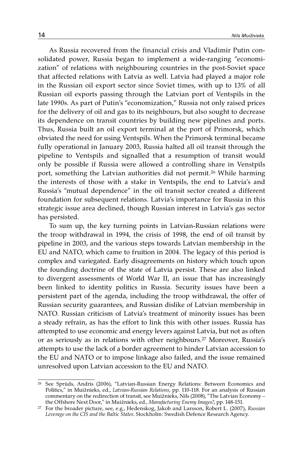As Russia recovered from the financial crisis and Vladimir Putin consolidated power, Russia began to implement a wide-ranging "economization" of relations with neighbouring countries in the post-Soviet space that affected relations with Latvia as well. Latvia had played a major role in the Russian oil export sector since Soviet times, with up to 13% of all Russian oil exports passing through the Latvian port of Ventspils in the late 1990s. As part of Putin's "economization," Russia not only raised prices for the delivery of oil and gas to its neighbours, but also sought to decrease its dependence on transit countries by building new pipelines and ports. Thus, Russia built an oil export terminal at the port of Primorsk, which obviated the need for using Ventspils. When the Primorsk terminal became fully operational in January 2003, Russia halted all oil transit through the pipeline to Ventspils and signalled that a resumption of transit would only be possible if Russia were allowed a controlling share in Venstpils port, something the Latvian authorities did not permit.<sup>26</sup> While harming the interests of those with a stake in Ventspils, the end to Latvia's and Russia's "mutual dependence" in the oil transit sector created a different foundation for subsequent relations. Latvia's importance for Russia in this strategic issue area declined, though Russian interest in Latvia's gas sector has persisted.

To sum up, the key turning points in Latvian-Russian relations were the troop withdrawal in 1994, the crisis of 1998, the end of oil transit by pipeline in 2003, and the various steps towards Latvian membership in the EU and NATO, which came to fruition in 2004. The legacy of this period is complex and variegated. Early disagreements on history which touch upon the founding doctrine of the state of Latvia persist. These are also linked to divergent assessments of World War II, an issue that has increasingly been linked to identity politics in Russia. Security issues have been a persistent part of the agenda, including the troop withdrawal, the offer of Russian security guarantees, and Russian dislike of Latvian membership in NATO. Russian criticism of Latvia's treatment of minority issues has been a steady refrain, as has the effort to link this with other issues. Russia has attempted to use economic and energy levers against Latvia, but not as often or as seriously as in relations with other neighbours.27 Moreover, Russia's attempts to use the lack of a border agreement to hinder Latvian accession to the EU and NATO or to impose linkage also failed, and the issue remained unresolved upon Latvian accession to the EU and NATO.

<sup>26</sup> See Sprūds, Andris (2006), "Latvian-Russian Energy Relations: Between Economics and Politics," in Muižnieks, ed., *Latvian-Russian Relations*, pp. 110-118. For an analysis of Russian commentary on the redirection of transit, see Muižnieks, Nils (2008), "The Latvian Economy –

the Offshore Next Door," in Muižnieks, ed., *Manufacturing Enemy Images?*, pp. 148-151. 27 For the broader picture, see, e.g., Hedenskog, Jakob and Larsson, Robert L. (2007), *Russian Leverage on the CIS and the Baltic States*. Stockholm: Swedish Defence Research Agency.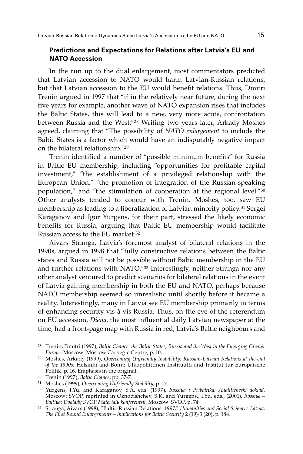## **Predictions and Expectations for Relations after Latvia's EU and NATO Accession**

In the run up to the dual enlargement, most commentators predicted that Latvian accession to NATO would harm Latvian-Russian relations, but that Latvian accession to the EU would benefit relations. Thus, Dmitri Trenin argued in 1997 that "if in the relatively near future, during the next five years for example, another wave of NATO expansion rises that includes the Baltic States, this will lead to a new, very more acute, confrontation between Russia and the West."28 Writing two years later, Arkady Moshes agreed, claiming that "The possibility of *NATO enlargement* to include the Baltic States is a factor which would have an indisputably negative impact on the bilateral relationship."29

Trenin identified a number of "possible minimum benefits" for Russia in Baltic EU membership, including "opportunities for profitable capital investment," "the establishment of a privileged relationship with the European Union," "the promotion of integration of the Russian-speaking population," and "the stimulation of cooperation at the regional level."30 Other analysts tended to concur with Trenin. Moshes, too, saw EU membership as leading to a liberalization of Latvian minority policy.31 Sergei Karaganov and Igor Yurgens, for their part, stressed the likely economic benefits for Russia, arguing that Baltic EU membership would facilitate Russian access to the EU market.32

Aivars Stranga, Latvia's foremost analyst of bilateral relations in the 1990s, argued in 1998 that "fully constructive relations between the Baltic states and Russia will not be possible without Baltic membership in the EU and further relations with NATO."33 Interestingly, neither Stranga nor any other analyst ventured to predict scenarios for bilateral relations in the event of Latvia gaining membership in both the EU and NATO, perhaps because NATO membership seemed so unrealistic until shortly before it became a reality. Interestingly, many in Latvia see EU membership primarily in terms of enhancing security vis-à-vis Russia. Thus, on the eve of the referendum on EU accession, *Diena*, the most influential daily Latvian newspaper at the time, had a front-page map with Russia in red, Latvia's Baltic neighbours and

<sup>28</sup> Trenin, Dmitri (1997), *Baltic Chance: the Baltic States, Russia and the West in the Emerging Greater* 

<sup>&</sup>lt;sup>29</sup> Moshes, Arkady (1999), *Overcoming Unfriendly Instability: Russian-Latvian Relations at the end of the 1990s*. Helsinki and Bonn: Ulkopoliittinen Instituutti and Institut fur Europaische Politik, p. 16. Emphasis in the original.<br><sup>30</sup> Trenin (1997), *Baltic Chance*, pp. 37-7.

<sup>&</sup>lt;sup>30</sup> Trenin (1997), *Baltic Chance,* pp. 37-7.<br><sup>31</sup> Moshes (1999), *Overcoming Unfriendly Stability,* p. 17.<br><sup>32</sup> Yurgens, I.Yu. and Karaganov, S.A. eds. (1997), *Rossiya i Pribaltika: Analiticheski doklad.* Moscow: SVOP, reprinted in Oznobishchev, S.K. and Yurgens,, I.Yu. eds., (2001), *Rossiya – Baltiya: Doklady SVOP Materialy konferentsii,* Moscow: SVOP, p. 74. 33 Stranga, Aivars (1998), "Baltic-Russian Relations: 1997," *Humanities and Social Sciences Latvia,* 

*The First Round Enlargements – Implications for Baltic Security* 2 (19)/3 (20), p. 184.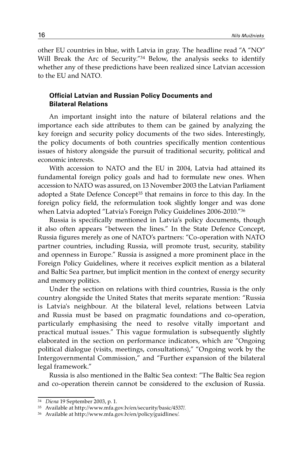other EU countries in blue, with Latvia in gray. The headline read "A "NO" Will Break the Arc of Security."<sup>34</sup> Below, the analysis seeks to identify whether any of these predictions have been realized since Latvian accession to the EU and NATO.

# **Official Latvian and Russian Policy Documents and Bilateral Relations**

An important insight into the nature of bilateral relations and the importance each side attributes to them can be gained by analyzing the key foreign and security policy documents of the two sides. Interestingly, the policy documents of both countries specifically mention contentious issues of history alongside the pursuit of traditional security, political and economic interests.

With accession to NATO and the EU in 2004, Latvia had attained its fundamental foreign policy goals and had to formulate new ones. When accession to NATO was assured, on 13 November 2003 the Latvian Parliament adopted a State Defence Concept<sup>35</sup> that remains in force to this day. In the foreign policy field, the reformulation took slightly longer and was done when Latvia adopted "Latvia's Foreign Policy Guidelines 2006-2010."36

Russia is specifically mentioned in Latvia's policy documents, though it also often appears "between the lines." In the State Defence Concept, Russia figures merely as one of NATO's partners: "Co-operation with NATO partner countries, including Russia, will promote trust, security, stability and openness in Europe." Russia is assigned a more prominent place in the Foreign Policy Guidelines, where it receives explicit mention as a bilateral and Baltic Sea partner, but implicit mention in the context of energy security and memory politics.

Under the section on relations with third countries, Russia is the only country alongside the United States that merits separate mention: "Russia is Latvia's neighbour. At the bilateral level, relations between Latvia and Russia must be based on pragmatic foundations and co-operation, particularly emphasising the need to resolve vitally important and practical mutual issues." This vague formulation is subsequently slightly elaborated in the section on performance indicators, which are "Ongoing political dialogue (visits, meetings, consultations)," "Ongoing work by the Intergovernmental Commission," and "Further expansion of the bilateral legal framework."

Russia is also mentioned in the Baltic Sea context: "The Baltic Sea region and co-operation therein cannot be considered to the exclusion of Russia.

<sup>34</sup>*Diena* 19 September 2003, p. 1.

 $36$  Available at http://www.mfa.gov.lv/en/policy/guidlines/.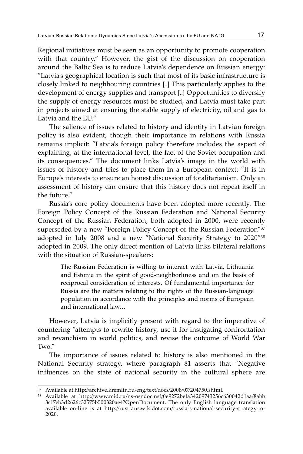Regional initiatives must be seen as an opportunity to promote cooperation with that country." However, the gist of the discussion on cooperation around the Baltic Sea is to reduce Latvia's dependence on Russian energy: "Latvia's geographical location is such that most of its basic infrastructure is closely linked to neighbouring countries [..] This particularly applies to the development of energy supplies and transport [..] Opportunities to diversify the supply of energy resources must be studied, and Latvia must take part in projects aimed at ensuring the stable supply of electricity, oil and gas to Latvia and the EU."

The salience of issues related to history and identity in Latvian foreign policy is also evident, though their importance in relations with Russia remains implicit: "Latvia's foreign policy therefore includes the aspect of explaining, at the international level, the fact of the Soviet occupation and its consequences." The document links Latvia's image in the world with issues of history and tries to place them in a European context: "It is in Europe's interests to ensure an honest discussion of totalitarianism. Only an assessment of history can ensure that this history does not repeat itself in the future."

Russia's core policy documents have been adopted more recently. The Foreign Policy Concept of the Russian Federation and National Security Concept of the Russian Federation, both adopted in 2000, were recently superseded by a new "Foreign Policy Concept of the Russian Federation"<sup>37</sup> adopted in July 2008 and a new "National Security Strategy to 2020"38 adopted in 2009. The only direct mention of Latvia links bilateral relations with the situation of Russian-speakers:

> The Russian Federation is willing to interact with Latvia, Lithuania and Estonia in the spirit of good-neighborliness and on the basis of reciprocal consideration of interests. Of fundamental importance for Russia are the matters relating to the rights of the Russian-language population in accordance with the principles and norms of European and international law…

However, Latvia is implicitly present with regard to the imperative of countering "attempts to rewrite history, use it for instigating confrontation and revanchism in world politics, and revise the outcome of World War Two."

The importance of issues related to history is also mentioned in the National Security strategy, where paragraph 81 asserts that "Negative influences on the state of national security in the cultural sphere are

<sup>37</sup> Available at http://archive.kremlin.ru/eng/text/docs/2008/07/204750.shtml.

<sup>38</sup> Available at http://www.mid.ru/ns-osndoc.nsf/0e9272befa34209743256c630042d1aa/8abb 3c17eb3d2626c32575b500320ae4?OpenDocument. The only English language translation available on-line is at http://rustrans.wikidot.com/russia-s-national-security-strategy-to-2020.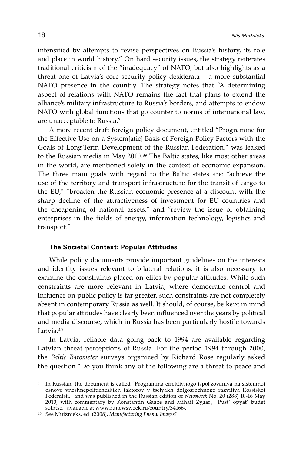intensified by attempts to revise perspectives on Russia's history, its role and place in world history." On hard security issues, the strategy reiterates traditional criticism of the "inadequacy" of NATO, but also highlights as a threat one of Latvia's core security policy desiderata – a more substantial NATO presence in the country. The strategy notes that "A determining aspect of relations with NATO remains the fact that plans to extend the alliance's military infrastructure to Russia's borders, and attempts to endow NATO with global functions that go counter to norms of international law, are unacceptable to Russia."

A more recent draft foreign policy document, entitled "Programme for the Effective Use on a System[atic] Basis of Foreign Policy Factors with the Goals of Long-Term Development of the Russian Federation," was leaked to the Russian media in May 2010.39 The Baltic states, like most other areas in the world, are mentioned solely in the context of economic expansion. The three main goals with regard to the Baltic states are: "achieve the use of the territory and transport infrastructure for the transit of cargo to the EU," "broaden the Russian economic presence at a discount with the sharp decline of the attractiveness of investment for EU countries and the cheapening of national assets," and "review the issue of obtaining enterprises in the fields of energy, information technology, logistics and transport."

#### **The Societal Context: Popular Attitudes**

While policy documents provide important guidelines on the interests and identity issues relevant to bilateral relations, it is also necessary to examine the constraints placed on elites by popular attitudes. While such constraints are more relevant in Latvia, where democratic control and influence on public policy is far greater, such constraints are not completely absent in contemporary Russia as well. It should, of course, be kept in mind that popular attitudes have clearly been influenced over the years by political and media discourse, which in Russia has been particularly hostile towards Latvia.40

In Latvia, reliable data going back to 1994 are available regarding Latvian threat perceptions of Russia. For the period 1994 through 2000, the *Baltic Barometer* surveys organized by Richard Rose regularly asked the question "Do you think any of the following are a threat to peace and

<sup>39</sup> In Russian, the document is called "Programma effektivnogo ispol'zovaniya na sistemnoi osnove vneshnepoliticheskikh faktorov v tselyakh dolgosrochnogo razvitiya Rossiskoi Federatsii," and was published in the Russian edition of *Newsweek* No. 20 (288) 10-16 May 2010, with commentary by Konstantin Gaaze and Mihail Zygar', "Pust' opyat' budet solntse," available at www.runewsweek.ru/country/34166/.

<sup>&</sup>lt;sup>40</sup> See Muižnieks, ed. (2008), *Manufacturing Enemy Images?*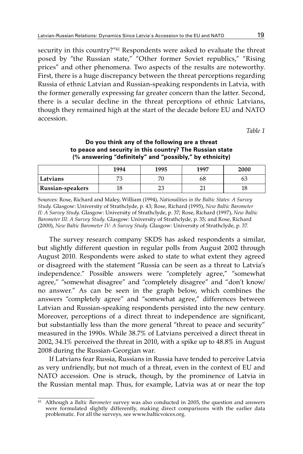security in this country?"<sup>41</sup> Respondents were asked to evaluate the threat posed by "the Russian state," "Other former Soviet republics," "Rising prices" and other phenomena. Two aspects of the results are noteworthy. First, there is a huge discrepancy between the threat perceptions regarding Russia of ethnic Latvian and Russian-speaking respondents in Latvia, with the former generally expressing far greater concern than the latter. Second, there is a secular decline in the threat perceptions of ethnic Latvians, though they remained high at the start of the decade before EU and NATO accession.

*Table 1*

#### **Do you think any of the following are a threat to peace and security in this country? The Russian state (% answering "definitely" and "possibly," by ethnicity)**

|                    | 1994 | 1995    | 1997 | 2000 |
|--------------------|------|---------|------|------|
| Latvians           | −    | 71      | 68   | OJ   |
| ' Russian-speakers | 18   | ົ<br>∠ມ | ↵    | 10   |

Sources: Rose, Richard and Maley, William (1994), *Nationalities in the Baltic States: A Survey Study*. Glasgow: University of Strathclyde, p. 43; Rose, Richard (1995), *New Baltic Barometer II: A Survey Study*. Glasgow: University of Strathclyde, p. 37; Rose, Richard (1997), *New Baltic Barometer III: A Survey Study*. Glasgow: University of Strathclyde, p. 35; and Rose, Richard (2000), *New Baltic Barometer IV: A Survey Study*. Glasgow: University of Strathclyde, p. 37.

The survey research company SKDS has asked respondents a similar, but slightly different question in regular polls from August 2002 through August 2010. Respondents were asked to state to what extent they agreed or disagreed with the statement "Russia can be seen as a threat to Latvia's independence." Possible answers were "completely agree," "somewhat agree," "somewhat disagree" and "completely disagree" and "don't know/ no answer." As can be seen in the graph below, which combines the answers "completely agree" and "somewhat agree," differences between Latvian and Russian-speaking respondents persisted into the new century. Moreover, perceptions of a direct threat to independence are significant, but substantially less than the more general "threat to peace and security" measured in the 1990s. While 38.7% of Latvians perceived a direct threat in 2002, 34.1% perceived the threat in 2010, with a spike up to 48.8% in August 2008 during the Russian-Georgian war.

If Latvians fear Russia, Russians in Russia have tended to perceive Latvia as very unfriendly, but not much of a threat, even in the context of EU and NATO accession. One is struck, though, by the prominence of Latvia in the Russian mental map. Thus, for example, Latvia was at or near the top

<sup>41</sup> Although a *Baltic Barometer* survey was also conducted in 2005, the question and answers were formulated slightly differently, making direct comparisons with the earlier data problematic. For all the surveys, see www.balticvoices.org.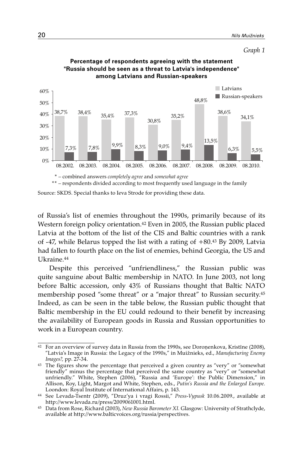

#### **Percentage of respondents agreeing with the statement "Russia should be seen as a threat to Latvia's independence" among Latvians and Russian-speakers**

\*\* – respondents divided according to most frequently used language in the family

Source: SKDS. Special thanks to Ieva Strode for providing these data.

of Russia's list of enemies throughout the 1990s, primarily because of its Western foreign policy orientation.42 Even in 2005, the Russian public placed Latvia at the bottom of the list of the CIS and Baltic countries with a rank of -47, while Belarus topped the list with a rating of +80.43 By 2009, Latvia had fallen to fourth place on the list of enemies, behind Georgia, the US and Ukraine.44

Despite this perceived "unfriendliness," the Russian public was quite sanguine about Baltic membership in NATO. In June 2003, not long before Baltic accession, only 43% of Russians thought that Baltic NATO membership posed "some threat" or a "major threat" to Russian security.45 Indeed, as can be seen in the table below, the Russian public thought that Baltic membership in the EU could redound to their benefit by increasing the availability of European goods in Russia and Russian opportunities to work in a European country.

<sup>42</sup> For an overview of survey data in Russia from the 1990s, see Doroņenkova, Kristīne (2008), "Latvia's Image in Russia: the Legacy of the 1990s," in Muižnieks, ed., *Manufacturing Enemy Images?,* pp. 27-34.

<sup>&</sup>lt;sup>43</sup> The figures show the percentage that perceived a given country as "very" or "somewhat friendly" minus the percentage that perceived the same country as "very" or "somewhat unfriendly." White, Stephen (2006), "Russia and 'Europe': the Public Dimension," in Allison, Roy, Light, Margot and White, Stephen, eds., *Putin's Russia and the Enlarged Europe*. Loondon: Royal Institute of International Affairs, p. 143.

<sup>44</sup> See Levada-Tsentr (2009), "Druz'ya i vragi Rossii," *Press-Vypusk* 10.06.2009., available at

<sup>&</sup>lt;sup>45</sup> Data from Rose, Richard (2003), *New Russia Barometer XI*. Glasgow: University of Strathclyde, available at http://www.balticvoices.org/russia/perspectives.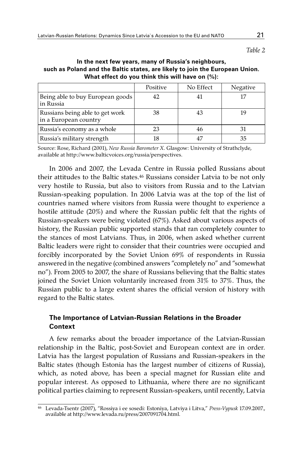*Table 2*

## **In the next few years, many of Russia's neighbours, such as Poland and the Baltic states, are likely to join the European Union. What effect do you think this will have on (%):**

|                                                          | Positive | No Effect | Negative |
|----------------------------------------------------------|----------|-----------|----------|
| Being able to buy European goods<br>in Russia            |          |           |          |
| Russians being able to get work<br>in a European country | 38       |           |          |
| Russia's economy as a whole                              | 23       |           |          |
| Russia's military strength                               |          |           | 35       |

Source: Rose, Richard (2001), *New Russia Barometer X*. Glasgow: University of Strathclyde, available at http://www.balticvoices.org/russia/perspectives.

In 2006 and 2007, the Levada Centre in Russia polled Russians about their attitudes to the Baltic states.46 Russians consider Latvia to be not only very hostile to Russia, but also to visitors from Russia and to the Latvian Russian-speaking population. In 2006 Latvia was at the top of the list of countries named where visitors from Russia were thought to experience a hostile attitude (20%) and where the Russian public felt that the rights of Russian-speakers were being violated (67%). Asked about various aspects of history, the Russian public supported stands that ran completely counter to the stances of most Latvians. Thus, in 2006, when asked whether current Baltic leaders were right to consider that their countries were occupied and forcibly incorporated by the Soviet Union 69% of respondents in Russia answered in the negative (combined answers "completely no" and "somewhat no"). From 2005 to 2007, the share of Russians believing that the Baltic states joined the Soviet Union voluntarily increased from 31% to 37%. Thus, the Russian public to a large extent shares the official version of history with regard to the Baltic states.

# **The Importance of Latvian-Russian Relations in the Broader Context**

A few remarks about the broader importance of the Latvian-Russian relationship in the Baltic, post-Soviet and European context are in order. Latvia has the largest population of Russians and Russian-speakers in the Baltic states (though Estonia has the largest number of citizens of Russia), which, as noted above, has been a special magnet for Russian elite and popular interest. As opposed to Lithuania, where there are no significant political parties claiming to represent Russian-speakers, until recently, Latvia

<sup>46</sup> Levada-Tsentr (2007), "Rossiya i ee sosedi: Estoniya, Latviya i Litva," *Press-Vypusk* 17.09.2007., available at http://www.levada.ru/press/2007091704.html.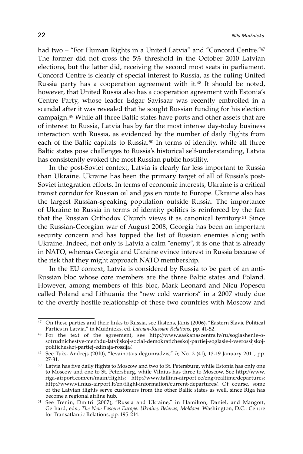had two – "For Human Rights in a United Latvia" and "Concord Centre."<sup>47</sup> The former did not cross the 5% threshold in the October 2010 Latvian elections, but the latter did, receiving the second most seats in parliament. Concord Centre is clearly of special interest to Russia, as the ruling United Russia party has a cooperation agreement with it.<sup>48</sup> It should be noted, however, that United Russia also has a cooperation agreement with Estonia's Centre Party, whose leader Edgar Savisaar was recently embroiled in a scandal after it was revealed that he sought Russian funding for his election campaign.49 While all three Baltic states have ports and other assets that are of interest to Russia, Latvia has by far the most intense day-today business interaction with Russia, as evidenced by the number of daily flights from each of the Baltic capitals to Russia.<sup>50</sup> In terms of identity, while all three Baltic states pose challenges to Russia's historical self-understanding, Latvia has consistently evoked the most Russian public hostility.

In the post-Soviet context, Latvia is clearly far less important to Russia than Ukraine. Ukraine has been the primary target of all of Russia's post-Soviet integration efforts. In terms of economic interests, Ukraine is a critical transit corridor for Russian oil and gas en route to Europe. Ukraine also has the largest Russian-speaking population outside Russia. The importance of Ukraine to Russia in terms of identity politics is reinforced by the fact that the Russian Orthodox Church views it as canonical territory.51 Since the Russian-Georgian war of August 2008, Georgia has been an important security concern and has topped the list of Russian enemies along with Ukraine. Indeed, not only is Latvia a calm "enemy", it is one that is already in NATO, whereas Georgia and Ukraine evince interest in Russia because of the risk that they might approach NATO membership.

In the EU context, Latvia is considered by Russia to be part of an anti-Russian bloc whose core members are the three Baltic states and Poland. However, among members of this bloc, Mark Leonard and Nicu Popescu called Poland and Lithuania the "new cold warriors" in a 2007 study due to the overtly hostile relationship of these two countries with Moscow and

<sup>&</sup>lt;sup>47</sup> On these parties and their links to Russia, see Ikstens, Jānis (2006), "Eastern Slavic Political Parties in Latvia," in Muižnieks, ed. *Latvian-Russian Relations*, pp. 41-52*.* 

<sup>48</sup> For the text of the agreement, see http://www.saskanascentrs.lv/ru/soglashenie-osotrudnichestve-mezhdu-latvijskoj-social-demokraticheskoj-partiej-soglasie-i-vserossijskojpoliticheskoj-partiej-edinaja-rossija/.

<sup>49</sup> See Tučs, Andrejs (2010), "Ievainotais degunradzis," *Ir*, No. 2 (41), 13-19 January 2011, pp. 27-31.

<sup>50</sup> Latvia has five daily flights to Moscow and two to St. Petersburg, while Estonia has only one to Moscow and one to St. Petersburg, while Vilnius has three to Moscow. See http://www. riga-airport.com/en/main/flights; http://www.tallinn-airport.ee/eng/realtime/departures; http://www.vilnius-airport.lt/en/flight-information/current-departures/. Of course, some of the Latvian flights serve customers from the other Baltic states as well, since Riga has become a regional airline hub.

become a regional airline hub.<br><sup>51</sup> See Trenin, Dmitri (2007), "Russia and Ukraine," in Hamilton, Daniel, and Mangott, Gerhard, eds., *The New Eastern Europe: Ukraine, Belarus, Moldova*. Washington, D.C.: Centre for Transatlantic Relations, pp. 195-214.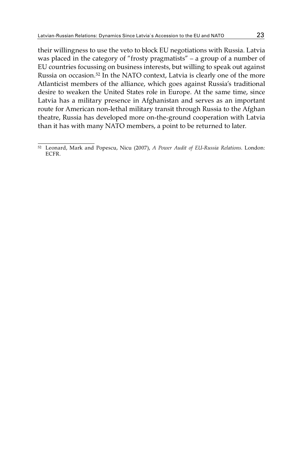their willingness to use the veto to block EU negotiations with Russia. Latvia was placed in the category of "frosty pragmatists" – a group of a number of EU countries focussing on business interests, but willing to speak out against Russia on occasion.52 In the NATO context, Latvia is clearly one of the more Atlanticist members of the alliance, which goes against Russia's traditional desire to weaken the United States role in Europe. At the same time, since Latvia has a military presence in Afghanistan and serves as an important route for American non-lethal military transit through Russia to the Afghan theatre, Russia has developed more on-the-ground cooperation with Latvia than it has with many NATO members, a point to be returned to later.

<sup>52</sup> Leonard, Mark and Popescu, Nicu (2007), *A Power Audit of EU-Russia Relations*. London: ECFR.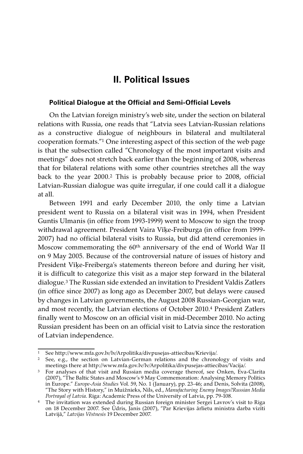# **II. Political Issues**

#### **Political Dialogue at the Official and Semi-Official Levels**

On the Latvian foreign ministry's web site, under the section on bilateral relations with Russia, one reads that "Latvia sees Latvian-Russian relations as a constructive dialogue of neighbours in bilateral and multilateral cooperation formats."1 One interesting aspect of this section of the web page is that the subsection called "Chronology of the most important visits and meetings" does not stretch back earlier than the beginning of 2008, whereas that for bilateral relations with some other countries stretches all the way back to the year 2000.2 This is probably because prior to 2008, official Latvian-Russian dialogue was quite irregular, if one could call it a dialogue at all.

Between 1991 and early December 2010, the only time a Latvian president went to Russia on a bilateral visit was in 1994, when President Guntis Ulmanis (in office from 1993-1999) went to Moscow to sign the troop withdrawal agreement. President Vaira Vīķe-Freiburga (in office from 1999- 2007) had no official bilateral visits to Russia, but did attend ceremonies in Moscow commemorating the 60th anniversary of the end of World War II on 9 May 2005. Because of the controversial nature of issues of history and President Vīķe-Freiberga's statements thereon before and during her visit, it is difficult to categorize this visit as a major step forward in the bilateral dialogue.3 The Russian side extended an invitation to President Valdis Zatlers (in office since 2007) as long ago as December 2007, but delays were caused by changes in Latvian governments, the August 2008 Russian-Georgian war, and most recently, the Latvian elections of October 2010.4 President Zatlers finally went to Moscow on an official visit in mid-December 2010. No acting Russian president has been on an official visit to Latvia since the restoration of Latvian independence.

<sup>1</sup> See http://www.mfa.gov.lv/lv/Arpolitika/divpusejas-attiecibas/Krievija/.

<sup>&</sup>lt;sup>2</sup> See, e.g., the section on Latvian-German relations and the chronology of visits and meetings there at http://www.mfa.gov.lv/lv/Arpolitika/divpusejas-attiecibas/Vacija/.

<sup>&</sup>lt;sup>3</sup> For analyses of that visit and Russian media coverage thereof, see Onken, Eva-Clarita (2007), "The Baltic States and Moscow's 9 May Commemoration: Analysing Memory Politics in Europe." *Europe-Asia Studies* Vol. 59, No. 1 (January), pp. 23-46; and Denis, Solvita (2008), "The Story with History," in Muižnieks, Nils, ed., *Manufacturing Enemy Images?Russian Media Portrayal of Latvia*. Riga: Academic Press of the University of Latvia, pp. 79-108.

<sup>&</sup>lt;sup>4</sup> The invitation was extended during Russian foreign minister Sergei Lavrov's visit to Riga on 18 December 2007. See Ūdris, Janis (2007), "Par Krievijas ārlietu ministra darba vizīti Latvijā," *Latvijas Vēstnesis* 19 December 2007.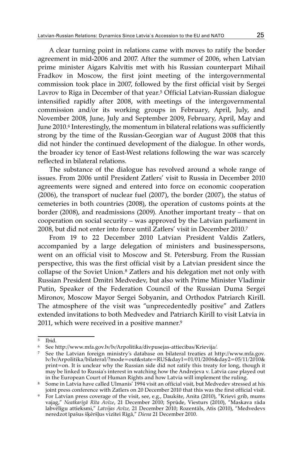A clear turning point in relations came with moves to ratify the border agreement in mid-2006 and 2007. After the summer of 2006, when Latvian prime minister Aigars Kalvītis met with his Russian counterpart Mihail Fradkov in Moscow, the first joint meeting of the intergovernmental commission took place in 2007, followed by the first official visit by Sergei Lavrov to Riga in December of that year.<sup>5</sup> Official Latvian-Russian dialogue intensified rapidly after 2008, with meetings of the intergovernmental commission and/or its working groups in February, April, July, and November 2008, June, July and September 2009, February, April, May and June 2010.<sup>6</sup> Interestingly, the momentum in bilateral relations was sufficiently strong by the time of the Russian-Georgian war of August 2008 that this did not hinder the continued development of the dialogue. In other words, the broader icy tenor of East-West relations following the war was scarcely reflected in bilateral relations.

The substance of the dialogue has revolved around a whole range of issues. From 2006 until President Zatlers' visit to Russia in December 2010 agreements were signed and entered into force on economic cooperation (2006), the transport of nuclear fuel (2007), the border (2007), the status of cemeteries in both countries (2008), the operation of customs points at the border (2008), and readmissions (2009). Another important treaty – that on cooperation on social security – was approved by the Latvian parliament in 2008, but did not enter into force until Zatlers' visit in December 2010.7

From 19 to 22 December 2010 Latvian President Valdis Zatlers, accompanied by a large delegation of ministers and businesspersons, went on an official visit to Moscow and St. Petersburg. From the Russian perspective, this was the first official visit by a Latvian president since the collapse of the Soviet Union.8 Zatlers and his delegation met not only with Russian President Dmitri Medvedev, but also with Prime Minister Vladimir Putin, Speaker of the Federation Council of the Russian Duma Sergei Mironov, Moscow Mayor Sergei Sobyanin, and Orthodox Patriarch Kirill. The atmosphere of the visit was "unprecedentedly positive" and Zatlers extended invitations to both Medvedev and Patriarch Kirill to visit Latvia in 2011, which were received in a positive manner.9

 $\overline{5}$  Ibid.

<sup>6</sup> See http://www.mfa.gov.lv/lv/Arpolitika/divpusejas-attiecibas/Krievija/.

<sup>7</sup> See the Latvian foreign ministry's database on bilateral treaties at http://www.mfa.gov. lv/lv/Arpolitika/bilateral/?mode=out&state=RUS&day1=01/01/2006&day2=05/11/2010& print=on. It is unclear why the Russian side did not ratify this treaty for long, though it may be linked to Russia's interest in watching how the Andrejeva v. Latvia case played out

<sup>&</sup>lt;sup>8</sup> Some in Latvia have called Ulmanis<sup>'</sup> 1994 visit an official visit, but Medvedev stressed at his joint press conference with Zatlers on 20 December 2010 that this was the first official visit.

joint press conference with Zatlers on 20 December 2010 that this was the first official visit.<br><sup>9</sup> For Latvian press coverage of the visit, see, e.g., Daukšte, Anita (2010), "Krievi grib, mums vajag," *Neatkarīgā Rīta Avīze*, 21 December 2010; Sprūde, Viesturs (2010), "Maskava rāda labvēlīgu attieksmi," *Latvijas Avīze,* 21 December 2010; Rozentāls, Atis (2010), "Medvedevs neredzot īpašus šķēršļus vizītei Rīgā," *Diena* 21 December 2010.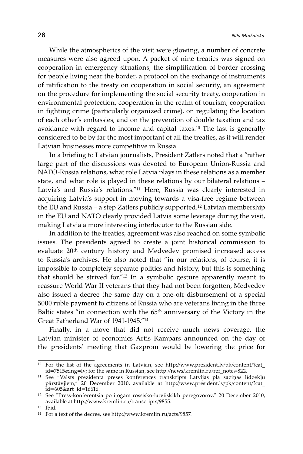While the atmospherics of the visit were glowing, a number of concrete measures were also agreed upon. A packet of nine treaties was signed on cooperation in emergency situations, the simplification of border crossing for people living near the border, a protocol on the exchange of instruments of ratification to the treaty on cooperation in social security, an agreement on the procedure for implementing the social security treaty, cooperation in environmental protection, cooperation in the realm of tourism, cooperation in fighting crime (particularly organized crime), on regulating the location of each other's embassies, and on the prevention of double taxation and tax avoidance with regard to income and capital taxes.10 The last is generally considered to be by far the most important of all the treaties, as it will render Latvian businesses more competitive in Russia.

In a briefing to Latvian journalists, President Zatlers noted that a "rather large part of the discussions was devoted to European Union-Russia and NATO-Russia relations, what role Latvia plays in these relations as a member state, and what role is played in these relations by our bilateral relations – Latvia's and Russia's relations."11 Here, Russia was clearly interested in acquiring Latvia's support in moving towards a visa-free regime between the EU and Russia – a step Zatlers publicly supported.12 Latvian membership in the EU and NATO clearly provided Latvia some leverage during the visit, making Latvia a more interesting interlocutor to the Russian side.

In addition to the treaties, agreement was also reached on some symbolic issues. The presidents agreed to create a joint historical commission to evaluate 20th century history and Medvedev promised increased access to Russia's archives. He also noted that "in our relations, of course, it is impossible to completely separate politics and history, but this is something that should be strived for."13 In a symbolic gesture apparently meant to reassure World War II veterans that they had not been forgotten, Medvedev also issued a decree the same day on a one-off disbursement of a special 5000 ruble payment to citizens of Russia who are veterans living in the three Baltic states "in connection with the 65<sup>th</sup> anniversary of the Victory in the Great Fatherland War of 1941-1945."14

Finally, in a move that did not receive much news coverage, the Latvian minister of economics Artis Kampars announced on the day of the presidents' meeting that Gazprom would be lowering the price for

<sup>&</sup>lt;sup>10</sup> For the list of the agreements in Latvian, see http://www.president.lv/pk/content/?cat id=7515&lng=lv; for the same in Russian, see http://news/kremlin.ru/ref\_notes/822.

<sup>11</sup> See "Valsts prezidenta preses konferences transkripts Latvijas pla saziņas līdzekļu pārstāvjiem," 20 December 2010, available at http://www.president.lv/pk/content/?cat\_  $id = 605$ &art  $id = 16616$ .

<sup>12</sup> See "Press-konferentsia po itogam rossisko-latviiskikh peregovorov," 20 December 2010, available at http://www.kremlin.ru/transcripts/9855.

<sup>13</sup> Ibid.

<sup>14</sup> For a text of the decree, see http://www.kremlin.ru/acts/9857.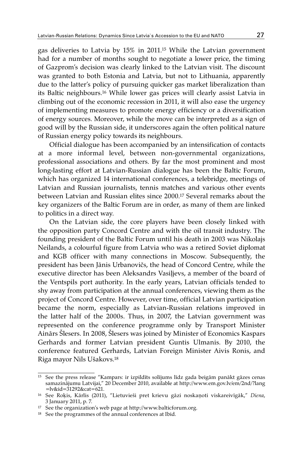gas deliveries to Latvia by 15% in 2011.15 While the Latvian government had for a number of months sought to negotiate a lower price, the timing of Gazprom's decision was clearly linked to the Latvian visit. The discount was granted to both Estonia and Latvia, but not to Lithuania, apparently due to the latter's policy of pursuing quicker gas market liberalization than its Baltic neighbours.16 While lower gas prices will clearly assist Latvia in climbing out of the economic recession in 2011, it will also ease the urgency of implementing measures to promote energy efficiency or a diversification of energy sources. Moreover, while the move can be interpreted as a sign of good will by the Russian side, it underscores again the often political nature of Russian energy policy towards its neighbours.

Official dialogue has been accompanied by an intensification of contacts at a more informal level, between non-governmental organizations, professional associations and others. By far the most prominent and most long-lasting effort at Latvian-Russian dialogue has been the Baltic Forum, which has organized 14 international conferences, a telebridge, meetings of Latvian and Russian journalists, tennis matches and various other events between Latvian and Russian elites since 2000.17 Several remarks about the key organizers of the Baltic Forum are in order, as many of them are linked to politics in a direct way.

On the Latvian side, the core players have been closely linked with the opposition party Concord Centre and with the oil transit industry. The founding president of the Baltic Forum until his death in 2003 was Nikolajs Neilands, a colourful figure from Latvia who was a retired Soviet diplomat and KGB officer with many connections in Moscow. Subsequently, the president has been Jānis Urbanovičs, the head of Concord Centre, while the executive director has been Aleksandrs Vasiļjevs, a member of the board of the Ventspils port authority. In the early years, Latvian officials tended to shy away from participation at the annual conferences, viewing them as the project of Concord Centre. However, over time, official Latvian participation became the norm, especially as Latvian-Russian relations improved in the latter half of the 2000s. Thus, in 2007, the Latvian government was represented on the conference programme only by Transport Minister Ainārs Šlesers. In 2008, Šlesers was joined by Minister of Economics Kaspars Gerhards and former Latvian president Guntis Ulmanis. By 2010, the conference featured Gerhards, Latvian Foreign Minister Aivis Ronis, and Riga mayor Nils Ušakovs.18

<sup>15</sup> See the press release "Kampars: ir izpildīts solījums līdz gada beigām panākt gāzes cenas samazinājumu Latvijai," 20 December 2010, available at http://www.em.gov.lv/em/2nd/?lang =lv&id=31292&cat=621.

<sup>16</sup> See Roķis, Kārlis (2011), "Lietuvieši pret krievu gāzi noskaņoti viskareivīgāk," *Diena*, 3 January 2011, p. 7.

<sup>17</sup> See the organization's web page at http://www.balticforum.org.

<sup>&</sup>lt;sup>18</sup> See the programmes of the annual conferences at Ibid.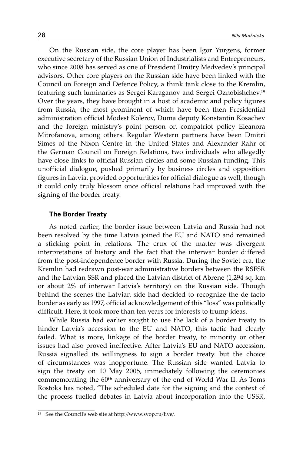On the Russian side, the core player has been Igor Yurgens, former executive secretary of the Russian Union of Industrialists and Entrepreneurs, who since 2008 has served as one of President Dmitry Medvedev's principal advisors. Other core players on the Russian side have been linked with the Council on Foreign and Defence Policy, a think tank close to the Kremlin, featuring such luminaries as Sergei Karaganov and Sergei Oznobishchev.19 Over the years, they have brought in a host of academic and policy figures from Russia, the most prominent of which have been then Presidential administration official Modest Kolerov, Duma deputy Konstantin Kosachev and the foreign ministry's point person on compatriot policy Eleanora Mitrofanova, among others. Regular Western partners have been Dmitri Simes of the Nixon Centre in the United States and Alexander Rahr of the German Council on Foreign Relations, two individuals who allegedly have close links to official Russian circles and some Russian funding. This unofficial dialogue, pushed primarily by business circles and opposition figures in Latvia, provided opportunities for official dialogue as well, though it could only truly blossom once official relations had improved with the signing of the border treaty.

#### **The Border Treaty**

As noted earlier, the border issue between Latvia and Russia had not been resolved by the time Latvia joined the EU and NATO and remained a sticking point in relations. The crux of the matter was divergent interpretations of history and the fact that the interwar border differed from the post-independence border with Russia. During the Soviet era, the Kremlin had redrawn post-war administrative borders between the RSFSR and the Latvian SSR and placed the Latvian district of Abrene (1,294 sq. km or about 2% of interwar Latvia's territory) on the Russian side. Though behind the scenes the Latvian side had decided to recognize the de facto border as early as 1997, official acknowledgement of this "loss" was politically difficult. Here, it took more than ten years for interests to trump ideas.

While Russia had earlier sought to use the lack of a border treaty to hinder Latvia's accession to the EU and NATO, this tactic had clearly failed. What is more, linkage of the border treaty, to minority or other issues had also proved ineffective. After Latvia's EU and NATO accession, Russia signalled its willingness to sign a border treaty. but the choice of circumstances was inopportune. The Russian side wanted Latvia to sign the treaty on 10 May 2005, immediately following the ceremonies commemorating the 60<sup>th</sup> anniversary of the end of World War II. As Toms Rostoks has noted, "The scheduled date for the signing and the context of the process fuelled debates in Latvia about incorporation into the USSR,

<sup>19</sup> See the Council's web site at http://www.svop.ru/live/.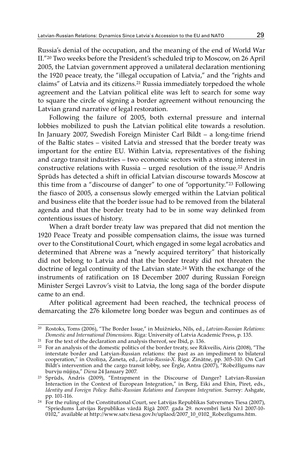Russia's denial of the occupation, and the meaning of the end of World War II."20 Two weeks before the President's scheduled trip to Moscow, on 26 April 2005, the Latvian government approved a unilateral declaration mentioning the 1920 peace treaty, the "illegal occupation of Latvia," and the "rights and claims" of Latvia and its citizens.<sup>21</sup> Russia immediately torpedoed the whole agreement and the Latvian political elite was left to search for some way to square the circle of signing a border agreement without renouncing the Latvian grand narrative of legal restoration.

Following the failure of 2005, both external pressure and internal lobbies mobilized to push the Latvian political elite towards a resolution. In January 2007, Swedish Foreign Minister Carl Bildt – a long-time friend of the Baltic states – visited Latvia and stressed that the border treaty was important for the entire EU. Within Latvia, representatives of the fishing and cargo transit industries – two economic sectors with a strong interest in constructive relations with Russia – urged resolution of the issue.22 Andris Sprūds has detected a shift in official Latvian discourse towards Moscow at this time from a "discourse of danger" to one of "opportunity."23 Following the fiasco of 2005, a consensus slowly emerged within the Latvian political and business elite that the border issue had to be removed from the bilateral agenda and that the border treaty had to be in some way delinked from contentious issues of history.

When a draft border treaty law was prepared that did not mention the 1920 Peace Treaty and possible compensation claims, the issue was turned over to the Constitutional Court, which engaged in some legal acrobatics and determined that Abrene was a "newly acquired territory" that historically did not belong to Latvia and that the border treaty did not threaten the doctrine of legal continuity of the Latvian state.<sup>24</sup> With the exchange of the instruments of ratification on 18 December 2007 during Russian Foreign Minister Sergei Lavrov's visit to Latvia, the long saga of the border dispute came to an end.

After political agreement had been reached, the technical process of demarcating the 276 kilometre long border was begun and continues as of

<sup>20</sup> Rostoks, Toms (2006), "The Border Issue," in Muižnieks, Nils, ed., *Latvian-Russian Relations: Domestic and International Dimensions*. Riga: University of Latvia Academic Press, p. 135.

<sup>&</sup>lt;sup>22</sup> For an analysis of the domestic politics of the border treaty, see Rikveilis, Airis (2008), "The interstate border and Latvian-Russian relations: the past as an impediment to bilateral cooperation," in Ozoliņa, Žaneta, ed., *Latvia-Russia-X*. Riga: Zinātne, pp. 305-310. On Carl Bildt's intervention and the cargo transit lobby, see Ērgle, Antra (2007), "Robežlīgums nav burvju nūjiņa," Diena 24 January 2007. burvju nūjiņa," *Diena* 24 January 2007. 23 Sprūds, Andris (2009), "Entrapment in the Discourse of Danger? Latvian-Russian

Interaction in the Context of European Integration," in Berg, Eiki and Ehin, Piret, eds., *Identity and Foreign Policy: Baltic-Russian Relations and European Integration*. Surrey: Ashgate, pp. 101-116.

 $^{24}$  For the ruling of the Constitutional Court, see Latvijas Republikas Satversmes Tiesa (2007), "Spriedums Latvijas Republikas vārdā Rīgā 2007. gada 29. novembrī lietā Nr.l 2007-10- 0102," available at http://www.satv.tiesa.gov.lv/uplaod/2007\_10\_0102\_Robezligums.htm.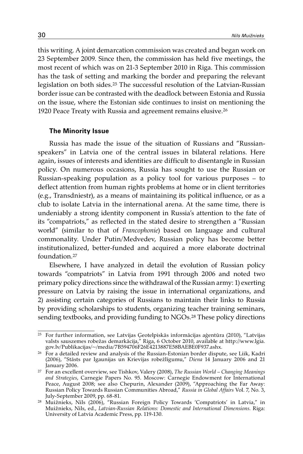this writing. A joint demarcation commission was created and began work on 23 September 2009. Since then, the commission has held five meetings, the most recent of which was on 21-3 September 2010 in Riga. This commission has the task of setting and marking the border and preparing the relevant legislation on both sides.25 The successful resolution of the Latvian-Russian border issue can be contrasted with the deadlock between Estonia and Russia on the issue, where the Estonian side continues to insist on mentioning the 1920 Peace Treaty with Russia and agreement remains elusive.26

### **The Minority Issue**

Russia has made the issue of the situation of Russians and "Russianspeakers" in Latvia one of the central issues in bilateral relations. Here again, issues of interests and identities are difficult to disentangle in Russian policy. On numerous occasions, Russia has sought to use the Russian or Russian-speaking population as a policy tool for various purposes – to deflect attention from human rights problems at home or in client territories (e.g., Transdniestr), as a means of maintaining its political influence, or as a club to isolate Latvia in the international arena. At the same time, there is undeniably a strong identity component in Russia's attention to the fate of its "compatriots," as reflected in the stated desire to strengthen a "Russian world" (similar to that of *Francophonie*) based on language and cultural commonality. Under Putin/Medvedev, Russian policy has become better institutionalized, better-funded and acquired a more elaborate doctrinal foundation<sup>27</sup>

Elsewhere, I have analyzed in detail the evolution of Russian policy towards "compatriots" in Latvia from 1991 through 2006 and noted two primary policy directions since the withdrawal of the Russian army: 1) exerting pressure on Latvia by raising the issue in international organizations, and 2) assisting certain categories of Russians to maintain their links to Russia by providing scholarships to students, organizing teacher training seminars, sending textbooks, and providing funding to NGOs.28 These policy directions

<sup>25</sup> For further information, see Latvijas Ģeotelpiskās informācijas aģentūra (2010), "Latvijas valsts sauszemes robežas demarkācija," Riga, 6 October 2010, available at http://www.lgia. gov.lv/Publikacijas/~/media/7B594706F26E4213887E58BAEBE0F937.ashx.

<sup>&</sup>lt;sup>26</sup> For a detailed review and analysis of the Russian-Estonian border dispute, see Liik, Kadri (2006), "Stāsts par Igaunijas un Krievijas robežlīgumu," *Diena* 14 January 2006 and 21

<sup>&</sup>lt;sup>27</sup> For an excellent overview, see Tishkov, Valery (2008), *The Russian World – Changing Meanings and Strategies*, Carnegie Papers No. 95. Moscow: Carnegie Endowment for International Peace, August 2008; see also Chepurin, Alexander (2009), "Approaching the Far Away: Russian Policy Towards Russian Communities Abroad," *Russia in Global Affairs* Vol. 7, No. 3, July-September 2009, pp. 68-81.

<sup>28</sup> Muižnieks, Nils (2006), "Russian Foreign Policy Towards 'Compatriots' in Latvia," in Muižnieks, Nils, ed., *Latvian-Russian Relations: Domestic and International Dimensions*. Riga: University of Latvia Academic Press, pp. 119-130.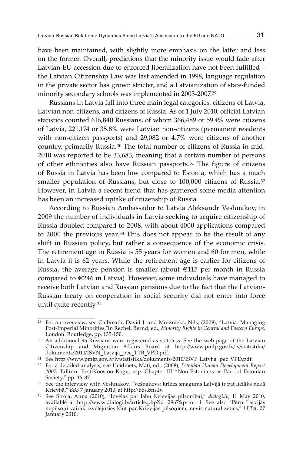have been maintained, with slightly more emphasis on the latter and less on the former. Overall, predictions that the minority issue would fade after Latvian EU accession due to enforced liberalization have not been fulfilled – the Latvian Citizenship Law was last amended in 1998, language regulation in the private sector has grown stricter, and a Latvianization of state-funded minority secondary schools was implemented in 2003-2007.29

Russians in Latvia fall into three main legal categories: citizens of Latvia, Latvian non-citizens, and citizens of Russia. As of 1 July 2010, official Latvian statistics counted 616,840 Russians, of whom 366,489 or 59.4% were citizens of Latvia, 221,174 or 35.8% were Latvian non-citizens (permanent residents with non-citizen passports) and 29,082 or 4.7% were citizens of another country, primarily Russia.30 The total number of citizens of Russia in mid-2010 was reported to be 33,683, meaning that a certain number of persons of other ethnicities also have Russian passports.31 The figure of citizens of Russia in Latvia has been low compared to Estonia, which has a much smaller population of Russians, but close to 100,000 citizens of Russia.<sup>32</sup> However, in Latvia a recent trend that has garnered some media attention has been an increased uptake of citizenship of Russia.

According to Russian Ambassador to Latvia Aleksandr Veshnakov, in 2009 the number of individuals in Latvia seeking to acquire citizenship of Russia doubled compared to 2008, with about 4000 applications compared to 2000 the previous year.33 This does not appear to be the result of any shift in Russian policy, but rather a consequence of the economic crisis. The retirement age in Russia is 55 years for women and 60 for men, while in Latvia it is 62 years. While the retirement age is earlier for citizens of Russia, the average pension is smaller (about  $\epsilon$ 115 per month in Russia compared to €246 in Latvia). However, some individuals have managed to receive both Latvian and Russian pensions due to the fact that the Latvian-Russian treaty on cooperation in social security did not enter into force until quite recently.34

<sup>29</sup> For an overview, see Galbreath, David J. and Muižnieks, Nils, (2009), "Latvia: Managing Post-Imperial Minorities,"in Rechel, Bernd, ed., *Minority Rights in Central and Eastern Europe*. London: Routledge, pp. 135-150.

<sup>&</sup>lt;sup>30</sup> An additional 95 Russians were registered as stateless. See the web page of the Latvian Citizenship and Migration Affairs Board at http://www.pmlp.gov.lv/lv/statistika/ dokuments/2010/ISVN\_Latvija\_pec\_TTB\_VPD.pdf.

<sup>31</sup> See http://www.pmlp.gov.lv/lv/statistika/dokuments/2010/ISVP\_Latvija\_pec\_VPD.pdf.

<sup>32</sup> For a detailed analysis, see Heidmets, Mati, ed., (2008), *Estonian Human Development Report 2007*. Tallinn: EestiKoostoo Kogu, esp. Chapter III "Non-Estonians as Part of Estonian Society," pp. 46-87.

<sup>33</sup> See the interview with Veshnakov, "Vešnakovs: krīzes smagums Latvijā ir pat lielāks nekā

Krievijā," *BBS* 7 January 2010, at http://bbs.bns.lv. 34 See Stroja, Anna (2010), "Izvēlas par labu Krievijas pilsonībai," *dialogi.lv*, 11 May 2010, available at http://www.dialogi.lv/article.php?id=2967&print=1. See also "Pērn Latvijas nepilsoņi vairāk izvēlējušies kļūt par Krievijas pilsoņiem, nevis naturalizēties," *LETA*, 27 January 2010.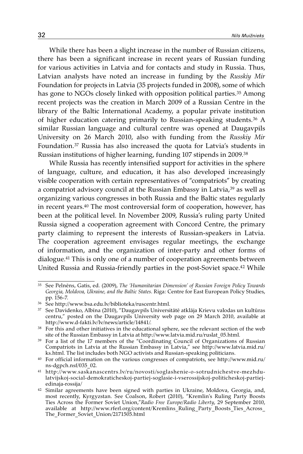While there has been a slight increase in the number of Russian citizens, there has been a significant increase in recent years of Russian funding for various activities in Latvia and for contacts and study in Russia. Thus, Latvian analysts have noted an increase in funding by the *Russkiy Mir* Foundation for projects in Latvia (35 projects funded in 2008), some of which has gone to NGOs closely linked with opposition political parties.35 Among recent projects was the creation in March 2009 of a Russian Centre in the library of the Baltic International Academy, a popular private institution of higher education catering primarily to Russian-speaking students.36 A similar Russian language and cultural centre was opened at Daugavpils University on 26 March 2010, also with funding from the *Russkiy Mir* Foundation.37 Russia has also increased the quota for Latvia's students in Russian institutions of higher learning, funding 107 stipends in 2009.38

While Russia has recently intensified support for activities in the sphere of language, culture, and education, it has also developed increasingly visible cooperation with certain representatives of "compatriots" by creating a compatriot advisory council at the Russian Embassy in Latvia,<sup>39</sup> as well as organizing various congresses in both Russia and the Baltic states regularly in recent years.40 The most controversial form of cooperation, however, has been at the political level. In November 2009, Russia's ruling party United Russia signed a cooperation agreement with Concord Centre, the primary party claiming to represent the interests of Russian-speakers in Latvia. The cooperation agreement envisages regular meetings, the exchange of information, and the organization of inter-party and other forms of dialogue.41 This is only one of a number of cooperation agreements between United Russia and Russia-friendly parties in the post-Soviet space.42 While

<sup>35</sup> See Pelnēns, Gatis, ed. (2009), *The 'Humanitarian Dimension' of Russian Foreign Policy Towards Georgia, Moldova, Ukraine, and the Baltic States*. Riga: Centre for East European Policy Studies, pp. 156-7.

<sup>36</sup> See http://www.bsa.edu.lv/biblioteka/ruscentr.html.

<sup>37</sup> See Davidenko, Albīna (2010), "Daugavpils Universitātē atklāja Krievu valodas un kultūras centru," posted on the Daugavpils University web page on 29 March 2010, available at http://www.d-fakti.lv/lv/news/article/14841/.

<sup>38</sup> For this and other initiatives in the educational sphere, see the relevant section of the web site of the Russian Embassy in Latvia at http://www.latvia.mid.ru/ruslat\_05.html.

<sup>39</sup> For a list of the 17 members of the "Coordinating Council of Organizations of Russian Compatriots in Latvia at the Russian Embassy in Latvia," see http://www.latvia.mid.ru/ ks.html. The list includes both NGO activists and Russian-speaking politicians.<br><sup>40</sup> For official information on the various congresses of compatriots, see http://www.mid.ru/

ns-dgpch.nsf/035\_02.

<sup>41</sup> http://www.saskanascentrs.lv/ru/novosti/soglashenie-o-sotrudnichestve-mezhdulatvijskoj-social-demokraticheskoj-partiej-soglasie-i-vserossijskoj-politicheskoj-partiejedinaja-rossija/

<sup>&</sup>lt;sup>42</sup> Similar agreements have been signed with parties in Ukraine, Moldova, Georgia, and, most recently, Kyrgyzstan. See Coalson, Robert (2010), "Kremlin's Ruling Party Boosts Ties Across the Former Soviet Union,"*Radio Free Europe/Radio Liberty*, 29 September 2010, available at http://www.rferl.org/content/Kremlins Ruling Party Boosts Ties Across The Former Soviet Union/2171505.html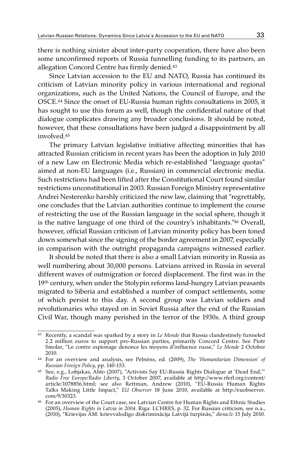there is nothing sinister about inter-party cooperation, there have also been some unconfirmed reports of Russia funnelling funding to its partners, an allegation Concord Centre has firmly denied.43

Since Latvian accession to the EU and NATO, Russia has continued its criticism of Latvian minority policy in various international and regional organizations, such as the United Nations, the Council of Europe, and the OSCE.44 Since the onset of EU-Russia human rights consultations in 2005, it has sought to use this forum as well, though the confidential nature of that dialogue complicates drawing any broader conclusions. It should be noted, however, that these consultations have been judged a disappointment by all involved 45

The primary Latvian legislative initiative affecting minorities that has attracted Russian criticism in recent years has been the adoption in July 2010 of a new Law on Electronic Media which re-established "language quotas" aimed at non-EU languages (i.e., Russian) in commercial electronic media. Such restrictions had been lifted after the Constitutional Court found similar restrictions unconstitutional in 2003. Russian Foreign Ministry representative Andrei Nesterenko harshly criticized the new law, claiming that "regrettably, one concludes that the Latvian authorities continue to implement the course of restricting the use of the Russian language in the social sphere, though it is the native language of one third of the country's inhabitants."46 Overall, however, official Russian criticism of Latvian minority policy has been toned down somewhat since the signing of the border agreement in 2007, especially in comparison with the outright propaganda campaigns witnessed earlier.

It should be noted that there is also a small Latvian minority in Russia as well numbering about 30,000 persons. Latvians arrived in Russia in several different waves of outmigration or forced displacement. The first was in the 19<sup>th</sup> century, when under the Stolypin reforms land-hungry Latvian peasants migrated to Siberia and established a number of compact settlements, some of which persist to this day. A second group was Latvian soldiers and revolutionaries who stayed on in Soviet Russia after the end of the Russian Civil War, though many perished in the terror of the 1930s. A third group

<sup>43</sup> Recently, a scandal was sparked by a story in *Le Monde* that Russia clandestinely funneled 2.2 million euros to support pro-Russian parties, primarily Concord Centre. See Piotr Smolar, "Le contre espionage denonce les moyens d'influence russe," *Le Monde* 2 October

<sup>&</sup>lt;sup>44</sup> For an overview and analysis, see Pelnēns, ed. (2009), *The 'Humanitarian Dimension' of Russian Foreign Policy*, pp. 140-153.

<sup>45</sup> See, e.g., Lobjakas, Ahto (2007), "Activists Say EU-Russia Rights Dialogue at 'Dead End,'" *Radio Free Europe/Radio Liberty*, 3 October 2007, available at http://www.rferl.org/content/ article/1078856.html; see also Rettman, Andrew (2010), "EU-Russia Human Rights Talks Making Little Impact," *EU Observer* 18 June 2010, available at http://euobserver. com/9/30323.

<sup>46</sup> For an overview of the Court case, see Latvian Centre for Human Rights and Ethnic Studies (2005), *Human Rights in Latvia in 2004*. Riga: LCHRES, p. 32. For Russian criticism, see n.a., (2010), "Krievijas ĀM: krievvalodīgo diskriminācija Latvijā turpinās," *diena.lv* 15 July 2010.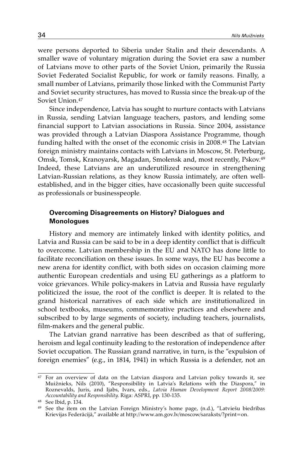were persons deported to Siberia under Stalin and their descendants. A smaller wave of voluntary migration during the Soviet era saw a number of Latvians move to other parts of the Soviet Union, primarily the Russia Soviet Federated Socialist Republic, for work or family reasons. Finally, a small number of Latvians, primarily those linked with the Communist Party and Soviet security structures, has moved to Russia since the break-up of the Soviet Union.47

Since independence, Latvia has sought to nurture contacts with Latvians in Russia, sending Latvian language teachers, pastors, and lending some financial support to Latvian associations in Russia. Since 2004, assistance was provided through a Latvian Diaspora Assistance Programme, though funding halted with the onset of the economic crisis in 2008.48 The Latvian foreign ministry maintains contacts with Latvians in Moscow, St. Peterburg, Omsk, Tomsk, Kranoyarsk, Magadan, Smolensk and, most recently, Pskov.49 Indeed, these Latvians are an underutilized resource in strengthening Latvian-Russian relations, as they know Russia intimately, are often wellestablished, and in the bigger cities, have occasionally been quite successful as professionals or businesspeople.

# **Overcoming Disagreements on History? Dialogues and Monologues**

History and memory are intimately linked with identity politics, and Latvia and Russia can be said to be in a deep identity conflict that is difficult to overcome. Latvian membership in the EU and NATO has done little to facilitate reconciliation on these issues. In some ways, the EU has become a new arena for identity conflict, with both sides on occasion claiming more authentic European credentials and using EU gatherings as a platform to voice grievances. While policy-makers in Latvia and Russia have regularly politicized the issue, the root of the conflict is deeper. It is related to the grand historical narratives of each side which are institutionalized in school textbooks, museums, commemorative practices and elsewhere and subscribed to by large segments of society, including teachers, journalists, film-makers and the general public.

The Latvian grand narrative has been described as that of suffering, heroism and legal continuity leading to the restoration of independence after Soviet occupation. The Russian grand narrative, in turn, is the "expulsion of foreign enemies" (e.g., in 1814, 1941) in which Russia is a defender, not an

<sup>&</sup>lt;sup>47</sup> For an overview of data on the Latvian diaspora and Latvian policy towards it, see Muižnieks, Nils (2010), "Responsibility in Latvia's Relations with the Diaspora," in Roznevalds, Juris, and Ijabs, Ivars, eds., *Latvia Human Development Report 2008/2009: Accountability and Responsibility*. Riga: ASPRI, pp. 130-135.

<sup>48</sup> See Ibid, p. 134.

<sup>49</sup> See the item on the Latvian Foreign Ministry's home page, (n.d.), "Latviešu biedrības Krievijas Federācijā," available at http://www.am.gov.lv/moscow/saraksts/?print=on.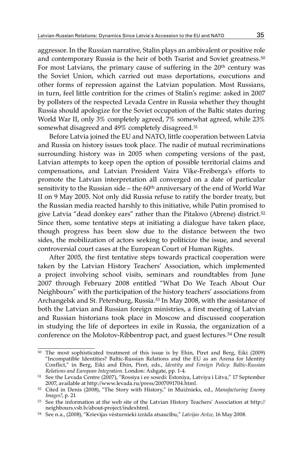aggressor. In the Russian narrative, Stalin plays an ambivalent or positive role and contemporary Russia is the heir of both Tsarist and Soviet greatness.<sup>50</sup> For most Latvians, the primary cause of suffering in the 20<sup>th</sup> century was the Soviet Union, which carried out mass deportations, executions and other forms of repression against the Latvian population. Most Russians, in turn, feel little contrition for the crimes of Stalin's regime: asked in 2007 by pollsters of the respected Levada Centre in Russia whether they thought Russia should apologize for the Soviet occupation of the Baltic states during World War II, only 3% completely agreed, 7% somewhat agreed, while 23% somewhat disagreed and 49% completely disagreed.<sup>51</sup>

Before Latvia joined the EU and NATO, little cooperation between Latvia and Russia on history issues took place. The nadir of mutual recriminations surrounding history was in 2005 when competing versions of the past, Latvian attempts to keep open the option of possible territorial claims and compensations, and Latvian President Vaira Vīķe-Freiberga's efforts to promote the Latvian interpretation all converged on a date of particular sensitivity to the Russian side – the  $60<sup>th</sup>$  anniversary of the end of World War II on 9 May 2005. Not only did Russia refuse to ratify the border treaty, but the Russian media reacted harshly to this initiative, while Putin promised to give Latvia "dead donkey ears" rather than the Pitalovo (Abrene) district.<sup>52</sup> Since then, some tentative steps at initiating a dialogue have taken place, though progress has been slow due to the distance between the two sides, the mobilization of actors seeking to politicize the issue, and several controversial court cases at the European Court of Human Rights.

After 2005, the first tentative steps towards practical cooperation were taken by the Latvian History Teachers' Association, which implemented a project involving school visits, seminars and roundtables from June 2007 through February 2008 entitled "What Do We Teach About Our Neighbours" with the participation of the history teachers' associations from Archangelsk and St. Petersburg, Russia.53 In May 2008, with the assistance of both the Latvian and Russian foreign ministries, a first meeting of Latvian and Russian historians took place in Moscow and discussed cooperation in studying the life of deportees in exile in Russia, the organization of a conference on the Molotov-Ribbentrop pact, and guest lectures.54 One result

<sup>50</sup> The most sophisticated treatment of this issue is by Ehin, Piret and Berg, Eiki (2009) "Incompatible Identities? Baltic-Russian Relations and the EU as an Arena for Identity Conflict," in Berg, Eiki and Ehin, Piret, eds., *Identity and Foreign Policy: Baltic-Russian* 

<sup>&</sup>lt;sup>51</sup> See the Levada Centre (2007), "Rossiya i ee sosedi: Estoniya, Latviya i Litva," 17 September 2007, available at http://www.levada.ru/press/2007091704.html.

<sup>&</sup>lt;sup>52</sup> Cited in Denis (2008), "The Story with History," in Muižnieks, ed., *Manufacturing Enemy Images?*, p. 21

<sup>53</sup> See the information at the web site of the Latvian History Teachers' Association at http:// neighbours.vsb.lv/about-project/indexhtml.

<sup>&</sup>lt;sup>54</sup> See n.a., (2008), "Krievijas vēsturnieki izrāda atsaucību," *Latvijas Avīze*, 16 May 2008.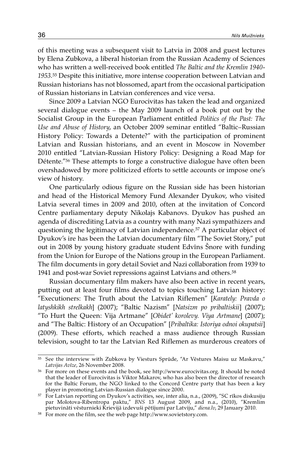of this meeting was a subsequent visit to Latvia in 2008 and guest lectures by Elena Zubkova, a liberal historian from the Russian Academy of Sciences who has written a well-received book entitled *The Baltic and the Kremlin 1940- 1953*.55 Despite this initiative, more intense cooperation between Latvian and Russian historians has not blossomed, apart from the occasional participation of Russian historians in Latvian conferences and vice versa.

Since 2009 a Latvian NGO Eurocivitas has taken the lead and organized several dialogue events – the May 2009 launch of a book put out by the Socialist Group in the European Parliament entitled *Politics of the Past: The Use and Abuse of History*, an October 2009 seminar entitled "Baltic–Russian History Policy: Towards a Detente?" with the participation of prominent Latvian and Russian historians, and an event in Moscow in November 2010 entitled "Latvian-Russian History Policy: Designing a Road Map for Détente."56 These attempts to forge a constructive dialogue have often been overshadowed by more politicized efforts to settle accounts or impose one's view of history.

One particularly odious figure on the Russian side has been historian and head of the Historical Memory Fund Alexander Dyukov, who visited Latvia several times in 2009 and 2010, often at the invitation of Concord Centre parliamentary deputy Nikolajs Kabanovs. Dyukov has pushed an agenda of discrediting Latvia as a country with many Nazi sympathizers and questioning the legitimacy of Latvian independence.57 A particular object of Dyukov's ire has been the Latvian documentary film "The Soviet Story," put out in 2008 by young history graduate student Edvīns Šnore with funding from the Union for Europe of the Nations group in the European Parliament. The film documents in gory detail Soviet and Nazi collaboration from 1939 to 1941 and post-war Soviet repressions against Latvians and others.58

Russian documentary film makers have also been active in recent years, putting out at least four films devoted to topics touching Latvian history: "Executioners: The Truth about the Latvian Riflemen" [*Karately: Pravda o latyshkikh strelkakh*] (2007); "Baltic Nazism" [*Natsizm po pribaltiskii*] (2007); "To Hurt the Queen: Vija Artmane" [*Obidet' korolevy. Viya Artmane*] (2007); and "The Baltic: History of an Occupation" [*Pribaltika: Istoriya odnoi okupatsii*] (2009). These efforts, which reached a mass audience through Russian television, sought to tar the Latvian Red Riflemen as murderous creators of

 $^{55}$  See the interview with Zubkova by Viesturs Sprūde, "Ar Vēstures Maisu uz Maskavu, "Latvijas Avīze, 26 November 2008.

<sup>&</sup>lt;sup>56</sup> For more on these events and the book, see http://www.eurocivitas.org. It should be noted that the leader of Eurocivitas is Viktor Makarov, who has also been the director of research for the Baltic Forum, the NGO linked to the Concord Centre party that has been a key player in promoting Latvian-Russian dialogue since 2000.

<sup>&</sup>lt;sup>57</sup> For Latvian reporting on Dyukov's activities, see, inter alia, n.a., (2009), "SC rīkos diskusiju par Molotova-Ribentropa paktu," *BNS* 13 August 2009, and n.a., (2010), "Kremlim pietuvināti vēsturnieki Krievijā izdevuši pētījumi par Latviju," *diena.lv*, 29 January 2010. 58 For more on the film, see the web page http://www.sovietstory.com.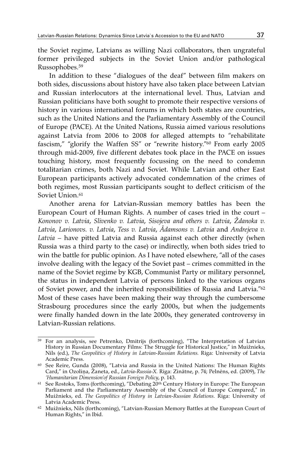the Soviet regime, Latvians as willing Nazi collaborators, then ungrateful former privileged subjects in the Soviet Union and/or pathological Russophobes.59

In addition to these "dialogues of the deaf" between film makers on both sides, discussions about history have also taken place between Latvian and Russian interlocutors at the international level. Thus, Latvian and Russian politicians have both sought to promote their respective versions of history in various international forums in which both states are countries, such as the United Nations and the Parliamentary Assembly of the Council of Europe (PACE). At the United Nations, Russia aimed various resolutions against Latvia from 2006 to 2008 for alleged attempts to "rehabilitate fascism," "glorify the Waffen SS" or "rewrite history."60 From early 2005 through mid-2009, five different debates took place in the PACE on issues touching history, most frequently focussing on the need to condemn totalitarian crimes, both Nazi and Soviet. While Latvian and other East European participants actively advocated condemnation of the crimes of both regimes, most Russian participants sought to deflect criticism of the Soviet Union  $61$ 

Another arena for Latvian-Russian memory battles has been the European Court of Human Rights. A number of cases tried in the court – *Kononov v. Latvia*, *Slivenko v. Latvia*, *Sisojeva and others v. Latvia*, *Ždanoka v. Latvia*, *Larionovs. v. Latvia*, *Tess v. Latvia*, *Ādamsons v. Latvia* and *Andrejeva v. Latvia* – have pitted Latvia and Russia against each other directly (when Russia was a third party to the case) or indirectly, when both sides tried to win the battle for public opinion. As I have noted elsewhere, "all of the cases involve dealing with the legacy of the Soviet past – crimes committed in the name of the Soviet regime by KGB, Communist Party or military personnel, the status in independent Latvia of persons linked to the various organs of Soviet power, and the inherited responsibilities of Russia and Latvia."62 Most of these cases have been making their way through the cumbersome Strasbourg procedures since the early 2000s, but when the judgements were finally handed down in the late 2000s, they generated controversy in Latvian-Russian relations.

<sup>59</sup> For an analysis, see Petrenko, Dmitrijs (forthcoming), "The Interpretation of Latvian History in Russian Documentary Films: The Struggle for Historical Justice," in Muižnieks, Nils (ed.), *The Geopolitics of History in Latvian-Russian Relations.* Riga: University of Latvia

 $60$  See Reire, Gunda (2008), "Latvia and Russia in the United Nations: The Human Rights Card," in Ozoliņa, Žaneta, ed., *Latvia-Russia-X.* Riga: Zinātne, p. 74; Pelnēns, ed. (2009), *The* 

<sup>&</sup>lt;sup>61</sup> See Rostoks, Toms (forthcoming), "Debating 20<sup>th</sup> Century History in Europe: The European Parliament and the Parliamentary Assembly of the Council of Europe Compared," in Muižnieks, ed. *The Geopolitics of History in Latvian-Russian Relations.* Riga: University of

 $62$  Muižnieks, Nils (forthcoming), "Latvian-Russian Memory Battles at the European Court of Human Rights," in Ibid.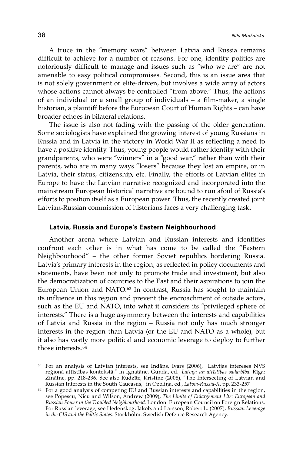A truce in the "memory wars" between Latvia and Russia remains difficult to achieve for a number of reasons. For one, identity politics are notoriously difficult to manage and issues such as "who we are" are not amenable to easy political compromises. Second, this is an issue area that is not solely government or elite-driven, but involves a wide array of actors whose actions cannot always be controlled "from above." Thus, the actions of an individual or a small group of individuals – a film-maker, a single historian, a plaintiff before the European Court of Human Rights – can have broader echoes in bilateral relations.

The issue is also not fading with the passing of the older generation. Some sociologists have explained the growing interest of young Russians in Russia and in Latvia in the victory in World War II as reflecting a need to have a positive identity. Thus, young people would rather identify with their grandparents, who were "winners" in a "good war," rather than with their parents, who are in many ways "losers" because they lost an empire, or in Latvia, their status, citizenship, etc. Finally, the efforts of Latvian elites in Europe to have the Latvian narrative recognized and incorporated into the mainstream European historical narrative are bound to run afoul of Russia's efforts to position itself as a European power. Thus, the recently created joint Latvian-Russian commission of historians faces a very challenging task.

## **Latvia, Russia and Europe's Eastern Neighbourhood**

Another arena where Latvian and Russian interests and identities confront each other is in what has come to be called the "Eastern Neighbourhood" – the other former Soviet republics bordering Russia. Latvia's primary interests in the region, as reflected in policy documents and statements, have been not only to promote trade and investment, but also the democratization of countries to the East and their aspirations to join the European Union and NATO.63 In contrast, Russia has sought to maintain its influence in this region and prevent the encroachment of outside actors, such as the EU and NATO, into what it considers its "privileged sphere of interests." There is a huge asymmetry between the interests and capabilities of Latvia and Russia in the region – Russia not only has much stronger interests in the region than Latvia (or the EU and NATO as a whole), but it also has vastly more political and economic leverage to deploy to further those interests.64

<sup>63</sup> For an analysis of Latvian interests, see Indāns, Ivars (2006), "Latvijas intereses NVS reģionā attīstības kontekstā," in Ignatāne, Gunda, ed., *Latvija un attīstības sadarbība*. Rīga: Zinātne, pp. 218-236. See also Rudzīte, Kristīne (2008), "The Intersecting of Latvian and Russian Interests in the South Caucasus," in Ozoliņa, ed., *Latvia-Russia-X*, pp. 233-257.

<sup>64</sup> For a good analysis of competing EU and Russian interests and capabilities in the region, see Popescu, Nicu and Wilson, Andrew (2009), *The Limits of Enlargement Lite: European and Russian Power in the Troubled Neighbourhood.* London: European Council on Foreign Relations. For Russian leverage, see Hedenskog, Jakob, and Larsson, Robert L. (2007), *Russian Leverage in the CIS and the Baltic States*. Stockholm: Swedish Defence Research Agency.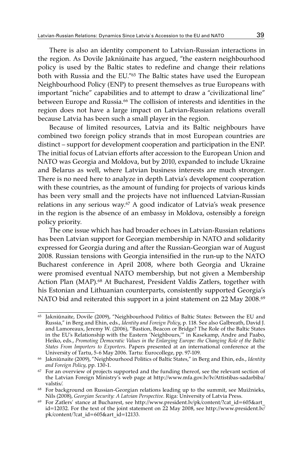There is also an identity component to Latvian-Russian interactions in the region. As Dovile Jakniūnaite has argued, "the eastern neighbourhood policy is used by the Baltic states to redefine and change their relations both with Russia and the EU."65 The Baltic states have used the European Neighbourhood Policy (ENP) to present themselves as true Europeans with important "niche" capabilities and to attempt to draw a "civilizational line" between Europe and Russia.66 The collision of interests and identities in the region does not have a large impact on Latvian-Russian relations overall because Latvia has been such a small player in the region.

Because of limited resources, Latvia and its Baltic neighbours have combined two foreign policy strands that in most European countries are distinct – support for development cooperation and participation in the ENP. The initial focus of Latvian efforts after accession to the European Union and NATO was Georgia and Moldova, but by 2010, expanded to include Ukraine and Belarus as well, where Latvian business interests are much stronger. There is no need here to analyze in depth Latvia's development cooperation with these countries, as the amount of funding for projects of various kinds has been very small and the projects have not influenced Latvian-Russian relations in any serious way.67 A good indicator of Latvia's weak presence in the region is the absence of an embassy in Moldova, ostensibly a foreign policy priority.

The one issue which has had broader echoes in Latvian-Russian relations has been Latvian support for Georgian membership in NATO and solidarity expressed for Georgia during and after the Russian-Georgian war of August 2008. Russian tensions with Georgia intensified in the run-up to the NATO Bucharest conference in April 2008, where both Georgia and Ukraine were promised eventual NATO membership, but not given a Membership Action Plan (MAP).<sup>68</sup> At Bucharest, President Valdis Zatlers, together with his Estonian and Lithuanian counterparts, consistently supported Georgia's NATO bid and reiterated this support in a joint statement on 22 May 2008.<sup>69</sup>

<sup>65</sup> Jakniūnaite, Dovile (2009), "Neighbourhood Politics of Baltic States: Between the EU and Russia," in Berg and Ehin, eds., *Identity and Foreign Policy*, p. 118. See also Galbreath, David J. and Lamoreaux, Jeremy W. (2006), "Bastion, Beacon or Bridge? The Role of the Baltic States in the EU's Relationship with the Eastern 'Neighbours,'" in Kasekamp, Andre and Paabo, Heiko, eds., *Promoting Democratic Values in the Enlarging Europe: the Changing Role of the Baltic States From Importers to Exporters*. Papers presented at an international conference at the

<sup>&</sup>lt;sup>66</sup> Jakniūnaite (2009), "Neighbourhood Politics of Baltic States," in Berg and Ehin, eds., *Identity and Foreign Policy*, pp. 130-1.

<sup>&</sup>lt;sup>67</sup> For an overview of projects supported and the funding thereof, see the relevant section of the Latvian Foreign Ministry's web page at http://www.mfa.gov.lv/lv/Attistibas-sadarbiba/ valstis/.

<sup>68</sup> For background on Russian-Georgian relations leading up to the summit, see Muižnieks, Nils (2008), *Georgian Security: A Latvian Perspective*. Riga: University of Latvia Press.

<sup>69</sup> For Zatlers' stance at Bucharest, see http://www.president.lv/pk/content/?cat\_id=605&art\_ id=12032. For the text of the joint statement on 22 May 2008, see http://www.president.lv/ pk/content/?cat\_id=605&art\_id=12133.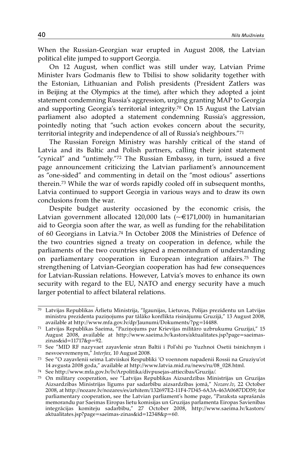When the Russian-Georgian war erupted in August 2008, the Latvian political elite jumped to support Georgia.

On 12 August, when conflict was still under way, Latvian Prime Minister Ivars Godmanis flew to Tbilisi to show solidarity together with the Estonian, Lithuanian and Polish presidents (President Zatlers was in Beijing at the Olympics at the time), after which they adopted a joint statement condemning Russia's aggression, urging granting MAP to Georgia and supporting Georgia's territorial integrity.<sup>70</sup> On 15 August the Latvian parliament also adopted a statement condemning Russia's aggression, pointedly noting that "such action evokes concern about the security, territorial integrity and independence of all of Russia's neighbours."71

The Russian Foreign Ministry was harshly critical of the stand of Latvia and its Baltic and Polish partners, calling their joint statement "cynical" and "untimely."72 The Russian Embassy, in turn, issued a five page announcement criticizing the Latvian parliament's announcement as "one-sided" and commenting in detail on the "most odious" assertions therein.73 While the war of words rapidly cooled off in subsequent months, Latvia continued to support Georgia in various ways and to draw its own conclusions from the war.

Despite budget austerity occasioned by the economic crisis, the Latvian government allocated 120,000 lats ( $\sim \epsilon$ 171,000) in humanitarian aid to Georgia soon after the war, as well as funding for the rehabilitation of 60 Georgians in Latvia.74 In October 2008 the Ministries of Defence of the two countries signed a treaty on cooperation in defence, while the parliaments of the two countries signed a memorandum of understanding on parliamentary cooperation in European integration affairs.75 The strengthening of Latvian-Georgian cooperation has had few consequences for Latvian-Russian relations. However, Latvia's moves to enhance its own security with regard to the EU, NATO and energy security have a much larger potential to affect bilateral relations.

<sup>70</sup> Latvijas Republikas Ārlietu Ministrija, "Igaunijas, Lietuvas, Polijas prezidentu un Latvijas ministru prezidenta paziņojums par tālāko konflikta risinājumu Gruzijā," 13 August 2008, available at http://www.mfa.gov.lv/dp/Jaunumi/Dokuments/?pg=14488.

 $71$  Latvijas Republikas Saeima, "Paziņojums par Krievijas militāro uzbrukumu Gruzijai," 15 August 2008, available at http://www.saeima.lv/kastors/aktualitates.jsp?page=saeimas-

<sup>&</sup>lt;sup>72</sup> See "MID RF nazyvaet zayavlenie stran Baltii i Pol'shi po Yuzhnoi Osetii tsinichnym i nesvoevremenym," Interfax, 10 August 2008.

<sup>&</sup>lt;sup>73</sup> See "O zayavlenii seima Latviiskoi Respubliki 'O voennom napadenii Rossii na Gruziyu'ot 14 avgusta 2008 goda," available at http://www.latvia.mid.ru/news/ru/08\_028.html.

<sup>74</sup> See http://www.mfa.gov.lv/lv/Arpolitika/divpusejas-attiecibas/Gruzija/.

<sup>75</sup> On military cooperation, see "Latvijas Republikas Aizsardzības Ministrijas un Gruzijas Aizsardzības Ministrijas līgums par sadarbību aizsardzības jomā," *Nozare.lv*, 22 October 2008, at http://nozare.lv/nozares/es/arhitem/132697E2-11F4-7D45-6A3A-463A0687DD59; for parliamentary cooperation, see the Latvian parliament's home page, "Paraksta saprašanās memorandu par Saeimas Eiropas lietu komisijas un Gruzijas parlamenta Eiropas Savienības integrācijas komiteju sadarbību," 27 October 2008, http://www.saeima.lv/kastors/ aktualitates.jsp?page=saeimas-zinas&id=12348&p=60.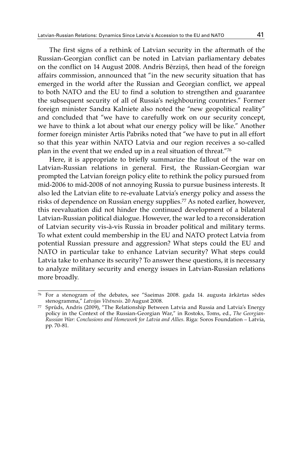The first signs of a rethink of Latvian security in the aftermath of the Russian-Georgian conflict can be noted in Latvian parliamentary debates on the conflict on 14 August 2008. Andris Bērziņš, then head of the foreign affairs commission, announced that "in the new security situation that has emerged in the world after the Russian and Georgian conflict, we appeal to both NATO and the EU to find a solution to strengthen and guarantee the subsequent security of all of Russia's neighbouring countries." Former foreign minister Sandra Kalniete also noted the "new geopolitical reality" and concluded that "we have to carefully work on our security concept, we have to think a lot about what our energy policy will be like." Another former foreign minister Artis Pabriks noted that "we have to put in all effort so that this year within NATO Latvia and our region receives a so-called plan in the event that we ended up in a real situation of threat."76

Here, it is appropriate to briefly summarize the fallout of the war on Latvian-Russian relations in general. First, the Russian-Georgian war prompted the Latvian foreign policy elite to rethink the policy pursued from mid-2006 to mid-2008 of not annoying Russia to pursue business interests. It also led the Latvian elite to re-evaluate Latvia's energy policy and assess the risks of dependence on Russian energy supplies.77 As noted earlier, however, this reevaluation did not hinder the continued development of a bilateral Latvian-Russian political dialogue. However, the war led to a reconsideration of Latvian security vis-à-vis Russia in broader political and military terms. To what extent could membership in the EU and NATO protect Latvia from potential Russian pressure and aggression? What steps could the EU and NATO in particular take to enhance Latvian security? What steps could Latvia take to enhance its security? To answer these questions, it is necessary to analyze military security and energy issues in Latvian-Russian relations more broadly.

<sup>&</sup>lt;sup>76</sup> For a stenogram of the debates, see "Saeimas 2008. gada 14. augusta ārkārtas sēdes stenogramma," Latvijas Vēstnesis. 20 August 2008.

<sup>&</sup>lt;sup>77</sup> Sprūds, Andris (2009), "The Relationship Between Latvia and Russia and Latvia's Energy policy in the Context of the Russian-Georgian War," in Rostoks, Toms, ed., *The Georgian-Russian War: Conclusions and Homework for Latvia and Allies*. Riga: Soros Foundation – Latvia, pp. 70-81.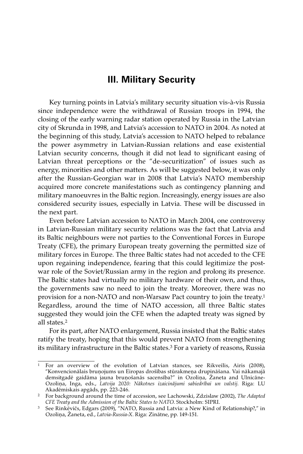# **III. Military Security**

Key turning points in Latvia's military security situation vis-à-vis Russia since independence were the withdrawal of Russian troops in 1994, the closing of the early warning radar station operated by Russia in the Latvian city of Skrunda in 1998, and Latvia's accession to NATO in 2004. As noted at the beginning of this study, Latvia's accession to NATO helped to rebalance the power asymmetry in Latvian-Russian relations and ease existential Latvian security concerns, though it did not lead to significant easing of Latvian threat perceptions or the "de-securitization" of issues such as energy, minorities and other matters. As will be suggested below, it was only after the Russian-Georgian war in 2008 that Latvia's NATO membership acquired more concrete manifestations such as contingency planning and military manoeuvres in the Baltic region. Increasingly, energy issues are also considered security issues, especially in Latvia. These will be discussed in the next part.

Even before Latvian accession to NATO in March 2004, one controversy in Latvian-Russian military security relations was the fact that Latvia and its Baltic neighbours were not parties to the Conventional Forces in Europe Treaty (CFE), the primary European treaty governing the permitted size of military forces in Europe. The three Baltic states had not acceded to the CFE upon regaining independence, fearing that this could legitimize the postwar role of the Soviet/Russian army in the region and prolong its presence. The Baltic states had virtually no military hardware of their own, and thus, the governments saw no need to join the treaty. Moreover, there was no provision for a non-NATO and non-Warsaw Pact country to join the treaty.1 Regardless, around the time of NATO accession, all three Baltic states suggested they would join the CFE when the adapted treaty was signed by all states.2

For its part, after NATO enlargement, Russia insisted that the Baltic states ratify the treaty, hoping that this would prevent NATO from strengthening its military infrastructure in the Baltic states.3 For a variety of reasons, Russia

<sup>&</sup>lt;sup>1</sup> For an overview of the evolution of Latvian stances, see Rikveilis, Airis (2008), "Konvencionālais bruņojums un Eiropas drošības stūrakmeņa drupināšana. Vai nākamajā demsitgadē gaidāma jauna bruņošanās sacensība?" in Ozoliņa, Žaneta and Ulnicāne-Ozoliņa, Inga, eds., *Latvija 2020: Nākotnes izaicinājumi sabiedrībai un valstij*. Riga: LU

<sup>&</sup>lt;sup>2</sup> For background around the time of accession, see Lachowski, Zdzislaw (2002), *The Adapted CFE Treaty and the Admission of the Baltic States to NATO*. Stockholm: SIPRI.

<sup>&</sup>lt;sup>3</sup> See Rinkēvičs, Edgars (2009), "NATO, Russia and Latvia: a New Kind of Relationship?," in Ozoliņa, Žaneta, ed., *Latvia-Russia-X*. Riga: Zinātne, pp. 149-151.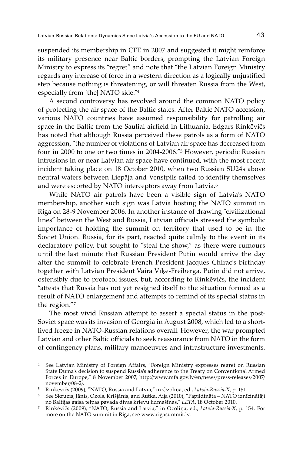suspended its membership in CFE in 2007 and suggested it might reinforce its military presence near Baltic borders, prompting the Latvian Foreign Ministry to express its "regret" and note that "the Latvian Foreign Ministry regards any increase of force in a western direction as a logically unjustified step because nothing is threatening, or will threaten Russia from the West, especially from [the] NATO side."4

A second controversy has revolved around the common NATO policy of protecting the air space of the Baltic states. After Baltic NATO accession, various NATO countries have assumed responsibility for patrolling air space in the Baltic from the Sauliai airfield in Lithuania. Edgars Rinkēvičs has noted that although Russia perceived these patrols as a form of NATO aggression, "the number of violations of Latvian air space has decreased from four in 2000 to one or two times in 2004-2006."5 However, periodic Russian intrusions in or near Latvian air space have continued, with the most recent incident taking place on 18 October 2010, when two Russian SU24s above neutral waters between Liepāja and Venstpils failed to identify themselves and were escorted by NATO interceptors away from Latvia.<sup>6</sup>

While NATO air patrols have been a visible sign of Latvia's NATO membership, another such sign was Latvia hosting the NATO summit in Riga on 28-9 November 2006. In another instance of drawing "civilizational lines" between the West and Russia, Latvian officials stressed the symbolic importance of holding the summit on territory that used to be in the Soviet Union. Russia, for its part, reacted quite calmly to the event in its declaratory policy, but sought to "steal the show," as there were rumours until the last minute that Russian President Putin would arrive the day after the summit to celebrate French President Jacques Chirac's birthday together with Latvian President Vaira Vīķe-Freiberga. Putin did not arrive, ostensibly due to protocol issues, but, according to Rinkēvičs, the incident "attests that Russia has not yet resigned itself to the situation formed as a result of NATO enlargement and attempts to remind of its special status in the region."7

The most vivid Russian attempt to assert a special status in the post-Soviet space was its invasion of Georgia in August 2008, which led to a shortlived freeze in NATO-Russian relations overall. However, the war prompted Latvian and other Baltic officials to seek reassurance from NATO in the form of contingency plans, military manoeuvres and infrastructure investments.

<sup>4</sup> See Latvian Ministry of Foreign Affairs, "Foreign Ministry expresses regret on Russian State Duma's decision to suspend Russia's adherence to the Treaty on Conventional Armed Forces in Europe," 8 November 2007, http://www.mfa.gov.lv/en/news/press-releases/2007/ november/08-2/.<br>
<sup>5</sup> Rinkēvičs (2009), "NATO, Russia and Latvia," in Ozoliņa, ed., *Latvia-Russia-X*, p. 151.

<sup>5</sup> See Skruzis, Jānis, Ozols, Krišjānis, and Rutka, Aija (2010), "Papildināta – NATO iznīcinātāji<br>10 Ratijas gaisa telpas pavada divas krievu lidmašīnas, "LETA, 18 October 2010.

no Baltijas gaisa telpas pavada divas pavada divas krievu lidmas pavada divas krievu zamestamas, p. 154. For 20<br><sup>7</sup> Rinkēvičs (2009), "NATO, Russia and Latvia," in Ozoliņa, ed., *Latvia-Russia-X*, p. 154. For more on the NATO summit in Riga, see www.rigasummit.lv.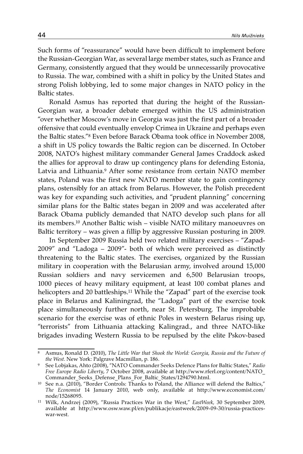Such forms of "reassurance" would have been difficult to implement before the Russian-Georgian War, as several large member states, such as France and Germany, consistently argued that they would be unnecessarily provocative to Russia. The war, combined with a shift in policy by the United States and strong Polish lobbying, led to some major changes in NATO policy in the Baltic states.

Ronald Asmus has reported that during the height of the Russian-Georgian war, a broader debate emerged within the US administration "over whether Moscow's move in Georgia was just the first part of a broader offensive that could eventually envelop Crimea in Ukraine and perhaps even the Baltic states."8 Even before Barack Obama took office in November 2008, a shift in US policy towards the Baltic region can be discerned. In October 2008, NATO's highest military commander General James Craddock asked the allies for approval to draw up contingency plans for defending Estonia, Latvia and Lithuania.9 After some resistance from certain NATO member states, Poland was the first new NATO member state to gain contingency plans, ostensibly for an attack from Belarus. However, the Polish precedent was key for expanding such activities, and "prudent planning" concerning similar plans for the Baltic states began in 2009 and was accelerated after Barack Obama publicly demanded that NATO develop such plans for all its members.10 Another Baltic wish – visible NATO military manoeuvres on Baltic territory – was given a fillip by aggressive Russian posturing in 2009.

In September 2009 Russia held two related military exercises – "Zapad-2009" and "Ladoga – 2009"- both of which were perceived as distinctly threatening to the Baltic states. The exercises, organized by the Russian military in cooperation with the Belarusian army, involved around 15,000 Russian soldiers and navy servicemen and 6,500 Belarusian troops, 1000 pieces of heavy military equipment, at least 100 combat planes and helicopters and 20 battleships.<sup>11</sup> While the "Zapad" part of the exercise took place in Belarus and Kaliningrad, the "Ladoga" part of the exercise took place simultaneously further north, near St. Petersburg. The improbable scenario for the exercise was of ethnic Poles in western Belarus rising up, "terrorists" from Lithuania attacking Kalingrad., and three NATO-like brigades invading Western Russia to be repulsed by the elite Pskov-based

<sup>8</sup> Asmus, Ronald D. (2010), *The Little War that Shook the World: Georgia, Russia and the Future of* 

*the West*. New York: Palgrave Macmillan, p. 186. 9 See Lobjakas, Ahto (2008), "NATO Commander Seeks Defence Plans for Baltic States," *Radio Free Europe Radio Liberty*, 7 October 2008, available at http://www.rferl.org/content/NATO\_ Commander\_Seeks\_Defense\_Plans\_For\_Baltic\_States/1294790.html.

 $^{10}$  See n.a. (2010), "Border Controls: Thanks to Poland, the Alliance will defend the Baltics," *The Economist* 14 January 2010, web only, available at http://www.economist.com/ node/15268095.

<sup>11</sup> Wilk, Andrzej (2009), "Russia Practices War in the West," *EastWeek,* 30 September 2009, available at http://www.osw.waw.pl/en/publikacje/eastweek/2009-09-30/russia-practiceswar-west.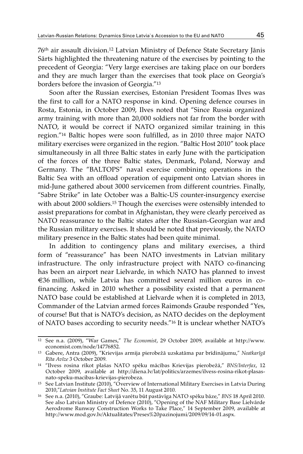76th air assault division.12 Latvian Ministry of Defence State Secretary Jānis Sārts highlighted the threatening nature of the exercises by pointing to the precedent of Georgia: "Very large exercises are taking place on our borders and they are much larger than the exercises that took place on Georgia's borders before the invasion of Georgia."13

Soon after the Russian exercises, Estonian President Toomas Ilves was the first to call for a NATO response in kind. Opening defence courses in Rosta, Estonia, in October 2009, Ilves noted that "Since Russia organized army training with more than 20,000 soldiers not far from the border with NATO, it would be correct if NATO organized similar training in this region."14 Baltic hopes were soon fulfilled, as in 2010 three major NATO military exercises were organized in the region. "Baltic Host 2010" took place simultaneously in all three Baltic states in early June with the participation of the forces of the three Baltic states, Denmark, Poland, Norway and Germany. The "BALTOPS" naval exercise combining operations in the Baltic Sea with an offload operation of equipment onto Latvian shores in mid-June gathered about 3000 servicemen from different countries. Finally, "Sabre Strike" in late October was a Baltic-US counter-insurgency exercise with about 2000 soldiers.<sup>15</sup> Though the exercises were ostensibly intended to assist preparations for combat in Afghanistan, they were clearly perceived as NATO reassurance to the Baltic states after the Russian-Georgian war and the Russian military exercises. It should be noted that previously, the NATO military presence in the Baltic states had been quite minimal.

In addition to contingency plans and military exercises, a third form of "reassurance" has been NATO investments in Latvian military infrastructure. The only infrastructure project with NATO co-financing has been an airport near Lielvarde, in which NATO has planned to invest €36 million, while Latvia has committed several million euros in cofinancing. Asked in 2010 whether a possibility existed that a permanent NATO base could be established at Lielvarde when it is completed in 2013, Commander of the Latvian armed forces Raimonds Graube responded "Yes, of course! But that is NATO's decision, as NATO decides on the deployment of NATO bases according to security needs."16 It is unclear whether NATO's

<sup>12</sup> See n.a. (2009), "War Games," *The Economist*, 29 October 2009, available at http://www.

 $^{13}$ Gabere, Antra (2009), "Krievijas armija pierobežā uzskatāma par brīdinājumu, "  $\emph{Neatkarīgā}$  *Rīta Avīze* 3 October 2009.

<sup>&</sup>lt;sup>14</sup> "Ilvess rosina rīkot plašas NATO spēku mācības Krievijas pierobežā," *BNS/Interfax*, 12 October 2009, available at http://diena.lv/lat/politics/arzemes/ilvess-rosina-rikot-plasasnato-speku-macibas-krievijas-pierobeza.

<sup>&</sup>lt;sup>15</sup> See Latvian Institute (2010), "Overview of International Military Exercises in Latvia During 2010,"*Latvian Institute Fact Sheet* No. 35, 11 August 2010.

<sup>&</sup>lt;sup>16</sup> See n.a. (2010), "Graube: Latvijā varētu būt pastāvīga NATO spēku bāze," *BNS* 18 April 2010. See also Latvian Ministry of Defence (2010), "Opening of the NAF Military Base Lielvārde Aerodrome Runway Construction Works to Take Place," 14 September 2009, available at http://www.mod.gov.lv/Aktualitates/Preses%20pazinojumi/2009/09/14-01.aspx.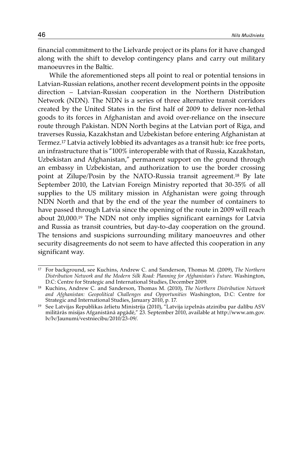financial commitment to the Lielvarde project or its plans for it have changed along with the shift to develop contingency plans and carry out military manoeuvres in the Baltic.

While the aforementioned steps all point to real or potential tensions in Latvian-Russian relations, another recent development points in the opposite direction – Latvian-Russian cooperation in the Northern Distribution Network (NDN). The NDN is a series of three alternative transit corridors created by the United States in the first half of 2009 to deliver non-lethal goods to its forces in Afghanistan and avoid over-reliance on the insecure route through Pakistan. NDN North begins at the Latvian port of Riga, and traverses Russia, Kazakhstan and Uzbekistan before entering Afghanistan at Termez.17 Latvia actively lobbied its advantages as a transit hub: ice free ports, an infrastructure that is "100% interoperable with that of Russia, Kazakhstan, Uzbekistan and Afghanistan," permanent support on the ground through an embassy in Uzbekistan, and authorization to use the border crossing point at Zilupe/Posin by the NATO-Russia transit agreement.18 By late September 2010, the Latvian Foreign Ministry reported that 30-35% of all supplies to the US military mission in Afghanistan were going through NDN North and that by the end of the year the number of containers to have passed through Latvia since the opening of the route in 2009 will reach about 20,000.19 The NDN not only implies significant earnings for Latvia and Russia as transit countries, but day-to-day cooperation on the ground. The tensions and suspicions surrounding military manoeuvres and other security disagreements do not seem to have affected this cooperation in any significant way.

<sup>17</sup> For background, see Kuchins, Andrew C. and Sanderson, Thomas M. (2009), *The Northern Distribution Network and the Modern Silk Road: Planning for Afghanistan's Future.* Washington,

<sup>&</sup>lt;sup>18</sup> Kuchins, Andrew C. and Sanderson, Thomas M. (2010), *The Northern Distribution Network and Afghanistan: Geopolitical Challenges and Opportunities* Washington, D.C: Centre for Strategic and International Studies, January 2010, p. 17.

<sup>19</sup> See Latvijas Republikas ārlietu Ministrija (2010), "Latvija izpelnās atzinību par dalību ASV militārās misijas Afganistānā apgādē," 23. September 2010, available at http://www.am.gov. lv/lv/Jaunumi/vestniecibu/2010/23-09/.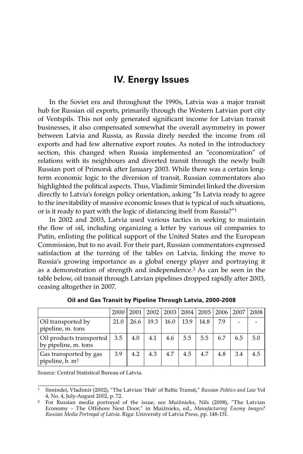# **IV. Energy Issues**

In the Soviet era and throughout the 1990s, Latvia was a major transit hub for Russian oil exports, primarily through the Western Latvian port city of Ventspils. This not only generated significant income for Latvian transit businesses, it also compensated somewhat the overall asymmetry in power between Latvia and Russia, as Russia direly needed the income from oil exports and had few alternative export routes. As noted in the introductory section, this changed when Russia implemented an "economization" of relations with its neighbours and diverted transit through the newly built Russian port of Primorsk after January 2003. While there was a certain longterm economic logic to the diversion of transit, Russian commentators also highlighted the political aspects. Thus, Vladimir Simindei linked the diversion directly to Latvia's foreign policy orientation, asking "Is Latvia ready to agree to the inevitability of massive economic losses that is typical of such situations, or is it ready to part with the logic of distancing itself from Russia?"1

In 2002 and 2003, Latvia used various tactics in seeking to maintain the flow of oil, including organizing a letter by various oil companies to Putin, enlisting the political support of the United States and the European Commission, but to no avail. For their part, Russian commentators expressed satisfaction at the turning of the tables on Latvia, linking the move to Russia's growing importance as a global energy player and portraying it as a demonstration of strength and independence.2 As can be seen in the table below, oil transit through Latvian pipelines dropped rapidly after 2003, ceasing altogether in 2007.

|                                                       | 2000 | 2001 | 2002 |      | 2003 2004 |      | 2005   2006 | .2007 | 2008 |
|-------------------------------------------------------|------|------|------|------|-----------|------|-------------|-------|------|
| Oil transported by<br>pipeline, m. tons               | 21.0 | 26.6 | 19.3 | 16.0 | 13.9      | 14.8 | 7.9         |       |      |
| Oil products transported<br>by pipeline, m. tons      | 3.5  | 4.0  | 4.1  | 4.6  | 5.5       | 5.5  | 6.7         | 6.5   | 5.0  |
| Gas transported by gas<br>pipeline, b. m <sup>3</sup> | 3.9  | 4.2  | 4.3  | 4.7  | 4.5       | 4.7  | 4.8         | 3.4   | 4.5  |

**Oil and Gas Transit by Pipeline Through Latvia, 2000-2008**

Source: Central Statistical Bureau of Latvia.

<sup>1</sup> Simindei, Vladimir (2002), "The Latvian 'Hub' of Baltic Transit," *Russian Politics and Law* Vol 4, No. 4, July-August 2002, p. 72.

 $^2$  For Russian media portrayal of the issue, see Muižnieks, Nils (2008), "The Latvian Economy – The Offshore Next Door," in Muižnieks, ed., *Manufacturing Enemy Images? Russian Media Portrayal of Latvia*. Riga: University of Latvia Press, pp. 148-151.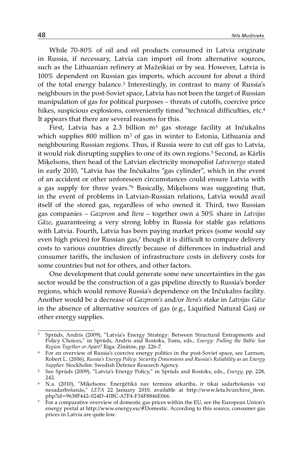While 70-80% of oil and oil products consumed in Latvia originate in Russia, if necessary, Latvia can import oil from alternative sources, such as the Lithuanian refinery at Mažeikiai or by sea. However, Latvia is 100% dependent on Russian gas imports, which account for about a third of the total energy balance.3 Interestingly, in contrast to many of Russia's neighbours in the post-Soviet space, Latvia has not been the target of Russian manipulation of gas for political purposes – threats of cutoffs, coercive price hikes, suspicious explosions, conveniently timed "technical difficulties, etc.<sup>4</sup> It appears that there are several reasons for this.

First, Latvia has a 2.3 billion m<sup>3</sup> gas storage facility at Inčukalns which supplies 800 million m<sup>3</sup> of gas in winter to Estonia, Lithuania and neighbouring Russian regions. Thus, if Russia were to cut off gas to Latvia, it would risk disrupting supplies to one of its own regions.5 Second, as Kārlis Miķelsons, then head of the Latvian electricity monopolist *Latvenergo* stated in early 2010, "Latvia has the Inčukalns "gas cylinder", which in the event of an accident or other unforeseen circumstances could ensure Latvia with a gas supply for three years."6 Basically, Miķelsons was suggesting that, in the event of problems in Latvian-Russian relations, Latvia would avail itself of the stored gas, regardless of who owned it. Third, two Russian gas companies – *Gazprom* and *Itera* – together own a 50% share in *Latvijas Gāze*, guaranteeing a very strong lobby in Russia for stable gas relations with Latvia. Fourth, Latvia has been paying market prices (some would say even high prices) for Russian gas,<sup>7</sup> though it is difficult to compare delivery costs to various countries directly because of differences in industrial and consumer tariffs, the inclusion of infrastructure costs in delivery costs for some countries but not for others, and other factors.

One development that could generate some new uncertainties in the gas sector would be the construction of a gas pipeline directly to Russia's border regions, which would remove Russia's dependence on the Inčukalns facility. Another would be a decrease of *Gazprom's* and/or *Itera's* stake in *Latvijas Gāze* in the absence of alternative sources of gas (e.g., Liquified Natural Gas) or other energy supplies.

<sup>&</sup>lt;sup>3</sup> Sprūds, Andris (2009), "Latvia's Energy Strategy: Between Structural Entrapments and Policy Choices," in Sprūds, Andris and Rostoks, Toms, eds., *Energy: Pulling the Baltic Sea* 

<sup>&</sup>lt;sup>4</sup> For an overview of Russia's coercive energy politics in the post-Soviet space, see Larrson, Robert L. (2006), *Russia's Energy Policy: Security Dimensions and Russia's Reliability as an Energy Supplier.* Stockholm: Swedish Defence Research Agency.

<sup>5</sup> See Sprūds (2009), "Latvia's Energy Policy," in Sprūds and Rostoks, eds., *Energy*, pp. 228, 242.

<sup>6</sup> N.a. (2010), "Miķelsons: Enerģētikā nav termina atkarība, ir tikai sadarbošanās vai nesadarbošanās," *LETA* 22 January 2010, available at http://www.leta.lv/archive\_item.

php?id=9638F442-024D-41BC-A7F4-F34F8846E066. 7 For a comparative overview of domestic gas prices within the EU, see the European Union's energy portal at http://www.energy.eu/#Domestic. According to this source, consumer gas prices in Latvia are quite low.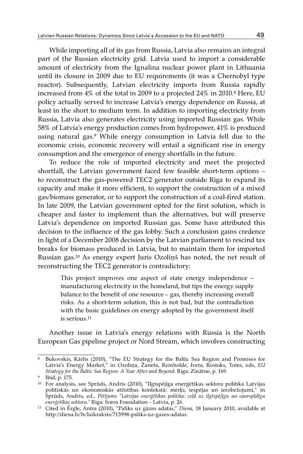While importing all of its gas from Russia, Latvia also remains an integral part of the Russian electricity grid. Latvia used to import a considerable amount of electricity from the Ignalina nuclear power plant in Lithuania until its closure in 2009 due to EU requirements (it was a Chernobyl type reactor). Subsequently, Latvian electricity imports from Russia rapidly increased from 4% of the total in 2009 to a projected 24% in 2010.8 Here, EU policy actually served to increase Latvia's energy dependence on Russia, at least in the short to medium term. In addition to importing electricity from Russia, Latvia also generates electricity using imported Russian gas. While 58% of Latvia's energy production comes from hydropower, 41% is produced using natural gas.9 While energy consumption in Latvia fell due to the economic crisis, economic recovery will entail a significant rise in energy consumption and the emergence of energy shortfalls in the future.

To reduce the role of imported electricity and meet the projected shortfall, the Latvian government faced few feasible short-term options – to reconstruct the gas-powered TEC2 generator outside Riga to expand its capacity and make it more efficient, to support the construction of a mixed gas/biomass generator, or to support the construction of a coal-fired station. In late 2009, the Latvian government opted for the first solution, which is cheaper and faster to implement than the alternatives, but will preserve Latvia's dependence on imported Russian gas. Some have attributed this decision to the influence of the gas lobby. Such a conclusion gains credence in light of a December 2008 decision by the Latvian parliament to rescind tax breaks for biomass produced in Latvia, but to maintain them for imported Russian gas.10 As energy expert Juris Ozoliņš has noted, the net result of reconstructing the TEC2 generator is contradictory:

This project improves one aspect of state energy independence – manufacturing electricity in the homeland, but tips the energy supply balance to the benefit of one resource – gas, thereby increasing overall risks. As a short-term solution, this is not bad, but the contradiction with the basic guidelines on energy adopted by the government itself is serious.11

Another issue in Latvia's energy relations with Russia is the North European Gas pipeline project or Nord Stream, which involves constructing

<sup>8</sup> Bukovskis, Kārlis (2010), "The EU Strategy for the Baltic Sea Region and Promises for Latvia's Energy Market," in Ozoliņa, Žaneta, Reinholde, Iveta, Rostoks, Toms, eds, *EU Strategy for the Baltic Sea Region: A Year After and Beyond*. Riga: Zinātne, p. 169. 9 Ibid, p. 175.

<sup>10</sup> For analysis, see Sprūds, Andris (2010), "Ilgtspējīga enerģētikas sektora politika Latvijas politiskās un ekonomiskās attīstības kontekstā: mērķi, iespējas un ierobežojumi," in Sprūds, Andris, ed., *Pētījums "Latvijas enerģētikas politika: ceļā uz ilgtspējīgu un caurspīdīgu enerģetīkas sektoru."* Riga: Soros Foundation – Latvia, p. 26.

<sup>11</sup> Cited in Ērgle, Antra (2010), "Paliks uz gāzes adatas," *Diena,* 18 January 2010, available at http://diena.lv/lv/laikraksts/713998-paliks-uz-gazes-adatas.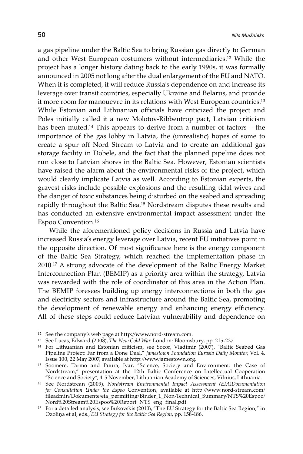a gas pipeline under the Baltic Sea to bring Russian gas directly to German and other West European costumers without intermediaries.12 While the project has a longer history dating back to the early 1990s, it was formally announced in 2005 not long after the dual enlargement of the EU and NATO. When it is completed, it will reduce Russia's dependence on and increase its leverage over transit countries, especially Ukraine and Belarus, and provide it more room for manouevre in its relations with West European countries.<sup>13</sup> While Estonian and Lithuanian officials have criticized the project and Poles initially called it a new Molotov-Ribbentrop pact, Latvian criticism has been muted.14 This appears to derive from a number of factors – the importance of the gas lobby in Latvia, the (unrealistic) hopes of some to create a spur off Nord Stream to Latvia and to create an additional gas storage facility in Dobele, and the fact that the planned pipeline does not run close to Latvian shores in the Baltic Sea. However, Estonian scientists have raised the alarm about the environmental risks of the project, which would clearly implicate Latvia as well. According to Estonian experts, the gravest risks include possible explosions and the resulting tidal wives and the danger of toxic substances being disturbed on the seabed and spreading rapidly throughout the Baltic Sea.15 Nordstream disputes these results and has conducted an extensive environmental impact assessment under the Espoo Convention.16

While the aforementioned policy decisions in Russia and Latvia have increased Russia's energy leverage over Latvia, recent EU initiatives point in the opposite direction. Of most significance here is the energy component of the Baltic Sea Strategy, which reached the implementation phase in 2010.17 A strong advocate of the development of the Baltic Energy Market Interconnection Plan (BEMIP) as a priority area within the strategy, Latvia was rewarded with the role of coordinator of this area in the Action Plan. The BEMIP foresees building up energy interconnections in both the gas and electricity sectors and infrastructure around the Baltic Sea, promoting the development of renewable energy and enhancing energy efficiency. All of these steps could reduce Latvian vulnerability and dependence on

<sup>12</sup> See the company's web page at http://www.nord-stream.com.

<sup>13</sup> See Lucas, Edward (2008), *The New Cold War*. London: Bloomsbury, pp. 215-227.

<sup>&</sup>lt;sup>14</sup> For Lithuanian and Estonian criticism, see Socor, Vladimir (2007), "Baltic Seabed Gas Pipeline Project: Far from a Done Deal," *Jamestown Foundation Eurasia Daily Monitor*, Vol. 4, Issue 100, 22 May 2007, available at http://www.jamestown.org.

<sup>15</sup> Soomere, Tarmo and Puura, Ivar, "Science, Society and Environment: the Case of Nordstream," presentation at the 12th Baltic Conference on Intellectual Cooperation

<sup>&</sup>lt;sup>16</sup> See Nordstrean (2009), *Nordstream Environmental Impact Assessment (EIA)Documentation for Consultation Under the Espoo* Convention, available at http://www.nord-stream.com/ fileadmin/Dokumente/eia\_permitting/Binder\_1\_Non-Technical\_Summary/NTS%20Espoo/ Nord%20Stream%20Espoo%20Report\_NTS\_eng\_final.pdf.

 $^{17}$  For a detailed analysis, see Bukovskis (2010), "The EU Strategy for the Baltic Sea Region," in Ozoliņa et al, eds., *EU Strategy for the Baltic Sea Region*, pp. 158-186.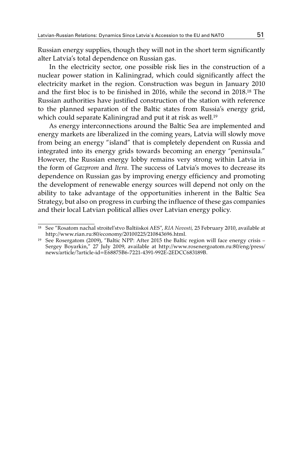Russian energy supplies, though they will not in the short term significantly alter Latvia's total dependence on Russian gas.

In the electricity sector, one possible risk lies in the construction of a nuclear power station in Kaliningrad, which could significantly affect the electricity market in the region. Construction was begun in January 2010 and the first bloc is to be finished in 2016, while the second in 2018.18 The Russian authorities have justified construction of the station with reference to the planned separation of the Baltic states from Russia's energy grid, which could separate Kaliningrad and put it at risk as well.<sup>19</sup>

As energy interconnections around the Baltic Sea are implemented and energy markets are liberalized in the coming years, Latvia will slowly move from being an energy "island" that is completely dependent on Russia and integrated into its energy grids towards becoming an energy "peninsula." However, the Russian energy lobby remains very strong within Latvia in the form of *Gazprom* and *Itera*. The success of Latvia's moves to decrease its dependence on Russian gas by improving energy efficiency and promoting the development of renewable energy sources will depend not only on the ability to take advantage of the opportunities inherent in the Baltic Sea Strategy, but also on progress in curbing the influence of these gas companies and their local Latvian political allies over Latvian energy policy.

<sup>18</sup> See "Rosatom nachal stroitel'stvo Baltiiskoi AES", *RIA Novosti,* 25 February 2010, available at http://www.rian.ru:80/economy/20100225/210843696.html.

<sup>19</sup> See Rosergatom (2009), "Baltic NPP: After 2015 the Baltic region will face energy crisis – Sergey Boyarkin," 27 July 2009, available at http://www.rosenergoatom.ru:80/eng/press/ news/article/?article-id=E68875B6-7221-4391-992E-2EDCC683189B.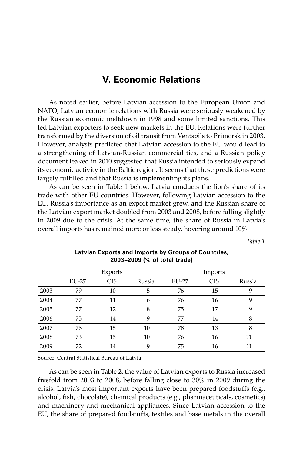## **V. Economic Relations**

As noted earlier, before Latvian accession to the European Union and NATO, Latvian economic relations with Russia were seriously weakened by the Russian economic meltdown in 1998 and some limited sanctions. This led Latvian exporters to seek new markets in the EU. Relations were further transformed by the diversion of oil transit from Ventspils to Primorsk in 2003. However, analysts predicted that Latvian accession to the EU would lead to a strengthening of Latvian-Russian commercial ties, and a Russian policy document leaked in 2010 suggested that Russia intended to seriously expand its economic activity in the Baltic region. It seems that these predictions were largely fulfilled and that Russia is implementing its plans.

As can be seen in Table 1 below, Latvia conducts the lion's share of its trade with other EU countries. However, following Latvian accession to the EU, Russia's importance as an export market grew, and the Russian share of the Latvian export market doubled from 2003 and 2008, before falling slightly in 2009 due to the crisis. At the same time, the share of Russia in Latvia's overall imports has remained more or less steady, hovering around 10%.

*Table 1*

|      |       | Exports    |        | Imports |            |        |  |
|------|-------|------------|--------|---------|------------|--------|--|
|      | EU-27 | <b>CIS</b> | Russia | EU-27   | <b>CIS</b> | Russia |  |
| 2003 | 79    | 10         | 5      | 76      | 15         | 9      |  |
| 2004 | 77    | 11         | 6      | 76      | 16         | 9      |  |
| 2005 | 77    | 12         | 8      | 75      | 17         | 9      |  |
| 2006 | 75    | 14         | 9      | 77      | 14         | 8      |  |
| 2007 | 76    | 15         | 10     | 78      | 13         | 8      |  |
| 2008 | 73    | 15         | 10     | 76      | 16         | 11     |  |
| 2009 | 72    | 14         | 9      | 75      | 16         | 11     |  |

#### **Latvian Exports and Imports by Groups of Countries, 2003–2009 (% of total trade)**

Source: Central Statistical Bureau of Latvia.

As can be seen in Table 2, the value of Latvian exports to Russia increased fivefold from 2003 to 2008, before falling close to 30% in 2009 during the crisis. Latvia's most important exports have been prepared foodstuffs (e.g., alcohol, fish, chocolate), chemical products (e.g., pharmaceuticals, cosmetics) and machinery and mechanical appliances. Since Latvian accession to the EU, the share of prepared foodstuffs, textiles and base metals in the overall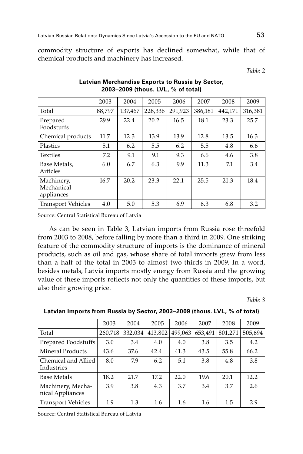commodity structure of exports has declined somewhat, while that of chemical products and machinery has increased.

*Table 2*

|                                        | 2003   | 2004    | 2005    | 2006    | 2007    | 2008    | 2009    |
|----------------------------------------|--------|---------|---------|---------|---------|---------|---------|
| Total                                  | 88,797 | 137,467 | 228,336 | 291,923 | 386,181 | 442,171 | 316,381 |
| Prepared<br>Foodstuffs                 | 29.9   | 22.4    | 20.2    | 16.5    | 18.1    | 23.3    | 25.7    |
| Chemical products                      | 11.7   | 12.3    | 13.9    | 13.9    | 12.8    | 13.5    | 16.3    |
| Plastics                               | 5.1    | 6.2     | 5.5     | 6.2     | 5.5     | 4.8     | 6.6     |
| <b>Textiles</b>                        | 7.2    | 9.1     | 9.1     | 9.3     | 6.6     | 4.6     | 3.8     |
| Base Metals,<br>Articles               | 6.0    | 6.7     | 6.3     | 9.9     | 11.3    | 7.1     | 3.4     |
| Machinery,<br>Mechanical<br>appliances | 16.7   | 20.2    | 23.3    | 22.1    | 25.5    | 21.3    | 18.4    |
| <b>Transport Vehicles</b>              | 4.0    | 5.0     | 5.3     | 6.9     | 6.3     | 6.8     | 3.2     |

## **Latvian Merchandise Exports to Russia by Sector, 2003–2009 (thous. LVL, % of total)**

Source: Central Statistical Bureau of Latvia

As can be seen in Table 3, Latvian imports from Russia rose threefold from 2003 to 2008, before falling by more than a third in 2009. One striking feature of the commodity structure of imports is the dominance of mineral products, such as oil and gas, whose share of total imports grew from less than a half of the total in 2003 to almost two-thirds in 2009. In a word, besides metals, Latvia imports mostly energy from Russia and the growing value of these imports reflects not only the quantities of these imports, but also their growing price.

*Table 3*

|                                       | 2003    | 2004    | 2005    | 2006    | 2007    | 2008    | 2009    |
|---------------------------------------|---------|---------|---------|---------|---------|---------|---------|
| Total                                 | 260,718 | 332,034 | 413,802 | 499,063 | 653,491 | 801,271 | 505,694 |
| Prepared Foodstuffs                   | 3.0     | 3.4     | 4.0     | 4.0     | 3.8     | 3.5     | 4.2     |
| Mineral Products                      | 43.6    | 37.6    | 42.4    | 41.3    | 43.5    | 55.8    | 66.2    |
| Chemical and Allied<br>Industries     | 8.0     | 7.9     | 6.2     | 5.1     | 3.8     | 4.8     | 3.8     |
| <b>Base Metals</b>                    | 18.2    | 21.7    | 17.2    | 22.0    | 19.6    | 20.1    | 12.2    |
| Machinery, Mecha-<br>nical Appliances | 3.9     | 3.8     | 4.3     | 3.7     | 3.4     | 3.7     | 2.6     |
| <b>Transport Vehicles</b>             | 1.9     | 1.3     | 1.6     | 1.6     | 1.6     | 1.5     | 2.9     |

**Latvian Imports from Russia by Sector, 2003–2009 (thous. LVL, % of total)**

Source: Central Statistical Bureau of Latvia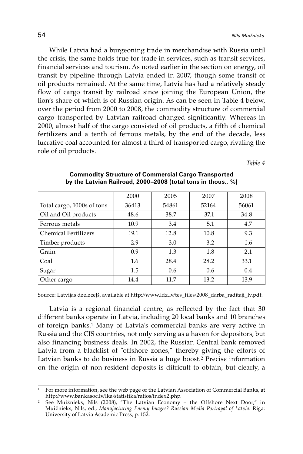While Latvia had a burgeoning trade in merchandise with Russia until the crisis, the same holds true for trade in services, such as transit services, financial services and tourism. As noted earlier in the section on energy, oil transit by pipeline through Latvia ended in 2007, though some transit of oil products remained. At the same time, Latvia has had a relatively steady flow of cargo transit by railroad since joining the European Union, the lion's share of which is of Russian origin. As can be seen in Table 4 below, over the period from 2000 to 2008, the commodity structure of commercial cargo transported by Latvian railroad changed significantly. Whereas in 2000, almost half of the cargo consisted of oil products, a fifth of chemical fertilizers and a tenth of ferrous metals, by the end of the decade, less lucrative coal accounted for almost a third of transported cargo, rivaling the role of oil products.

*Table 4*

|                             | 2000  | 2005  | 2007  | 2008  |
|-----------------------------|-------|-------|-------|-------|
| Total cargo, 1000s of tons  | 36413 | 54861 | 52164 | 56061 |
| Oil and Oil products        | 48.6  | 38.7  | 37.1  | 34.8  |
| Ferrous metals              | 10.9  | 3.4   | 5.1   | 4.7   |
| <b>Chemical Fertilizers</b> | 19.1  | 12.8  | 10.8  | 9.3   |
| Timber products             | 2.9   | 3.0   | 3.2   | 1.6   |
| Grain                       | 0.9   | 1.3   | 1.8   | 2.1   |
| Coal                        | 1.6   | 28.4  | 28.2  | 33.1  |
| Sugar                       | 1.5   | 0.6   | 0.6   | 0.4   |
| Other cargo                 | 14.4  | 11.7  | 13.2  | 13.9  |

#### **Commodity Structure of Commercial Cargo Transported by the Latvian Railroad, 2000–2008 (total tons in thous., %)**

Source: Latvijas dzelzceļš, available at http://www.ldz.lv/tes\_files/2008\_darba\_raditaji\_lv.pdf.

Latvia is a regional financial centre, as reflected by the fact that 30 different banks operate in Latvia, including 20 local banks and 10 branches of foreign banks.1 Many of Latvia's commercial banks are very active in Russia and the CIS countries, not only serving as a haven for depositors, but also financing business deals. In 2002, the Russian Central bank removed Latvia from a blacklist of "offshore zones," thereby giving the efforts of Latvian banks to do business in Russia a huge boost.2 Precise information on the origin of non-resident deposits is difficult to obtain, but clearly, a

<sup>1</sup> For more information, see the web page of the Latvian Association of Commercial Banks, at http://www.bankasoc.lv/lka/statistika/ratios/index2.php.

<sup>2</sup> See Muižnieks, Nils (2008), "The Latvian Economy – the Offshore Next Door," in Muižnieks, Nils, ed., *Manufacturing Enemy Images? Russian Media Portrayal of Latvia*. Riga: University of Latvia Academic Press, p. 152.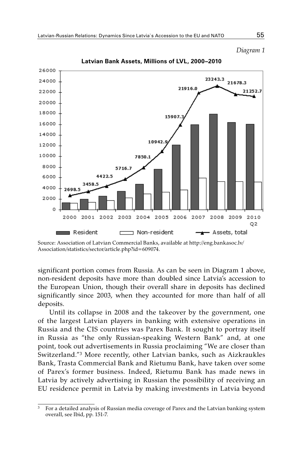*Diagram 1*



**Latvian Bank Assets, Millions of LVL, 2000–2010**

significant portion comes from Russia. As can be seen in Diagram 1 above, non-resident deposits have more than doubled since Latvia's accession to the European Union, though their overall share in deposits has declined significantly since 2003, when they accounted for more than half of all deposits.

Until its collapse in 2008 and the takeover by the government, one of the largest Latvian players in banking with extensive operations in Russia and the CIS countries was Parex Bank. It sought to portray itself in Russia as "the only Russian-speaking Western Bank" and, at one point, took out advertisements in Russia proclaiming "We are closer than Switzerland."3 More recently, other Latvian banks, such as Aizkraukles Bank, Trasta Commercial Bank and Rietumu Bank, have taken over some of Parex's former business. Indeed, Rietumu Bank has made news in Latvia by actively advertising in Russian the possibility of receiving an EU residence permit in Latvia by making investments in Latvia beyond

Source: Association of Latvian Commercial Banks, available at http://eng.bankasoc.lv/ Association/statistics/sector/article.php?id=609074.

<sup>3</sup> For a detailed analysis of Russian media coverage of Parex and the Latvian banking system overall, see Ibid, pp. 151-7.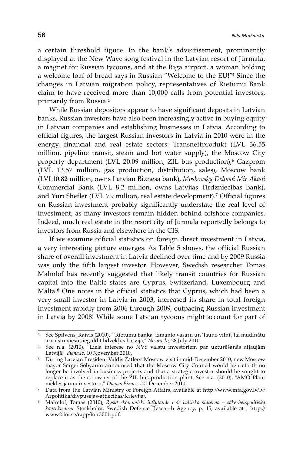a certain threshold figure. In the bank's advertisement, prominently displayed at the New Wave song festival in the Latvian resort of Jūrmala, a magnet for Russian tycoons, and at the Riga airport, a woman holding a welcome loaf of bread says in Russian "Welcome to the EU!"4 Since the changes in Latvian migration policy, representatives of Rietumu Bank claim to have received more than 10,000 calls from potential investors, primarily from Russia.5

While Russian depositors appear to have significant deposits in Latvian banks, Russian investors have also been increasingly active in buying equity in Latvian companies and establishing businesses in Latvia. According to official figures, the largest Russian investors in Latvia in 2010 were in the energy, financial and real estate sectors: Transneftprodukt (LVL 36.55 million, pipeline transit, steam and hot water supply), the Moscow City property department (LVL 20.09 million, ZIL bus production),<sup>6</sup> Gazprom (LVL 13.57 million, gas production, distribution, sales), Moscow bank (LVL10.82 million, owns Latvian Biznesa bank), *Moskovsky Delovoi Mir Aktsii* Commercial Bank (LVL 8.2 million, owns Latvijas Tirdzniecības Bank), and Yuri Shefler (LVL 7.9 million, real estate development).7 Official figures on Russian investment probably significantly understate the real level of investment, as many investors remain hidden behind offshore companies. Indeed, much real estate in the resort city of Jūrmala reportedly belongs to investors from Russia and elsewhere in the CIS.

If we examine official statistics on foreign direct investment in Latvia, a very interesting picture emerges. As Table 5 shows, the official Russian share of overall investment in Latvia declined over time and by 2009 Russia was only the fifth largest investor. However, Swedish researcher Tomas Malmlof has recently suggested that likely transit countries for Russian capital into the Baltic states are Cyprus, Switzerland, Luxembourg and Malta.<sup>8</sup> One notes in the official statistics that Cyprus, which had been a very small investor in Latvia in 2003, increased its share in total foreign investment rapidly from 2006 through 2009, outpacing Russian investment in Latvia by 2008! While some Latvian tycoons might account for part of

<sup>&</sup>lt;sup>4</sup> See Spilvens, Raivis (2010), "'Rietumu banka' izmanto vasaru un 'Jauno vilni', lai mudinātu ārvalstu viesus ieguldīt līdzekļus Latvijā, "Nozare.lv, 28 July 2010.

<sup>&</sup>lt;sup>5</sup> See n.a. (2010), <sup>"</sup>Liela interese no NVS valstu investoriem par uzturēšanās atļaujām Latvijā," *diena.lv,* 10 November 2010.

<sup>6</sup> During Latvian President Valdis Zatlers' Moscow visit in mid-December 2010, new Moscow mayor Sergei Sobyanin announced that the Moscow City Council would henceforth no longer be involved in business projects and that a strategic investor should be sought to replace it as the co-owner of the ZIL bus production plant. See n.a. (2010), "AMO Plant mekles jaunu investoru," Dienas Bizness, 21 December 2010.

<sup>&</sup>lt;sup>7</sup> Data from the Latvian Ministry of Foreign Affairs, available at http://www.mfa.gov.lv/lv/ Arpolitika/divpusejas-attiecibas/Krievija/.

<sup>8</sup> Malmlof, Tomas (2010), *Ryskt ekonomiskt inflytande i de baltiska staterna – säkerhetspolitiska konsekvenser* Stockholm: Swedish Defence Research Agency, p. 45, available at *.* http:// www2.foi.se/rapp/foir3001.pdf.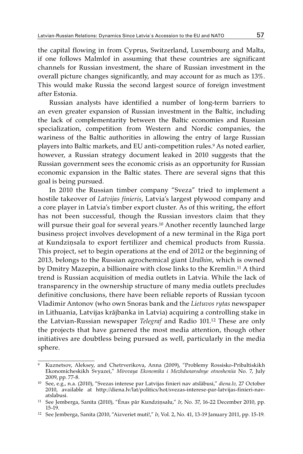the capital flowing in from Cyprus, Switzerland, Luxembourg and Malta, if one follows Malmlof in assuming that these countries are significant channels for Russian investment, the share of Russian investment in the overall picture changes significantly, and may account for as much as 13%. This would make Russia the second largest source of foreign investment after Estonia.

Russian analysts have identified a number of long-term barriers to an even greater expansion of Russian investment in the Baltic, including the lack of complementarity between the Baltic economies and Russian specialization, competition from Western and Nordic companies, the wariness of the Baltic authorities in allowing the entry of large Russian players into Baltic markets, and EU anti-competition rules.<sup>9</sup> As noted earlier, however, a Russian strategy document leaked in 2010 suggests that the Russian government sees the economic crisis as an opportunity for Russian economic expansion in the Baltic states. There are several signs that this goal is being pursued.

In 2010 the Russian timber company "Sveza" tried to implement a hostile takeover of *Latvijas finieris*, Latvia's largest plywood company and a core player in Latvia's timber export cluster. As of this writing, the effort has not been successful, though the Russian investors claim that they will pursue their goal for several years.<sup>10</sup> Another recently launched large business project involves development of a new terminal in the Riga port at Kundziņsala to export fertilizer and chemical products from Russia. This project, set to begin operations at the end of 2012 or the beginning of 2013, belongs to the Russian agrochemical giant *Uralhim*, which is owned by Dmitry Mazepin, a billionaire with close links to the Kremlin.11 A third trend is Russian acquisition of media outlets in Latvia. While the lack of transparency in the ownership structure of many media outlets precludes definitive conclusions, there have been reliable reports of Russian tycoon Vladimir Antonov (who own Snoras bank and the *Lietuvos rytas* newspaper in Lithuania, Latvijas krājbanka in Latvia) acquiring a controlling stake in the Latvian-Russian newspaper *Telegraf* and Radio 101.12 These are only the projects that have garnered the most media attention, though other initiatives are doubtless being pursued as well, particularly in the media sphere.

<sup>9</sup> Kuznetsov, Aleksey, and Chetrverikova, Anna (2009), "Problemy Rossisko-Pribaltiskikh Ekonomicheskikh Svyazei," *Mirovaya Ekonomika i Mezhdunarodnye otnosheniia* No. 7, July 2009, pp. 77-8.

<sup>10</sup> See, e.g., n.a. (2010), "Svezas interese par Latvijas finieri nav atslābusi," *diena.lv,* 27 October 2010, available at http://diena.lv/lat/politics/hot/svezas-interese-par-latvijas-finieri-navatslabusi.

<sup>11</sup> See Jemberga, Sanita (2010), "Ēnas pār Kundziņsalu," *Ir*, No. 37, 16-22 December 2010, pp. 15-19.

<sup>12</sup> See Jemberga, Sanita (2010, "Aizveriet muti!," *Ir*, Vol. 2, No. 41, 13-19 January 2011, pp. 15-19.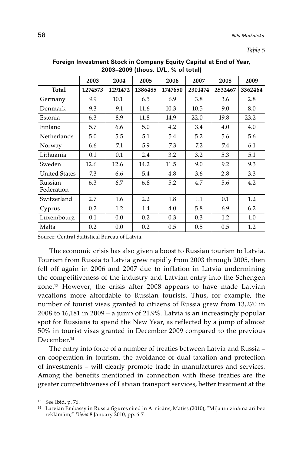|                       | 2003    | 2004    | 2005             | 2006    | 2007    | 2008    | 2009    |
|-----------------------|---------|---------|------------------|---------|---------|---------|---------|
| Total                 | 1274573 | 1291472 | 1386485          | 1747650 | 2301474 | 2532467 | 3362464 |
| Germany               | 9.9     | 10.1    | 6.5              | 6.9     | 3.8     | 3.6     | 2.8     |
| Denmark               | 9.3     | 9.1     | 11.6             | 10.3    | 10.5    | 9.0     | 8.0     |
| Estonia               | 6.3     | 8.9     | 11.8             | 14.9    | 22.0    | 19.8    | 23.2    |
| Finland               | 5.7     | 6.6     | 5.0              | 4.2     | 3.4     | 4.0     | 4.0     |
| Netherlands           | 5.0     | 5.5     | 5.1              | 5.4     | 5.2     | 5.6     | 5.6     |
| Norway                | 6.6     | 7.1     | 5.9              | 7.3     | 7.2     | 7.4     | 6.1     |
| Lithuania             | 0.1     | 0.1     | 2.4              | 3.2     | 3.2     | 5.3     | 5.1     |
| Sweden                | 12.6    | 12.6    | 14.2             | 11.5    | 9.0     | 9.2     | 9.3     |
| <b>United States</b>  | 7.3     | 6.6     | 5.4              | 4.8     | 3.6     | 2.8     | 3.3     |
| Russian<br>Federation | 6.3     | 6.7     | 6.8              | 5.2     | 4.7     | 5.6     | 4.2     |
| Switzerland           | 2.7     | 1.6     | $2.2\phantom{0}$ | 1.8     | 1.1     | 0.1     | 1.2     |
| Cyprus                | 0.2     | 1.2     | 1.4              | 4.0     | 5.8     | 6.9     | 6.2     |
| Luxembourg            | 0.1     | 0.0     | 0.2              | 0.3     | 0.3     | 1.2     | 1.0     |
| Malta                 | 0.2     | 0.0     | 0.2              | 0.5     | 0.5     | 0.5     | 1.2     |

## **Foreign Investment Stock in Company Equity Capital at End of Year, 2003–2009 (thous. LVL, % of total)**

Source: Central Statistical Bureau of Latvia.

The economic crisis has also given a boost to Russian tourism to Latvia. Tourism from Russia to Latvia grew rapidly from 2003 through 2005, then fell off again in 2006 and 2007 due to inflation in Latvia undermining the competitiveness of the industry and Latvian entry into the Schengen zone.13 However, the crisis after 2008 appears to have made Latvian vacations more affordable to Russian tourists. Thus, for example, the number of tourist visas granted to citizens of Russia grew from 13,270 in 2008 to 16,181 in 2009 – a jump of 21.9%. Latvia is an increasingly popular spot for Russians to spend the New Year, as reflected by a jump of almost 50% in tourist visas granted in December 2009 compared to the previous December.14

The entry into force of a number of treaties between Latvia and Russia – on cooperation in tourism, the avoidance of dual taxation and protection of investments – will clearly promote trade in manufactures and services. Among the benefits mentioned in connection with these treaties are the greater competitiveness of Latvian transport services, better treatment at the

<sup>13</sup> See Ibid, p. 76.

<sup>14</sup> Latvian Embassy in Russia figures cited in Arnicāns, Matīss (2010), "Mīļa un zināma arī bez reklāmām," *Diena* 8 January 2010, pp. 6-7.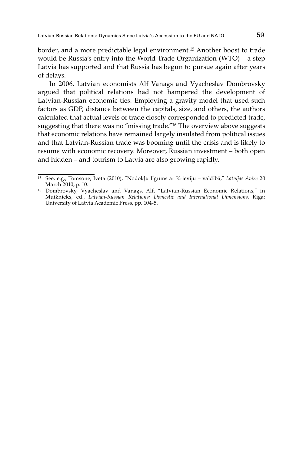border, and a more predictable legal environment.15 Another boost to trade would be Russia's entry into the World Trade Organization (WTO) – a step Latvia has supported and that Russia has begun to pursue again after years of delays.

In 2006, Latvian economists Alf Vanags and Vyacheslav Dombrovsky argued that political relations had not hampered the development of Latvian-Russian economic ties. Employing a gravity model that used such factors as GDP, distance between the capitals, size, and others, the authors calculated that actual levels of trade closely corresponded to predicted trade, suggesting that there was no "missing trade."16 The overview above suggests that economic relations have remained largely insulated from political issues and that Latvian-Russian trade was booming until the crisis and is likely to resume with economic recovery. Moreover, Russian investment – both open and hidden – and tourism to Latvia are also growing rapidly.

<sup>15</sup> See, e.g., Tomsone, Iveta (2010), "Nodokļu līgums ar Krieviju – valdībā," *Latvijas Avīze* 20 March 2010, p. 10.

<sup>&</sup>lt;sup>16</sup> Dombrovsky, Vyacheslav and Vanags, Alf, "Latvian-Russian Economic Relations," in Muižnieks, ed., *Latvian-Russian Relations: Domestic and International Dimensions*. Riga: University of Latvia Academic Press, pp. 104-5.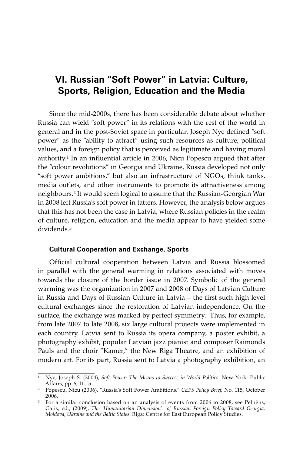# **VI. Russian "Soft Power" in Latvia: Culture, Sports, Religion, Education and the Media**

Since the mid-2000s, there has been considerable debate about whether Russia can wield "soft power" in its relations with the rest of the world in general and in the post-Soviet space in particular. Joseph Nye defined "soft power" as the "ability to attract" using such resources as culture, political values, and a foreign policy that is perceived as legitimate and having moral authority.1 In an influential article in 2006, Nicu Popescu argued that after the "colour revolutions" in Georgia and Ukraine, Russia developed not only "soft power ambitions," but also an infrastructure of NGOs, think tanks, media outlets, and other instruments to promote its attractiveness among neighbours.2 It would seem logical to assume that the Russian-Georgian War in 2008 left Russia's soft power in tatters. However, the analysis below argues that this has not been the case in Latvia, where Russian policies in the realm of culture, religion, education and the media appear to have yielded some dividends.3

### **Cultural Cooperation and Exchange, Sports**

Official cultural cooperation between Latvia and Russia blossomed in parallel with the general warming in relations associated with moves towards the closure of the border issue in 2007. Symbolic of the general warming was the organization in 2007 and 2008 of Days of Latvian Culture in Russia and Days of Russian Culture in Latvia – the first such high level cultural exchanges since the restoration of Latvian independence. On the surface, the exchange was marked by perfect symmetry. Thus, for example, from late 2007 to late 2008, six large cultural projects were implemented in each country. Latvia sent to Russia its opera company, a poster exhibit, a photography exhibit, popular Latvian jazz pianist and composer Raimonds Pauls and the choir "Kamēr," the New Riga Theatre, and an exhibition of modern art. For its part, Russia sent to Latvia a photography exhibition, an

<sup>1</sup> Nye, Joseph S. (2004), *Soft Power: The Means to Success in World Politics*. New York: Public

<sup>&</sup>lt;sup>2</sup> Popescu, Nicu (2006), "Russia's Soft Power Ambitions," *CEPS Policy Brief*, No. 115, October 2006.

<sup>&</sup>lt;sup>3</sup> For a similar conclusion based on an analysis of events from 2006 to 2008, see Pelnēns, Gatis, ed., (2009), *The 'Humanitarian Dimension' of Russian Foreign Policy Toward Georgia, Moldova, Ukraine and the Baltic States*. Riga: Centre for East European Policy Studies.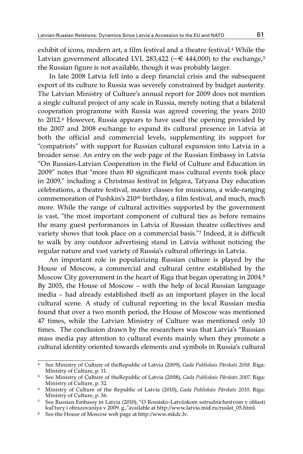exhibit of icons, modern art, a film festival and a theatre festival.4 While the Latvian government allocated LVL 283,422 ( $\sim \epsilon$  444,000) to the exchange,<sup>5</sup> the Russian figure is not available, though it was probably larger.

In late 2008 Latvia fell into a deep financial crisis and the subsequent export of its culture to Russia was severely constrained by budget austerity. The Latvian Ministry of Culture's annual report for 2009 does not mention a single cultural project of any scale in Russia, merely noting that a bilateral cooperation programme with Russia was agreed covering the years 2010 to 2012.6 However, Russia appears to have used the opening provided by the 2007 and 2008 exchange to expand its cultural presence in Latvia at both the official and commercial levels, supplementing its support for "compatriots" with support for Russian cultural expansion into Latvia in a broader sense. An entry on the web page of the Russian Embassy in Latvia "On Russian-Latvian Cooperation in the Field of Culture and Education in 2009" notes that "more than 80 significant mass cultural events took place in 2009," including a Christmas festival in Jelgava, Tatyana Day education celebrations, a theatre festival, master classes for musicians, a wide-ranging commemoration of Pushkin's 210<sup>th</sup> birthday, a film festival, and much, much more. While the range of cultural activities supported by the government is vast, "the most important component of cultural ties as before remains the many guest performances in Latvia of Russian theatre collectives and variety shows that took place on a commercial basis."7 Indeed, it is difficult to walk by any outdoor advertising stand in Latvia without noticing the regular nature and vast variety of Russia's cultural offerings in Latvia.

An important role in popularizing Russian culture is played by the House of Moscow, a commercial and cultural centre established by the Moscow City government in the heart of Riga that began operating in 2004.8 By 2005, the House of Moscow – with the help of local Russian language media – had already established itself as an important player in the local cultural scene. A study of cultural reporting in the local Russian media found that over a two month period, the House of Moscow was mentioned 47 times, while the Latvian Ministry of Culture was mentioned only 10 times. The conclusion drawn by the researchers was that Latvia's "Russian mass media pay attention to cultural events mainly when they promote a cultural identity oriented towards elements and symbols in Russia's cultural

<sup>4</sup> See Ministry of Culture of theRepublic of Latvia (2009), *Gada Publiskais Pārskats 2008*. Riga:

<sup>5</sup> See Ministry of Culture of theRepublic of Latvia (2008), *Gada Publiskais Pārskats 2007*. Riga: Ministry of Culture, p. 32.

<sup>6</sup> Ministry of Culture of the Republic of Latvia (2010), *Gada Publiskais Pārskats 2010*. Riga: Ministry of Culture, p. 36.

<sup>7</sup> See Russian Embassy in Latvia (2010), "O Rossisko-Latviiskom sotrudnichestvom v oblasti kul'tury i obrazovaniya v 2009. g.,"available at http://www.latvia.mid.ru/ruslat\_05.html.

 $^8$   $\,$  See the House of Moscow web page at http://www.mkdc.lv.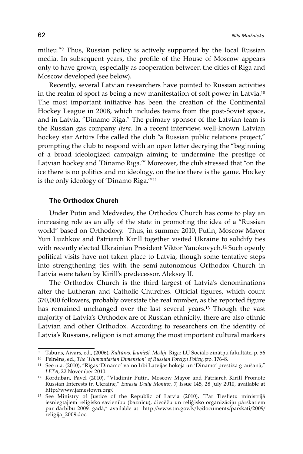milieu."9 Thus, Russian policy is actively supported by the local Russian media. In subsequent years, the profile of the House of Moscow appears only to have grown, especially as cooperation between the cities of Riga and Moscow developed (see below).

Recently, several Latvian researchers have pointed to Russian activities in the realm of sport as being a new manifestation of soft power in Latvia.10 The most important initiative has been the creation of the Continental Hockey League in 2008, which includes teams from the post-Soviet space, and in Latvia, "Dinamo Riga." The primary sponsor of the Latvian team is the Russian gas company *Itera*. In a recent interview, well-known Latvian hockey star Artūrs Irbe called the club "a Russian public relations project," prompting the club to respond with an open letter decrying the "beginning of a broad ideologized campaign aiming to undermine the prestige of Latvian hockey and 'Dinamo Riga.'" Moreover, the club stressed that "on the ice there is no politics and no ideology, on the ice there is the game. Hockey is the only ideology of 'Dinamo Riga.'"11

### **The Orthodox Church**

Under Putin and Medvedev, **t**he Orthodox Church has come to play an increasing role as an ally of the state in promoting the idea of a "Russian world" based on Orthodoxy. Thus, in summer 2010, Putin, Moscow Mayor Yuri Luzhkov and Patriarch Kirill together visited Ukraine to solidify ties with recently elected Ukrainian President Viktor Yanokovych.12 Such openly political visits have not taken place to Latvia, though some tentative steps into strengthening ties with the semi-autonomous Orthodox Church in Latvia were taken by Kirill's predecessor, Aleksey II.

The Orthodox Church is the third largest of Latvia's denominations after the Lutheran and Catholic Churches. Official figures, which count 370,000 followers, probably overstate the real number, as the reported figure has remained unchanged over the last several years.13 Though the vast majority of Latvia's Orthodox are of Russian ethnicity, there are also ethnic Latvian and other Orthodox. According to researchers on the identity of Latvia's Russians, religion is not among the most important cultural markers

<sup>9</sup> Tabuns, Aivars, ed., (2006), *Kultūras. Jaunieši. Mediji.* Riga: LU Sociālo zinātņu fakultāte, p. 56

<sup>&</sup>lt;sup>10</sup> Pelnēns, ed., *The 'Humanitarian Dimension' of Russian Foreign Policy*, pp. 176-8.

<sup>11</sup> See n.a. (2010), "Rīgas 'Dinamo' vaino Irbi Latvijas hokeja un 'Dinamo' prestiža graušanā," *LETA*, 22 November 2010.<br><sup>12</sup> Korduban, Pavel (2010), "Vladimir Putin, Moscow Mayor and Patriarch Kirill Promote

Russian Interests in Ukraine," *Eurasia Daily Monitor,* 7, Issue 145, 28 July 2010, available at http://www.jamestown.org/.

<sup>&</sup>lt;sup>13</sup> See Ministry of Justice of the Republic of Latvia (2010), "Par Tieslietu ministrijā iesniegtajiem reliģisko savienību (baznīcu), diecēžu un reliģisko organizāciju pārskatiem par darbību 2009. gadā," available at http://www.tm.gov.lv/lv/documents/parskati/2009/ religija\_2009.doc.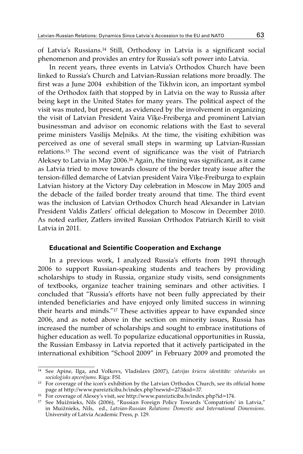of Latvia's Russians.14 Still, Orthodoxy in Latvia is a significant social phenomenon and provides an entry for Russia's soft power into Latvia.

In recent years, three events in Latvia's Orthodox Church have been linked to Russia's Church and Latvian-Russian relations more broadly. The first was a June 2004 exhibition of the Tikhvin icon, an important symbol of the Orthodox faith that stopped by in Latvia on the way to Russia after being kept in the United States for many years. The political aspect of the visit was muted, but present, as evidenced by the involvement in organizing the visit of Latvian President Vaira Vīķe-Freiberga and prominent Latvian businessman and advisor on economic relations with the East to several prime ministers Vasilijs Meļniks. At the time, the visiting exhibition was perceived as one of several small steps in warming up Latvian-Russian relations.15 The second event of significance was the visit of Patriarch Aleksey to Latvia in May 2006.16 Again, the timing was significant, as it came as Latvia tried to move towards closure of the border treaty issue after the tension-filled demarche of Latvian president Vaira Vīķe-Freiburga to explain Latvian history at the Victory Day celebration in Moscow in May 2005 and the debacle of the failed border treaty around that time. The third event was the inclusion of Latvian Orthodox Church head Alexander in Latvian President Valdis Zatlers' official delegation to Moscow in December 2010. As noted earlier, Zatlers invited Russian Orthodox Patriarch Kirill to visit Latvia in 2011.

#### **Educational and Scientific Cooperation and Exchange**

In a previous work, I analyzed Russia's efforts from 1991 through 2006 to support Russian-speaking students and teachers by providing scholarships to study in Russia, organize study visits, send consignments of textbooks, organize teacher training seminars and other activities. I concluded that "Russia's efforts have not been fully appreciated by their intended beneficiaries and have enjoyed only limited success in winning their hearts and minds."17 These activities appear to have expanded since 2006, and as noted above in the section on minority issues, Russia has increased the number of scholarships and sought to embrace institutions of higher education as well. To popularize educational opportunities in Russia, the Russian Embassy in Latvia reported that it actively participated in the international exhibition "School 2009" in February 2009 and promoted the

<sup>14</sup> See Apine, Ilga, and Volkovs, Vladislavs (2007), *Latvijas krievu identitāte: vēsturisks un socioloģisks apcerējums*. Riga: FSI.

<sup>&</sup>lt;sup>15</sup> For coverage of the icon's exhibition by the Latvian Orthodox Church, see its official home page at http://www.pareizticiba.lv/index.php?newid=273&id=37.

<sup>16</sup> For coverage of Alexey's visit, see http://www.pareizticiba.lv/index.php?id=174.

<sup>17</sup> See Muižnieks, Nils (2006), "Russian Foreign Policy Towards 'Compatriots' in Latvia," in Muižnieks, Nils, ed., *Latvian-Russian Relations: Domestic and International Dimensions*. University of Latvia Academic Press, p. 129.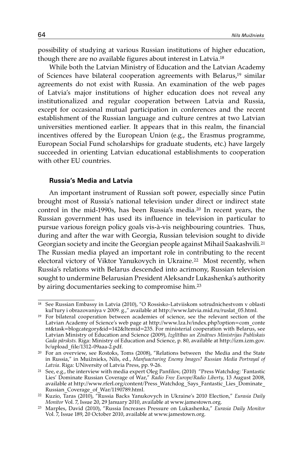possibility of studying at various Russian institutions of higher education, though there are no available figures about interest in Latvia.18

While both the Latvian Ministry of Education and the Latvian Academy of Sciences have bilateral cooperation agreements with Belarus,19 similar agreements do not exist with Russia. An examination of the web pages of Latvia's major institutions of higher education does not reveal any institutionalized and regular cooperation between Latvia and Russia, except for occasional mutual participation in conferences and the recent establishment of the Russian language and culture centres at two Latvian universities mentioned earlier. It appears that in this realm, the financial incentives offered by the European Union (e.g., the Erasmus programme, European Social Fund scholarships for graduate students, etc.) have largely succeeded in orienting Latvian educational establishments to cooperation with other EU countries.

## **Russia's Media and Latvia**

An important instrument of Russian soft power, especially since Putin brought most of Russia's national television under direct or indirect state control in the mid-1990s, has been Russia's media.20 In recent years, the Russian government has used its influence in television in particular to pursue various foreign policy goals vis-à-vis neighbouring countries. Thus, during and after the war with Georgia, Russian television sought to divide Georgian society and incite the Georgian people against Mihail Saakashvili.21 The Russian media played an important role in contributing to the recent electoral victory of Viktor Yanukovych in Ukraine.<sup>22</sup> Most recently, when Russia's relations with Belarus descended into acrimony, Russian television sought to undermine Belarusian President Aleksandr Lukashenka's authority by airing documentaries seeking to compromise him.23

<sup>18</sup> See Russian Embassy in Latvia (2010), "O Rossisko-Latviiskom sotrudnichestvom v oblasti kul'tury i obrazovaniya v 2009. g.," available at http://www.latvia.mid.ru/ruslat\_05.html.

<sup>&</sup>lt;sup>19</sup> For bilateral cooperation between academies of science, see the relevant section of the Latvian Academy of Science's web page at http://www.lza.lv/index.php?option=com\_conte nt&task=blogcategory&id=142&Itemid=235. For ministerial cooperation with Belarus, see Latvian Ministry of Education and Science (2009), *Izglītības un Zinātnes Ministrijas Publiskais Gada pārsksts.* Riga: Ministry of Education and Science, p. 80, available at http://izm.izm.gov. lv/upload\_file/1312-09aaa-2.pdf.

<sup>&</sup>lt;sup>20</sup> For an overview, see Rostoks, Toms (2008), "Relations between the Media and the State in Russia," in Muižnieks, Nils, ed., *Manfuacturing Enemy Images? Russian Media Portrayal of Latvia*. Riga: UNiversity of Latvia Press, pp. 9-26.

<sup>21</sup> See, e.g., the interview with media expert Oleg Panfilov, (2010) "Press Watchdog: 'Fantastic Lies' Dominate Russian Coverage of War," *Radio Free Europe/Radio Liberty*, 13 August 2008, available at http://www.rferl.org/content/Press\_Watchdog\_Says\_Fantastic\_Lies\_Dominate\_ Russian\_Coverage\_of\_War/1190789.html.

<sup>22</sup> Kuzio, Taras (2010), "Russia Backs Yanukovych in Ukraine's 2010 Election," *Eurasia Daily Monitor* Vol. 7, Issue 20, 29 January 2010, available at www.jamestown.org.

<sup>23</sup> Marples, David (2010), "Russia Increases Pressure on Lukashenka," *Eurasia Daily Monitor* Vol. 7, Issue 189, 20 October 2010, available at www.jamestown.org.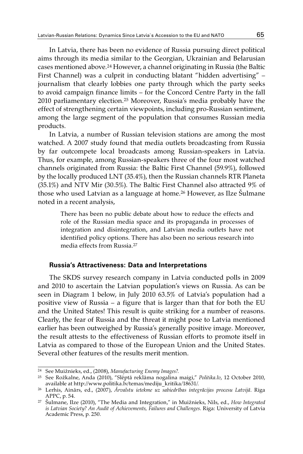In Latvia, there has been no evidence of Russia pursuing direct political aims through its media similar to the Georgian, Ukrainian and Belarusian cases mentioned above.24 However, a channel originating in Russia (the Baltic First Channel) was a culprit in conducting blatant "hidden advertising" – journalism that clearly lobbies one party through which the party seeks to avoid campaign finance limits – for the Concord Centre Party in the fall 2010 parliamentary election.25 Moreover, Russia's media probably have the effect of strengthening certain viewpoints, including pro-Russian sentiment, among the large segment of the population that consumes Russian media products.

In Latvia, a number of Russian television stations are among the most watched. A 2007 study found that media outlets broadcasting from Russia by far outcompete local broadcasts among Russian-speakers in Latvia. Thus, for example, among Russian-speakers three of the four most watched channels originated from Russia: the Baltic First Channel (59.9%), followed by the locally produced LNT (35.4%), then the Russian channels RTR Planeta (35.1%) and NTV Mir (30.5%). The Baltic First Channel also attracted 9% of those who used Latvian as a language at home.26 However, as Ilze Šulmane noted in a recent analysis,

> There has been no public debate about how to reduce the effects and role of the Russian media space and its propaganda in processes of integration and disintegration, and Latvian media outlets have not identified policy options. There has also been no serious research into media effects from Russia<sup>27</sup>

#### **Russia's Attractiveness: Data and Interpretations**

The SKDS survey research company in Latvia conducted polls in 2009 and 2010 to ascertain the Latvian population's views on Russia. As can be seen in Diagram 1 below, in July 2010 63.5% of Latvia's population had a positive view of Russia – a figure that is larger than that for both the EU and the United States! This result is quite striking for a number of reasons. Clearly, the fear of Russia and the threat it might pose to Latvia mentioned earlier has been outweighed by Russia's generally positive image. Moreover, the result attests to the effectiveness of Russian efforts to promote itself in Latvia as compared to those of the European Union and the United States. Several other features of the results merit mention.

<sup>24</sup> See Muižnieks, ed., (2008), *Manufacturing Enemy Images?.*

<sup>25</sup> See Rožkalne, Anda (2010), "Slēptā reklāma nogalina maigi," *Politika.lv*, 12 October 2010, available at http://www.politika.lv/temas/mediju\_kritika/18631/.

<sup>26</sup> Lerhis, Ainārs, ed., (2007), *Ārvalstu ietekme uz sabiedrības integrācijas procesu Latvijā*. Riga APPC, p. 54. 27 Šulmane, Ilze (2010), "The Media and Integration," in Muižnieks, Nils, ed., *How Integrated* 

*is Latvian Society? An Audit of Achievements, Failures and Challenges*. Riga: University of Latvia Academic Press, p. 250.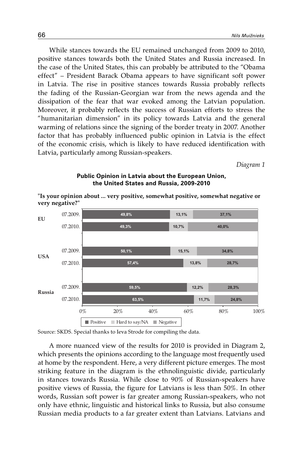While stances towards the EU remained unchanged from 2009 to 2010, positive stances towards both the United States and Russia increased. In the case of the United States, this can probably be attributed to the "Obama effect" – President Barack Obama appears to have significant soft power in Latvia. The rise in positive stances towards Russia probably reflects the fading of the Russian-Georgian war from the news agenda and the dissipation of the fear that war evoked among the Latvian population. Moreover, it probably reflects the success of Russian efforts to stress the "humanitarian dimension" in its policy towards Latvia and the general warming of relations since the signing of the border treaty in 2007. Another factor that has probably influenced public opinion in Latvia is the effect of the economic crisis, which is likely to have reduced identification with Latvia, particularly among Russian-speakers.

*Diagram 1* 

#### **Public Opinion in Latvia about the European Union, the United States and Russia, 2009-2010**



**"Is your opinion about ... very positive, somewhat positive, somewhat negative or very negative?"**

Source: SKDS. Special thanks to Ieva Strode for compiling the data.

A more nuanced view of the results for 2010 is provided in Diagram 2, which presents the opinions according to the language most frequently used at home by the respondent. Here, a very different picture emerges. The most striking feature in the diagram is the ethnolinguistic divide, particularly in stances towards Russia. While close to 90% of Russian-speakers have positive views of Russia, the figure for Latvians is less than 50%. In other words, Russian soft power is far greater among Russian-speakers, who not only have ethnic, linguistic and historical links to Russia, but also consume Russian media products to a far greater extent than Latvians. Latvians and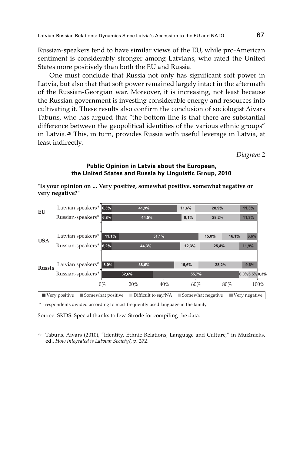Russian-speakers tend to have similar views of the EU, while pro-American sentiment is considerably stronger among Latvians, who rated the United States more positively than both the EU and Russia.

One must conclude that Russia not only has significant soft power in Latvia, but also that that soft power remained largely intact in the aftermath of the Russian-Georgian war. Moreover, it is increasing, not least because the Russian government is investing considerable energy and resources into cultivating it. These results also confirm the conclusion of sociologist Aivars Tabuns, who has argued that "the bottom line is that there are substantial difference between the geopolitical identities of the various ethnic groups" in Latvia.28 This, in turn, provides Russia with useful leverage in Latvia, at least indirectly.

*Diagram 2*

## **Public Opinion in Latvia about the European, the United States and Russia by Linguistic Group, 2010**

|            | Latvian speakers* 6,3%       |                   | 41,9% |                     | 11,6% | 28,9%             | 11,3%                        |
|------------|------------------------------|-------------------|-------|---------------------|-------|-------------------|------------------------------|
| EU         |                              |                   |       |                     |       |                   |                              |
|            | Russian-speakers*            | 6,8%              | 44,5% |                     | 9,1%  | 28,2%             | 11,3%                        |
|            |                              |                   |       |                     |       |                   |                              |
| <b>USA</b> | Latvian speakers*            | 11,1%             |       | 51,1%               |       | 15,0%             | 6,6%<br>16,1%                |
|            | Russian-speakers*            | 6,2%              | 44.3% |                     | 12,3% | 25,4%             | 11,9%                        |
|            |                              |                   |       |                     |       |                   |                              |
| Russia     | Latvian speakers*            | 8,0%              | 38.6% |                     | 15,6% | 28,2%             | 9,6%                         |
|            | Russian-speakers*            | 32,6%             |       |                     |       | 55,7%             | 6,0%5,5%0,3%                 |
|            |                              | $0\%$             | 20%   | 40%                 | 60%   | 80%               | 100%                         |
|            | $\blacksquare$ Very positive | Somewhat positive |       | Difficult to say/NA |       | Somewhat negative | $\blacksquare$ Very negative |

**"Is your opinion on ... Very positive, somewhat positive, somewhat negative or very negative?"**

\* - respondents divided according to most frequently used language in the family

Source: SKDS. Special thanks to Ieva Strode for compiling the data.

<sup>&</sup>lt;sup>28</sup> Tabuns, Aivars (2010), "Identity, Ethnic Relations, Language and Culture," in Muižnieks, ed., *How Integrated is Latvian Society?*, p. 272.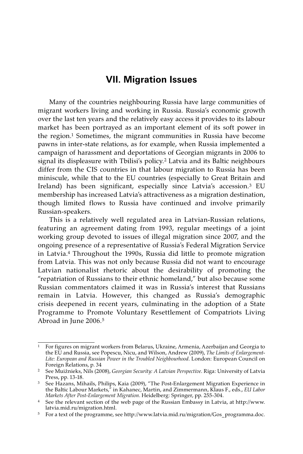# **VII. Migration Issues**

Many of the countries neighbouring Russia have large communities of migrant workers living and working in Russia. Russia's economic growth over the last ten years and the relatively easy access it provides to its labour market has been portrayed as an important element of its soft power in the region.1 Sometimes, the migrant communities in Russia have become pawns in inter-state relations, as for example, when Russia implemented a campaign of harassment and deportations of Georgian migrants in 2006 to signal its displeasure with Tbilisi's policy.<sup>2</sup> Latvia and its Baltic neighbours differ from the CIS countries in that labour migration to Russia has been miniscule, while that to the EU countries (especially to Great Britain and Ireland) has been significant, especially since Latvia's accession.3 EU membership has increased Latvia's attractiveness as a migration destination, though limited flows to Russia have continued and involve primarily Russian-speakers.

This is a relatively well regulated area in Latvian-Russian relations, featuring an agreement dating from 1993, regular meetings of a joint working group devoted to issues of illegal migration since 2007, and the ongoing presence of a representative of Russia's Federal Migration Service in Latvia.4 Throughout the 1990s, Russia did little to promote migration from Latvia. This was not only because Russia did not want to encourage Latvian nationalist rhetoric about the desirability of promoting the "repatriation of Russians to their ethnic homeland," but also because some Russian commentators claimed it was in Russia's interest that Russians remain in Latvia. However, this changed as Russia's demographic crisis deepened in recent years, culminating in the adoption of a State Programme to Promote Voluntary Resettlement of Compatriots Living Abroad in June 2006.5

 $1$  For figures on migrant workers from Belarus, Ukraine, Armenia, Azerbaijan and Georgia to the EU and Russia, see Popescu, Nicu, and Wilson, Andrew (2009), *The Limits of Enlargement-Lite: European and Russian Power in the Troubled Neighbourhood*. London: European Council on Foreign Relations, p. 34

<sup>2</sup> See Muižnieks, Nils (2008), *Georgian Security: A Latvian Perspective*. Riga: University of Latvia Press, pp. 13-18.

<sup>3</sup> See Hazans, Mihails, Philips, Kaia (2009), "The Post-Enlargement Migration Experience in the Baltic Labour Markets," in Kahanec, Martin, and Zimmermann, Klaus F., eds., *EU Labor Markets After Post-Enlargement Migration*. Heidelberg: Springer, pp. 255-304.

<sup>4</sup> See the relevant section of the web page of the Russian Embassy in Latvia, at http://www. latvia.mid.ru/migration.html.

<sup>5</sup> For a text of the programme, see http://www.latvia.mid.ru/migration/Gos\_programma.doc.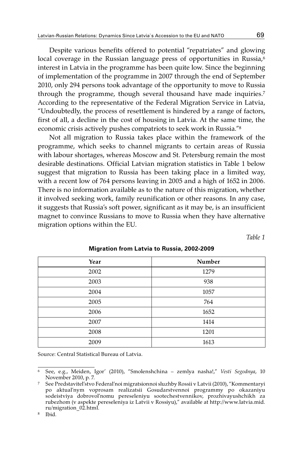Despite various benefits offered to potential "repatriates" and glowing local coverage in the Russian language press of opportunities in Russia,<sup>6</sup> interest in Latvia in the programme has been quite low. Since the beginning of implementation of the programme in 2007 through the end of September 2010, only 294 persons took advantage of the opportunity to move to Russia through the programme, though several thousand have made inquiries.<sup>7</sup> According to the representative of the Federal Migration Service in Latvia, "Undoubtedly, the process of resettlement is hindered by a range of factors, first of all, a decline in the cost of housing in Latvia. At the same time, the economic crisis actively pushes compatriots to seek work in Russia."8

Not all migration to Russia takes place within the framework of the programme, which seeks to channel migrants to certain areas of Russia with labour shortages, whereas Moscow and St. Petersburg remain the most desirable destinations. Official Latvian migration statistics in Table 1 below suggest that migration to Russia has been taking place in a limited way, with a recent low of 764 persons leaving in 2005 and a high of 1652 in 2006. There is no information available as to the nature of this migration, whether it involved seeking work, family reunification or other reasons. In any case, it suggests that Russia's soft power, significant as it may be, is an insufficient magnet to convince Russians to move to Russia when they have alternative migration options within the EU.

*Table 1*

| Number |
|--------|
| 1279   |
| 938    |
| 1057   |
| 764    |
| 1652   |
| 1414   |
| 1201   |
| 1613   |
|        |

#### **Migration from Latvia to Russia, 2002-2009**

Source: Central Statistical Bureau of Latvia.

<sup>6</sup> See, e.g., Meiden, Igor' (2010), "Smolenshchina – zemlya nasha!," *Vesti Segodnya*, 10

<sup>&</sup>lt;sup>7</sup> See Predstavitel'stvo Federal'noi migratsionnoi sluzhby Rossii v Latvii (2010), "Kommentaryi po aktual'nym voprosam realizatsii Gosudarstvennoi programmy po okazaniyu sodeistviya dobrovol'nomu pereseleniyu sootechestvennikov, prozhivayushchikh za rubezhom (v aspekte pereseleniya iz Latvii v Rossiyu)," available at http://www.latvia.mid. ru/migration\_02.html.

<sup>8</sup> Ibid.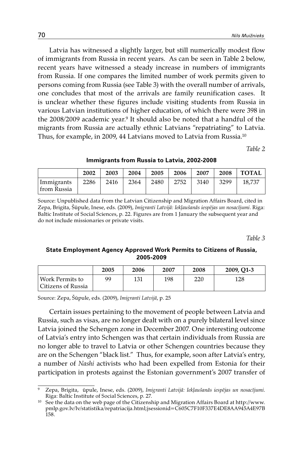Latvia has witnessed a slightly larger, but still numerically modest flow of immigrants from Russia in recent years. As can be seen in Table 2 below, recent years have witnessed a steady increase in numbers of immigrants from Russia. If one compares the limited number of work permits given to persons coming from Russia (see Table 3) with the overall number of arrivals, one concludes that most of the arrivals are family reunification cases. It is unclear whether these figures include visiting students from Russia in various Latvian institutions of higher education, of which there were 398 in the 2008/2009 academic year.<sup>9</sup> It should also be noted that a handful of the migrants from Russia are actually ethnic Latvians "repatriating" to Latvia. Thus, for example, in 2009, 44 Latvians moved to Latvia from Russia.10

*Table 2*

**Immigrants from Russia to Latvia, 2002-2008**

|                             | 2002 | 2003 | 2004 | 2005 | 2006 | 2007 | 2008 | <b>TOTAL</b> |
|-----------------------------|------|------|------|------|------|------|------|--------------|
| Immigrants<br>  from Russia | 2286 | 2416 | 2364 | 2480 | 2752 | 3140 | 3299 | 18.737       |

Source: Unpublished data from the Latvian Citizenship and Migration Affairs Board, cited in Zepa, Brigita, Šūpule, Inese, eds. (2009), *Imigranti Latvijā: Iekļaušanās iespējas un nosacījumi*. Riga: Baltic Institute of Social Sciences, p. 22. Figures are from 1 January the subsequent year and do not include missionaries or private visits.

*Table 3*

## **State Employment Agency Approved Work Permits to Citizens of Russia, 2005-2009**

|                                         | 2005 | 2006 | 2007 | 2008 | 2009, O1-3 |
|-----------------------------------------|------|------|------|------|------------|
| Work Permits to<br>  Citizens of Russia | gg   | 131  | 198  | 220  | 128        |

Source: Zepa, Šūpule, eds. (2009), *Imigranti Latvijā*, p. 25

Certain issues pertaining to the movement of people between Latvia and Russia, such as visas, are no longer dealt with on a purely bilateral level since Latvia joined the Schengen zone in December 2007. One interesting outcome of Latvia's entry into Schengen was that certain individuals from Russia are no longer able to travel to Latvia or other Schengen countries because they are on the Schengen "black list." Thus, for example, soon after Latvia's entry, a number of *Nashi* activists who had been expelled from Estonia for their participation in protests against the Estonian government's 2007 transfer of

<sup>9</sup> Zepa, Brigita, ūpule, Inese, eds. (2009), *Imigranti Latvijā: Iekļaušanās iespējas un nosacījumi*. Riga: Baltic Institute of Social Sciences, p. 27.

 $10$  See the data on the web page of the Citizenship and Migration Affairs Board at http://www. pmlp.gov.lv/lv/statistika/repatriacija.html;jsessionid=C605C7F10F337E4DE8AA945A4E97B 158.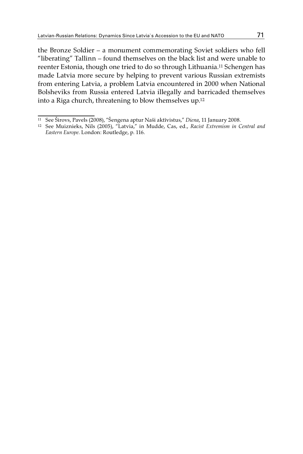the Bronze Soldier – a monument commemorating Soviet soldiers who fell "liberating" Tallinn – found themselves on the black list and were unable to reenter Estonia, though one tried to do so through Lithuania.11 Schengen has made Latvia more secure by helping to prevent various Russian extremists from entering Latvia, a problem Latvia encountered in 2000 when National Bolsheviks from Russia entered Latvia illegally and barricaded themselves into a Riga church, threatening to blow themselves up.12

<sup>11</sup> See Širovs, Pavels (2008), "Šengena aptur Naši aktīvistus," *Diena*, 11 January 2008. 12 See Muiznieks, Nils (2005), "Latvia," in Mudde, Cas, ed., *Racist Extremism in Central and Eastern Europe*. London: Routledge, p. 116.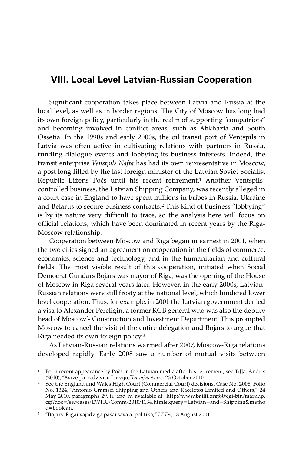## **VIII. Local Level Latvian-Russian Cooperation**

Significant cooperation takes place between Latvia and Russia at the local level, as well as in border regions. The City of Moscow has long had its own foreign policy, particularly in the realm of supporting "compatriots" and becoming involved in conflict areas, such as Abkhazia and South Ossetia. In the 1990s and early 2000s, the oil transit port of Ventspils in Latvia was often active in cultivating relations with partners in Russia, funding dialogue events and lobbying its business interests. Indeed, the transit enterprise *Venstpils Nafta* has had its own representative in Moscow, a post long filled by the last foreign minister of the Latvian Soviet Socialist Republic Eižens Počs until his recent retirement.1 Another Ventspilscontrolled business, the Latvian Shipping Company, was recently alleged in a court case in England to have spent millions in bribes in Russia, Ukraine and Belarus to secure business contracts.2 This kind of business "lobbying" is by its nature very difficult to trace, so the analysis here will focus on official relations, which have been dominated in recent years by the Riga-Moscow relationship.

Cooperation between Moscow and Riga began in earnest in 2001, when the two cities signed an agreement on cooperation in the fields of commerce, economics, science and technology, and in the humanitarian and cultural fields. The most visible result of this cooperation, initiated when Social Democrat Gundars Bojārs was mayor of Riga, was the opening of the House of Moscow in Riga several years later. However, in the early 2000s, Latvian-Russian relations were still frosty at the national level, which hindered lower level cooperation. Thus, for example, in 2001 the Latvian government denied a visa to Alexander Pereligin, a former KGB general who was also the deputy head of Moscow's Construction and Investment Department. This prompted Moscow to cancel the visit of the entire delegation and Bojārs to argue that Riga needed its own foreign policy.3

As Latvian-Russian relations warmed after 2007, Moscow-Riga relations developed rapidly. Early 2008 saw a number of mutual visits between

<sup>&</sup>lt;sup>1</sup> For a recent appearance by Počs in the Latvian media after his retirement, see Tiļļa, Andris (2010), "Avīze pārredz visu Latviju, "Latvijas Avīze, 23 October 2010.

<sup>&</sup>lt;sup>2</sup> See the England and Wales High Court (Commercial Court) decisions, Case No. 2008, Folio No. 1324, "Antonio Gramsci Shipping and Others and Raceletos Limited and Others," 24 May 2010, paragraphs 29, ii. and iv, available at http://www.bailii.org:80/cgi-bin/markup. cgi?doc=/ew/cases/EWHC/Comm/2010/1134.html&query=Latvian+and+Shipping&metho d=boolean.

<sup>3 &</sup>quot;Bojārs: Rīgai vajadzīga pašai sava ārpolitika," *LETA*, 18 August 2001.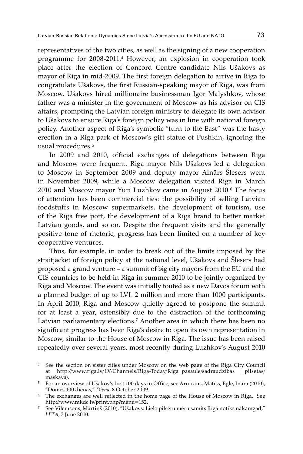representatives of the two cities, as well as the signing of a new cooperation programme for 2008-2011.4 However, an explosion in cooperation took place after the election of Concord Centre candidate Nils Ušakovs as mayor of Riga in mid-2009. The first foreign delegation to arrive in Riga to congratulate Ušakovs, the first Russian-speaking mayor of Riga, was from Moscow. Ušakovs hired millionaire businessman Igor Malyshkov, whose father was a minister in the government of Moscow as his advisor on CIS affairs, prompting the Latvian foreign ministry to delegate its own advisor to Ušakovs to ensure Riga's foreign policy was in line with national foreign policy. Another aspect of Riga's symbolic "turn to the East" was the hasty erection in a Riga park of Moscow's gift statue of Pushkin, ignoring the usual procedures.5

In 2009 and 2010, official exchanges of delegations between Riga and Moscow were frequent. Riga mayor Nils Ušakovs led a delegation to Moscow in September 2009 and deputy mayor Ainārs Šlesers went in November 2009, while a Moscow delegation visited Riga in March 2010 and Moscow mayor Yuri Luzhkov came in August 2010.6 The focus of attention has been commercial ties: the possibility of selling Latvian foodstuffs in Moscow supermarkets, the development of tourism, use of the Riga free port, the development of a Riga brand to better market Latvian goods, and so on. Despite the frequent visits and the generally positive tone of rhetoric, progress has been limited on a number of key cooperative ventures.

Thus, for example, in order to break out of the limits imposed by the straitjacket of foreign policy at the national level, Ušakovs and Šlesers had proposed a grand venture – a summit of big city mayors from the EU and the CIS countries to be held in Riga in summer 2010 to be jointly organized by Riga and Moscow. The event was initially touted as a new Davos forum with a planned budget of up to LVL 2 million and more than 1000 participants. In April 2010, Riga and Moscow quietly agreed to postpone the summit for at least a year, ostensibly due to the distraction of the forthcoming Latvian parliamentary elections.<sup>7</sup> Another area in which there has been no significant progress has been Riga's desire to open its own representation in Moscow, similar to the House of Moscow in Riga. The issue has been raised repeatedly over several years, most recently during Luzhkov's August 2010

<sup>4</sup> See the section on sister cities under Moscow on the web page of the Riga City Council at http://www.riga.lv/LV/Channels/Riga-Today/Riga\_pasaule/sadraudzības \_pilsetas/ maskava/.

<sup>5</sup> For an overview of Ušakov's first 100 days in Office, see Arnicāns, Matīss, Egle, Ināra (2010),

<sup>&</sup>lt;sup>6</sup> The exchanges are well reflected in the home page of the House of Moscow in Riga. See http://www.mkdc.lv/print.php?menu=152.

<sup>7</sup> See Vilemsons, Mārtiņš (2010), "Ušakovs: Lielo pilsētu mēru samits Rīgā notiks nākamgad," *LETA*, 3 June 2010.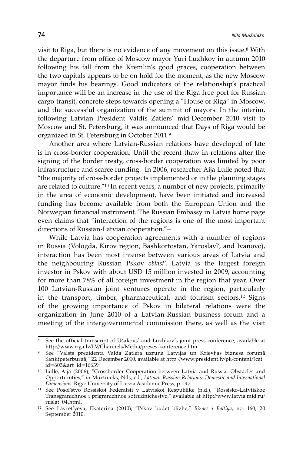visit to Riga, but there is no evidence of any movement on this issue.8 With the departure from office of Moscow mayor Yuri Luzhkov in autumn 2010 following his fall from the Kremlin's good graces, cooperation between the two capitals appears to be on hold for the moment, as the new Moscow mayor finds his bearings. Good indicators of the relationship's practical importance will be an increase in the use of the Riga free port for Russian cargo transit, concrete steps towards opening a "House of Riga" in Moscow, and the successful organization of the summit of mayors. In the interim, following Latvian President Valdis Zatlers' mid-December 2010 visit to Moscow and St. Petersburg, it was announced that Days of Riga would be organized in St. Petersburg in October 2011.9

Another area where Latvian-Russian relations have developed of late is in cross-border cooperation. Until the recent thaw in relations after the signing of the border treaty, cross-border cooperation was limited by poor infrastructure and scarce funding. In 2006, researcher Aija Lulle noted that "the majority of cross-border projects implemented or in the planning stages are related to culture."10 In recent years, a number of new projects, primarily in the area of economic development, have been initiated and increased funding has become available from both the European Union and the Norwegian financial instrument. The Russian Embassy in Latvia home page even claims that "interaction of the regions is one of the most important directions of Russian-Latvian cooperation."11

While Latvia has cooperation agreements with a number of regions in Russia (Vologda, Kirov region, Bashkortostan, Yaroslavl', and Ivanovo), interaction has been most intense between various areas of Latvia and the neighbouring Russian Pskov *oblast'*. Latvia is the largest foreign investor in Pskov with about USD 15 million invested in 2009, accounting for more than 78% of all foreign investment in the region that year. Over 100 Latvian-Russian joint ventures operate in the region, particularly in the transport, timber, pharmaceutical, and tourism sectors.12 Signs of the growing importance of Pskov in bilateral relations were the organization in June 2010 of a Latvian-Russian business forum and a meeting of the intergovernmental commission there, as well as the visit

<sup>8</sup> See the official transcript of Ušakovs' and Luzhkov's joint press conference, available at http://www.riga.lv/LV/Channels/Media/preses-konference.htm.

<sup>9</sup> See "Valsts prezidenta Valda Zatlera uzruna Latvijas un Krievijas biznesa forumā Sanktpeterburgā," 22 December 2010, available at http://www.president.lv/pk/content/?cat\_ id=603&art\_id=16639.

<sup>10</sup> Lulle, Aija (2006), "Crossborder Cooperation between Latvia and Russia: Obstacles and Opportunities," in Muižnieks, Nils, ed., *Latvian-Russian Relations: Domestic and International Dimensions.* Riga: University of Latvia Academic Press, p. 147.

<sup>11</sup> See Posol'stvo Rossiskoi Federatsii v Latviskoi Respublike (n.d.), "Rossisko-Latviiskoe Transgranichnoe i prigranichnoe sotrudnichestvo," available at http://www.latvia.mid.ru/ ruslat\_04.html. 12 See Lavret'yeva, Ekaterina (2010), "Pskov budet blizhe," *Biznes i Baltiya*, no. 160, 20

September 2010.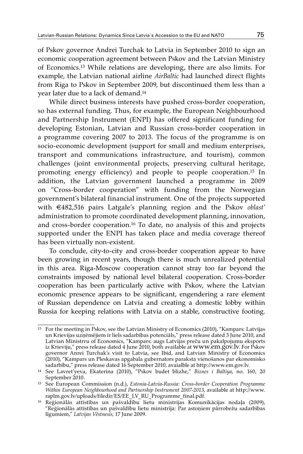of Pskov governor Andrei Turchak to Latvia in September 2010 to sign an economic cooperation agreement between Pskov and the Latvian Ministry of Economics.13 While relations are developing, there are also limits. For example, the Latvian national airline *AirBaltic* had launched direct flights from Riga to Pskov in September 2009, but discontinued them less than a year later due to a lack of demand.14

While direct business interests have pushed cross-border cooperation, so has external funding. Thus, for example, the European Neighbourhood and Partnership Instrument (ENPI) has offered significant funding for developing Estonian, Latvian and Russian cross-border cooperation in a programme covering 2007 to 2013. The focus of the programme is on socio-economic development (support for small and medium enterprises, transport and communications infrastructure, and tourism), common challenges (joint environmental projects, preserving cultural heritage, promoting energy efficiency) and people to people cooperation.15 In addition, the Latvian government launched a programme in 2009 on "Cross-border cooperation" with funding from the Norwegian government's bilateral financial instrument. One of the projects supported with €482,516 pairs Latgale's planning region and the Pskov *oblast'* administration to promote coordinated development planning, innovation, and cross-border cooperation.16 To date, no analysis of this and projects supported under the ENPI has taken place and media coverage thereof has been virtually non-existent.

To conclude, city-to-city and cross-border cooperation appear to have been growing in recent years, though there is much unrealized potential in this area. Riga-Moscow cooperation cannot stray too far beyond the constraints imposed by national level bilateral cooperation. Cross-border cooperation has been particularly active with Pskov, where the Latvian economic presence appears to be significant, engendering a rare element of Russian dependence on Latvia and creating a domestic lobby within Russia for keeping relations with Latvia on a stable, constructive footing.

<sup>13</sup> For the meeting in Pskov, see the Latvian Ministry of Economics (2010), "Kampars: Latvijas un Krievijas uzņēmējiem ir liels sadarbības potenciāls," press release dated 3 June 2010, and Latvian Ministrru of Economics, "Kampars: augs Latvijas preču un pakalpojumu eksports iz Krieviju," press release dated 4 June 2010, both available at www.em.gov.lv. For Pskov governor Anrei Turchak's visit to Latvia, see Ibid, and Latvian Ministry of Economics (2010), "Kampars un Pleskavas apgabala gubernators paraksta vienošanos par ekonomisko

<sup>&</sup>lt;sup>14</sup> See Lavret'yeva, Ekaterina (2010), "Pskov budet blizhe," Biznes i Baltiya, no. 160, 20 September 2010.

<sup>15</sup> See European Commission (n.d.), *Estonia-Latvia-Russia: Cross-border Cooperation Programme Within European Neighbourhood and Partnership Instrument 2007-2013,* available at http://www. raplm.gov.lv/uploads/filedir/ES/EE\_LV\_RU\_Programme\_final.pdf.

<sup>&</sup>lt;sup>16</sup> Reģionālās attīstības un pašvaldību lietu ministrijas Komunikācijas nodaļa (2009), "Reģionālās attīstības un pašvaldību lietu ministrija: Par astoņiem pārrobežu sadarbības līgumiem," *Latvijas Vēstnesis,* 17 June 2009.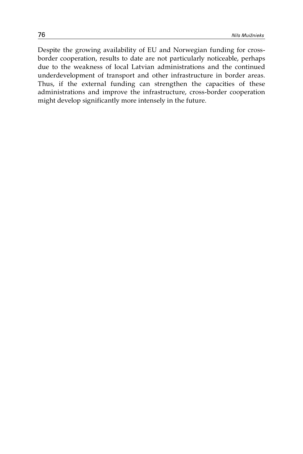Despite the growing availability of EU and Norwegian funding for crossborder cooperation, results to date are not particularly noticeable, perhaps due to the weakness of local Latvian administrations and the continued underdevelopment of transport and other infrastructure in border areas. Thus, if the external funding can strengthen the capacities of these administrations and improve the infrastructure, cross-border cooperation might develop significantly more intensely in the future.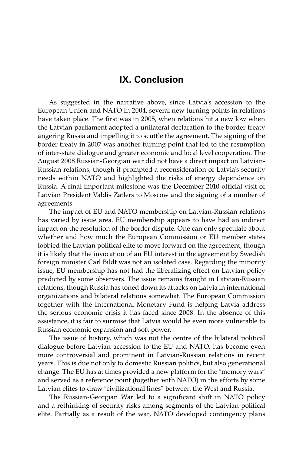# **IX. Conclusion**

As suggested in the narrative above, since Latvia's accession to the European Union and NATO in 2004, several new turning points in relations have taken place. The first was in 2005, when relations hit a new low when the Latvian parliament adopted a unilateral declaration to the border treaty angering Russia and impelling it to scuttle the agreement. The signing of the border treaty in 2007 was another turning point that led to the resumption of inter-state dialogue and greater economic and local level cooperation. The August 2008 Russian-Georgian war did not have a direct impact on Latvian-Russian relations, though it prompted a reconsideration of Latvia's security needs within NATO and highlighted the risks of energy dependence on Russia. A final important milestone was the December 2010 official visit of Latvian President Valdis Zatlers to Moscow and the signing of a number of agreements.

The impact of EU and NATO membership on Latvian-Russian relations has varied by issue area. EU membership appears to have had an indirect impact on the resolution of the border dispute. One can only speculate about whether and how much the European Commission or EU member states lobbied the Latvian political elite to move forward on the agreement, though it is likely that the invocation of an EU interest in the agreement by Swedish foreign minister Carl Bildt was not an isolated case. Regarding the minority issue, EU membership has not had the liberalizing effect on Latvian policy predicted by some observers. The issue remains fraught in Latvian-Russian relations, though Russia has toned down its attacks on Latvia in international organizations and bilateral relations somewhat. The European Commission together with the International Monetary Fund is helping Latvia address the serious economic crisis it has faced since 2008. In the absence of this assistance, it is fair to surmise that Latvia would be even more vulnerable to Russian economic expansion and soft power.

The issue of history, which was not the centre of the bilateral political dialogue before Latvian accession to the EU and NATO, has become even more controversial and prominent in Latvian-Russian relations in recent years. This is due not only to domestic Russian politics, but also generational change. The EU has at times provided a new platform for the "memory wars" and served as a reference point (together with NATO) in the efforts by some Latvian elites to draw "civilizational lines" between the West and Russia.

The Russian-Georgian War led to a significant shift in NATO policy and a rethinking of security risks among segments of the Latvian political elite. Partially as a result of the war, NATO developed contingency plans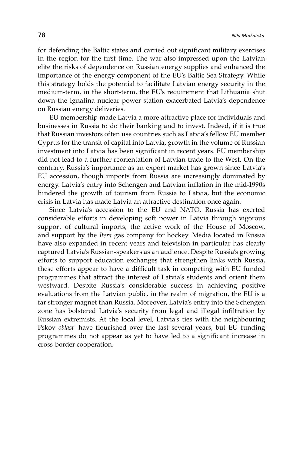for defending the Baltic states and carried out significant military exercises in the region for the first time. The war also impressed upon the Latvian elite the risks of dependence on Russian energy supplies and enhanced the importance of the energy component of the EU's Baltic Sea Strategy. While this strategy holds the potential to facilitate Latvian energy security in the medium-term, in the short-term, the EU's requirement that Lithuania shut down the Ignalina nuclear power station exacerbated Latvia's dependence on Russian energy deliveries.

EU membership made Latvia a more attractive place for individuals and businesses in Russia to do their banking and to invest. Indeed, if it is true that Russian investors often use countries such as Latvia's fellow EU member Cyprus for the transit of capital into Latvia, growth in the volume of Russian investment into Latvia has been significant in recent years. EU membership did not lead to a further reorientation of Latvian trade to the West. On the contrary, Russia's importance as an export market has grown since Latvia's EU accession, though imports from Russia are increasingly dominated by energy. Latvia's entry into Schengen and Latvian inflation in the mid-1990s hindered the growth of tourism from Russia to Latvia, but the economic crisis in Latvia has made Latvia an attractive destination once again.

Since Latvia's accession to the EU and NATO, Russia has exerted considerable efforts in developing soft power in Latvia through vigorous support of cultural imports, the active work of the House of Moscow, and support by the *Itera* gas company for hockey. Media located in Russia have also expanded in recent years and television in particular has clearly captured Latvia's Russian-speakers as an audience. Despite Russia's growing efforts to support education exchanges that strengthen links with Russia, these efforts appear to have a difficult task in competing with EU funded programmes that attract the interest of Latvia's students and orient them westward. Despite Russia's considerable success in achieving positive evaluations from the Latvian public, in the realm of migration, the EU is a far stronger magnet than Russia. Moreover, Latvia's entry into the Schengen zone has bolstered Latvia's security from legal and illegal infiltration by Russian extremists. At the local level, Latvia's ties with the neighbouring Pskov *oblast'* have flourished over the last several years, but EU funding programmes do not appear as yet to have led to a significant increase in cross-border cooperation.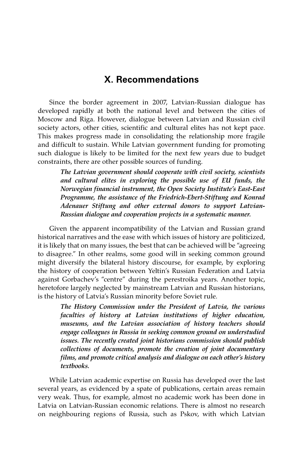# **X. Recommendations**

Since the border agreement in 2007, Latvian-Russian dialogue has developed rapidly at both the national level and between the cities of Moscow and Riga. However, dialogue between Latvian and Russian civil society actors, other cities, scientific and cultural elites has not kept pace. This makes progress made in consolidating the relationship more fragile and difficult to sustain. While Latvian government funding for promoting such dialogue is likely to be limited for the next few years due to budget constraints, there are other possible sources of funding.

*The Latvian government should cooperate with civil society, scientists and cultural elites in exploring the possible use of EU funds, the Norwegian financial instrument, the Open Society Institute's East-East Programme, the assistance of the Friedrich-Ebert-Stiftung and Konrad Adenauer Stiftung and other external donors to support Latvian-Russian dialogue and cooperation projects in a systematic manner.* 

Given the apparent incompatibility of the Latvian and Russian grand historical narratives and the ease with which issues of history are politicized, it is likely that on many issues, the best that can be achieved will be "agreeing to disagree." In other realms, some good will in seeking common ground might diversify the bilateral history discourse, for example, by exploring the history of cooperation between Yeltin's Russian Federation and Latvia against Gorbachev's "centre" during the perestroika years. Another topic, heretofore largely neglected by mainstream Latvian and Russian historians, is the history of Latvia's Russian minority before Soviet rule.

*The History Commission under the President of Latvia, the various faculties of history at Latvian institutions of higher education, museums, and the Latvian association of history teachers should engage colleagues in Russia in seeking common ground on understudied issues. The recently created joint historians commission should publish collections of documents, promote the creation of joint documentary films, and promote critical analysis and dialogue on each other's history textbooks.*

While Latvian academic expertise on Russia has developed over the last several years, as evidenced by a spate of publications, certain areas remain very weak. Thus, for example, almost no academic work has been done in Latvia on Latvian-Russian economic relations. There is almost no research on neighbouring regions of Russia, such as Pskov, with which Latvian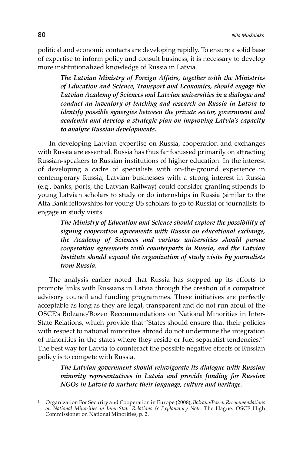political and economic contacts are developing rapidly. To ensure a solid base of expertise to inform policy and consult business, it is necessary to develop more institutionalized knowledge of Russia in Latvia.

> *The Latvian Ministry of Foreign Affairs, together with the Ministries of Education and Science, Transport and Economics, should engage the Latvian Academy of Sciences and Latvian universities in a dialogue and conduct an inventory of teaching and research on Russia in Latvia to identify possible synergies between the private sector, government and academia and develop a strategic plan on improving Latvia's capacity to analyze Russian developments.*

In developing Latvian expertise on Russia, cooperation and exchanges with Russia are essential. Russia has thus far focussed primarily on attracting Russian-speakers to Russian institutions of higher education. In the interest of developing a cadre of specialists with on-the-ground experience in contemporary Russia, Latvian businesses with a strong interest in Russia (e.g., banks, ports, the Latvian Railway) could consider granting stipends to young Latvian scholars to study or do internships in Russia (similar to the Alfa Bank fellowships for young US scholars to go to Russia) or journalists to engage in study visits.

*The Ministry of Education and Science should explore the possibility of signing cooperation agreements with Russia on educational exchange, the Academy of Sciences and various universities should pursue cooperation agreements with counterparts in Russia, and the Latvian Institute should expand the organization of study visits by journalists from Russia.*

The analysis earlier noted that Russia has stepped up its efforts to promote links with Russians in Latvia through the creation of a compatriot advisory council and funding programmes. These initiatives are perfectly acceptable as long as they are legal, transparent and do not run afoul of the OSCE's Bolzano/Bozen Recommendations on National Minorities in Inter-State Relations, which provide that "States should ensure that their policies with respect to national minorities abroad do not undermine the integration of minorities in the states where they reside or fuel separatist tendencies."1 The best way for Latvia to counteract the possible negative effects of Russian policy is to compete with Russia.

*The Latvian government should reinvigorate its dialogue with Russian minority representatives in Latvia and provide funding for Russian NGOs in Latvia to nurture their language, culture and heritage.* 

<sup>1</sup> Organization For Security and Cooperation in Europe (2008), *Bolzano/Bozen Recommendations on National Minorities in Inter-State Relations & Explanatory Note*. The Hague: OSCE High Commissioner on National Minorities, p. 2.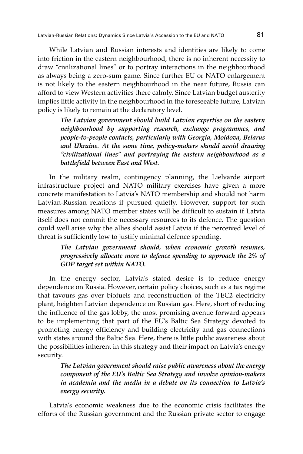While Latvian and Russian interests and identities are likely to come into friction in the eastern neighbourhood, there is no inherent necessity to draw "civilizational lines" or to portray interactions in the neighbourhood as always being a zero-sum game. Since further EU or NATO enlargement is not likely to the eastern neighbourhood in the near future, Russia can afford to view Western activities there calmly. Since Latvian budget austerity implies little activity in the neighbourhood in the foreseeable future, Latvian policy is likely to remain at the declaratory level.

*The Latvian government should build Latvian expertise on the eastern neighbourhood by supporting research, exchange programmes, and people-to-people contacts, particularly with Georgia, Moldova, Belarus and Ukraine. At the same time, policy-makers should avoid drawing "civilizational lines" and portraying the eastern neighbourhood as a battlefield between East and West.* 

In the military realm, contingency planning, the Lielvarde airport infrastructure project and NATO military exercises have given a more concrete manifestation to Latvia's NATO membership and should not harm Latvian-Russian relations if pursued quietly. However, support for such measures among NATO member states will be difficult to sustain if Latvia itself does not commit the necessary resources to its defence. The question could well arise why the allies should assist Latvia if the perceived level of threat is sufficiently low to justify minimal defence spending.

#### *The Latvian government should, when economic growth resumes, progressively allocate more to defence spending to approach the 2% of GDP target set within NATO.*

In the energy sector, Latvia's stated desire is to reduce energy dependence on Russia. However, certain policy choices, such as a tax regime that favours gas over biofuels and reconstruction of the TEC2 electricity plant, heighten Latvian dependence on Russian gas. Here, short of reducing the influence of the gas lobby, the most promising avenue forward appears to be implementing that part of the EU's Baltic Sea Strategy devoted to promoting energy efficiency and building electricity and gas connections with states around the Baltic Sea. Here, there is little public awareness about the possibilities inherent in this strategy and their impact on Latvia's energy security.

> *The Latvian government should raise public awareness about the energy component of the EU's Baltic Sea Strategy and involve opinion-makers in academia and the media in a debate on its connection to Latvia's energy security.*

Latvia's economic weakness due to the economic crisis facilitates the efforts of the Russian government and the Russian private sector to engage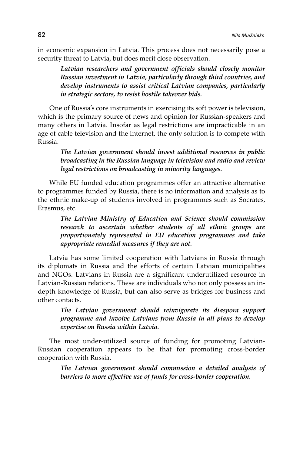in economic expansion in Latvia. This process does not necessarily pose a security threat to Latvia, but does merit close observation.

*Latvian researchers and government officials should closely monitor Russian investment in Latvia, particularly through third countries, and develop instruments to assist critical Latvian companies, particularly in strategic sectors, to resist hostile takeover bids.*

One of Russia's core instruments in exercising its soft power is television, which is the primary source of news and opinion for Russian-speakers and many others in Latvia. Insofar as legal restrictions are impracticable in an age of cable television and the internet, the only solution is to compete with Russia.

#### *The Latvian government should invest additional resources in public broadcasting in the Russian language in television and radio and review legal restrictions on broadcasting in minority languages.*

While EU funded education programmes offer an attractive alternative to programmes funded by Russia, there is no information and analysis as to the ethnic make-up of students involved in programmes such as Socrates, Erasmus, etc.

*The Latvian Ministry of Education and Science should commission research to ascertain whether students of all ethnic groups are proportionately represented in EU education programmes and take appropriate remedial measures if they are not.* 

Latvia has some limited cooperation with Latvians in Russia through its diplomats in Russia and the efforts of certain Latvian municipalities and NGOs. Latvians in Russia are a significant underutilized resource in Latvian-Russian relations. These are individuals who not only possess an indepth knowledge of Russia, but can also serve as bridges for business and other contacts.

*The Latvian government should reinvigorate its diaspora support programme and involve Latvians from Russia in all plans to develop expertise on Russia within Latvia.* 

The most under-utilized source of funding for promoting Latvian-Russian cooperation appears to be that for promoting cross-border cooperation with Russia.

> *The Latvian government should commission a detailed analysis of barriers to more effective use of funds for cross-border cooperation.*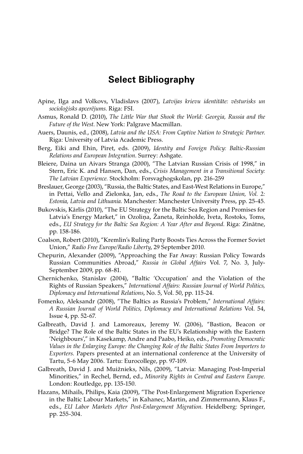### **Select Bibliography**

- Apine, Ilga and Volkovs, Vladislavs (2007), *Latvijas krievu identitāte: vēsturisks un socioloģisks apcerējums*. Riga: FSI.
- Asmus, Ronald D. (2010), *The Little War that Shook the World: Georgia, Russia and the Future of the West*. New York: Palgrave Macmillan.
- Auers, Daunis, ed., (2008), *Latvia and the USA: From Captive Nation to Strategic Partner*. Riga: University of Latvia Academic Press.
- Berg, Eiki and Ehin, Piret, eds. (2009), *Identity and Foreign Policy: Baltic-Russian Relations and European Integration*. Surrey: Ashgate.
- Bleiere, Daina un Aivars Stranga (2000), "The Latvian Russian Crisis of 1998," in Stern, Eric K. and Hansen, Dan, eds., *Crisis Management in a Transitional Society: The Latvian Experience.* Stockholm: Forsvaghogskolan, pp. 216-259
- Breslauer, George (2003), "Russia, the Baltic States, and East-West Relations in Europe," in Pettai, Vello and Zielonka, Jan, eds., *The Road to the European Union, Vol. 2: Estonia, Latvia and Lithuania*. Manchester: Manchester University Press, pp. 25-45.
- Bukovskis, Kārlis (2010), "The EU Strategy for the Baltic Sea Region and Promises for Latvia's Energy Market," in Ozoliņa, Žaneta, Reinholde, Iveta, Rostoks, Toms, eds., *EU Strategy for the Baltic Sea Region: A Year After and Beyond*. Riga: Zinātne, pp. 158-186.
- Coalson, Robert (2010), "Kremlin's Ruling Party Boosts Ties Across the Former Soviet Union," *Radio Free Europe/Radio Liberty*, 29 September 2010.
- Chepurin, Alexander (2009), "Approaching the Far Away: Russian Policy Towards Russian Communities Abroad," *Russia in Global Affairs* Vol. 7, No. 3, July-September 2009, pp. 68-81.
- Chernichenko, Stanislav (2004), "Baltic 'Occupation' and the Violation of the Rights of Russian Speakers," *International Affairs: Russian Journal of World Politics, Diplomacy and International Relations*, No. 5, Vol. 50, pp. 115-24.
- Fomenko, Aleksandr (2008), "The Baltics as Russia's Problem," *International Affairs: A Russian Journal of World Politics, Diplomacy and International Relations* Vol. 54, Issue 4, pp. 52-67.
- Galbreath, David J. and Lamoreaux, Jeremy W. (2006), "Bastion, Beacon or Bridge? The Role of the Baltic States in the EU's Relationship with the Eastern 'Neighbours'," in Kasekamp, Andre and Paabo, Heiko, eds., *Promoting Democratic Values in the Enlarging Europe: the Changing Role of the Baltic States From Importers to Exporters*. Papers presented at an international conference at the University of Tartu, 5-6 May 2006. Tartu: Eurocollege, pp. 97-109.
- Galbreath, David J. and Muižnieks, Nils, (2009), "Latvia: Managing Post-Imperial Minorities," in Rechel, Bernd, ed., *Minority Rights in Central and Eastern Europe*. London: Routledge, pp. 135-150.
- Hazans, Mihails, Philips, Kaia (2009), "The Post-Enlargement Migration Experience in the Baltic Labour Markets," in Kahanec, Martin, and Zimmermann, Klaus F., eds., *EU Labor Markets After Post-Enlargement Migration*. Heidelberg: Springer, pp. 255-304.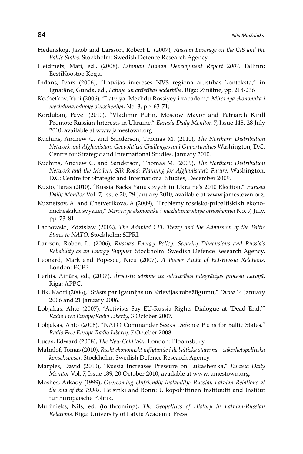- Hedenskog, Jakob and Larsson, Robert L. (2007), *Russian Leverage on the CIS and the Baltic States*. Stockholm: Swedish Defence Research Agency.
- Heidmets, Mati, ed., (2008), *Estonian Human Development Report 2007*. Tallinn: EestiKoostoo Kogu.
- Indāns, Ivars (2006), "Latvijas intereses NVS reģionā attīstības kontekstā," in Ignatāne, Gunda, ed., *Latvija un attīstības sadarbība*. Rīga: Zinātne, pp. 218-236
- Kochetkov, Yuri (2006), "Latviya: Mezhdu Rossiyey i zapadom," *Mirovaya ekonomika i mezhdunarodnoye otnosheniya*, No. 3, pp. 63-71;
- Korduban, Pavel (2010), "Vladimir Putin, Moscow Mayor and Patriarch Kirill Promote Russian Interests in Ukraine," *Eurasia Daily Monitor,* 7, Issue 145, 28 July 2010, available at www.jamestown.org.
- Kuchins, Andrew C. and Sanderson, Thomas M. (2010), *The Northern Distribution Network and Afghanistan: Geopolitical Challenges and Opportunities* Washington, D.C: Centre for Strategic and International Studies, January 2010.
- Kuchins, Andrew C. and Sanderson, Thomas M. (2009), *The Northern Distribution Network and the Modern Silk Road: Planning for Afghanistan's Future.* Washington, D.C: Centre for Strategic and International Studies, December 2009.
- Kuzio, Taras (2010), "Russia Backs Yanukovych in Ukraine's 2010 Election," *Eurasia Daily Monitor* Vol. 7, Issue 20, 29 January 2010, available at www.jamestown.org.
- Kuznetsov, A. and Chetverikova, A (2009), "Problemy rossisko-pribaltiskikh ekonomicheskikh svyazei," *Mirovaya ekonomika i mezhdunarodnye otnosheniya* No. 7, July, pp. 73-81
- Lachowski, Zdzislaw (2002), *The Adapted CFE Treaty and the Admission of the Baltic States to NATO*. Stockholm: SIPRI.
- Larrson, Robert L. (2006), *Russia's Energy Policy: Security Dimensions and Russia's Reliability as an Energy Supplier.* Stockholm: Swedish Defence Research Agency.
- Leonard, Mark and Popescu, Nicu (2007), *A Power Audit of EU-Russia Relations*. London: ECFR.
- Lerhis, Ainārs, ed., (2007), *Ārvalstu ietekme uz sabiedrības integrācijas procesu Latvijā*. Riga: APPC.
- Liik, Kadri (2006), "Stāsts par Igaunijas un Krievijas robežlīgumu," *Diena* 14 January 2006 and 21 January 2006.
- Lobjakas, Ahto (2007), "Activists Say EU-Russia Rights Dialogue at 'Dead End,'" *Radio Free Europe/Radio Liberty*, 3 October 2007.
- Lobjakas, Ahto (2008), "NATO Commander Seeks Defence Plans for Baltic States," *Radio Free Europe Radio Liberty*, 7 October 2008.
- Lucas, Edward (2008), *The New Cold War*. London: Bloomsbury.
- Malmlof, Tomas (2010), *Ryskt ekonomiskt inflytande i de baltiska staterna säkerhetspolitiska konsekvenser.* Stockholm: Swedish Defence Research Agency.
- Marples, David (2010), "Russia Increases Pressure on Lukashenka," *Eurasia Daily Monitor* Vol. 7, Issue 189, 20 October 2010, available at www.jamestown.org.
- Moshes, Arkady (1999), *Overcoming Unfriendly Instability: Russian-Latvian Relations at the end of the 1990s*. Helsinki and Bonn: Ulkopoliittinen Instituutti and Institut fur Europaische Politik.
- Muižnieks, Nils, ed. (forthcoming), *The Geopolitics of History in Latvian-Russian Relations.* Riga: University of Latvia Academic Press.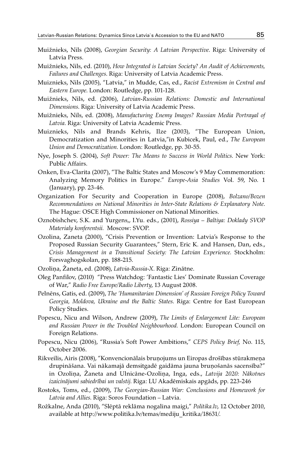- Muižnieks, Nils (2008), *Georgian Security: A Latvian Perspective*. Riga: University of Latvia Press.
- Muižnieks, Nils, ed. (2010), *How Integrated is Latvian Society? An Audit of Achievements, Failures and Challenges*. Riga: University of Latvia Academic Press.
- Muiznieks, Nils (2005), "Latvia," in Mudde, Cas, ed., *Racist Extremism in Central and Eastern Europe*. London: Routledge, pp. 101-128.
- Muižnieks, Nils, ed. (2006), *Latvian-Russian Relations: Domestic and International Dimensions*. Riga: University of Latvia Academic Press.
- Muižnieks, Nils, ed. (2008), *Manufacturing Enemy Images? Russian Media Portrayal of Latvia*. Riga: University of Latvia Academic Press.
- Muiznieks, Nils and Brands Kehris, Ilze (2003), "The European Union, Democratization and Minorities in Latvia,"in Kubicek, Paul, ed., *The European Union and Democratization*. London: Routledge, pp. 30-55.
- Nye, Joseph S. (2004), *Soft Power: The Means to Success in World Politics*. New York: Public Affairs.
- Onken, Eva-Clarita (2007), "The Baltic States and Moscow's 9 May Commemoration: Analyzing Memory Politics in Europe." *Europe-Asia Studies* Vol. 59, No. 1 (January), pp. 23-46.
- Organization For Security and Cooperation in Europe (2008), *Bolzano/Bozen Recommendations on National Minorities in Inter-State Relations & Explanatory Note*. The Hague: OSCE High Commissioner on National Minorities.
- Oznobishchev, S.K. and Yurgens,, I.Yu. eds., (2001), *Rossiya Baltiya: Doklady SVOP Materialy konferentsii.* Moscow: SVOP.
- Ozolina, Zaneta (2000), "Crisis Prevention or Invention: Latvia's Response to the Proposed Russian Security Guarantees," Stern, Eric K. and Hansen, Dan, eds., *Crisis Management in a Transitional Society: The Latvian Experience.* Stockholm: Forsvaghogskolan, pp. 188-215.
- Ozoliņa, Žaneta, ed. (2008), *Latvia-Russia-X*. Riga: Zinātne.
- Oleg Panfilov, (2010) "Press Watchdog: 'Fantastic Lies' Dominate Russian Coverage of War," *Radio Free Europe/Radio Liberty*, 13 August 2008.
- Pelnēns, Gatis, ed. (2009), *The 'Humanitarian Dimension' of Russian Foreign Policy Toward Georgia, Moldova, Ukraine and the Baltic States*. Riga: Centre for East European Policy Studies.
- Popescu, Nicu and Wilson, Andrew (2009), *The Limits of Enlargement Lite: European and Russian Power in the Troubled Neighbourhood.* London: European Council on Foreign Relations.
- Popescu, Nicu (2006), "Russia's Soft Power Ambitions," *CEPS Policy Brief,* No. 115, October 2006.
- Rikveilis, Airis (2008), "Konvencionālais bruņojums un Eiropas drošības stūrakmeņa drupināšana. Vai nākamajā demsitgadē gaidāma jauna bruņošanās sacensība?" in Ozoliņa, Žaneta and Ulnicāne-Ozoliņa, Inga, eds., *Latvija 2020: Nākotnes izaicinājumi sabiedrībai un valstij*. Riga: LU Akadēmiskais apgāds, pp. 223-246
- Rostoks, Toms, ed., (2009), *The Georgian-Russian War: Conclusions and Homework for Latvia and Allies*. Riga: Soros Foundation – Latvia.
- Rožkalne, Anda (2010), "Slēptā reklāma nogalina maigi," *Politika.lv*, 12 October 2010, available at http://www.politika.lv/temas/mediju\_kritika/18631/.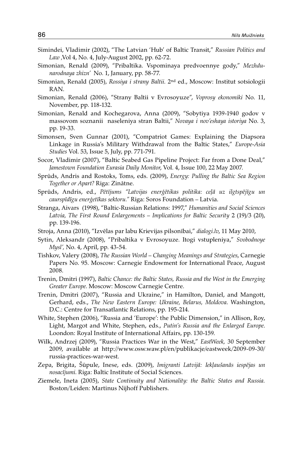- Simindei, Vladimir (2002), "The Latvian 'Hub' of Baltic Transit," *Russian Politics and Law ,*Vol 4, No. 4, July-August 2002, pp. 62-72.
- Simonian, Renald (2009), "Pribaltika. Vspominaya predvoennye gody," *Mezhdunarodnaya zhizn'* No. 1, January, pp. 58-77.
- Simonian, Renald (2005), *Rossiya i strany Baltii*. 2nd ed., Moscow: Institut sotsiologii RAN.
- Simonian, Renald (2006), "Strany Baltii v Evrosoyuze", *Voprosy ekonomiki* No. 11, November, pp. 118-132.
- Simonian, Renald and Kochegarova, Anna (2009), "Sobytiya 1939-1940 godov v massovom soznanii naseleniya stran Baltii," *Novaya i nov'eshaya istoriya* No. 3, pp. 19-33.
- Simonsen, Sven Gunnar (2001), "Compatriot Games: Explaining the Diapsora Linkage in Russia's Military Withdrawal from the Baltic States," *Europe-Asia Studies* Vol. 53, Issue 5, July, pp. 771-791.
- Socor, Vladimir (2007), "Baltic Seabed Gas Pipeline Project: Far from a Done Deal," *Jamestown Foundation Eurasia Daily Monitor*, Vol. 4, Issue 100, 22 May 2007.
- Sprūds, Andris and Rostoks, Toms, eds. (2009), *Energy: Pulling the Baltic Sea Region Together or Apart?* Riga: Zinātne.
- Sprūds, Andris, ed., *Pētījums "Latvijas enerģētikas politika: ceļā uz ilgtspējīgu un caurspīdīgu enerģetīkas sektoru."* Riga: Soros Foundation – Latvia.
- Stranga, Aivars (1998), "Baltic-Russian Relations: 1997," *Humanities and Social Sciences Latvia, The First Round Enlargements – Implications for Baltic Security* 2 (19)/3 (20), pp. 139-196.
- Stroja, Anna (2010), "Izvēlas par labu Krievijas pilsonībai," *dialogi.lv*, 11 May 2010,
- Sytin, Aleksandr (2008), "Pribaltika v Evrosoyuze. Itogi vstupleniya," *Svobodnoye Mysl',* No. 4, April, pp. 43-54.
- Tishkov, Valery (2008), *The Russian World Changing Meanings and Strategies*, Carnegie Papers No. 95. Moscow: Carnegie Endowment for International Peace, August 2008.
- Trenin, Dmitri (1997), *Baltic Chance: the Baltic States, Russia and the West in the Emerging Greater Europe*. Moscow: Moscow Carnegie Centre.
- Trenin, Dmitri (2007), "Russia and Ukraine," in Hamilton, Daniel, and Mangott, Gerhard, eds., *The New Eastern Europe: Ukraine, Belarus, Moldova*. Washington, D.C.: Centre for Transatlantic Relations, pp. 195-214.
- White, Stephen (2006), "Russia and 'Europe': the Public Dimension," in Allison, Roy, Light, Margot and White, Stephen, eds., *Putin's Russia and the Enlarged Europe*. Loondon: Royal Institute of International Affairs, pp. 130-159.
- Wilk, Andrzej (2009), "Russia Practices War in the West," *EastWeek,* 30 September 2009, available at http://www.osw.waw.pl/en/publikacje/eastweek/2009-09-30/ russia-practices-war-west.
- Zepa, Brigita, Šūpule, Inese, eds. (2009), *Imigranti Latvijā: Iekļaušanās iespējas un nosacījumi*. Riga: Baltic Institute of Social Sciences.
- Ziemele, Ineta (2005), *State Continuity and Nationality: the Baltic States and Russia.*  Boston/Leiden: Martinus Nijhoff Publishers.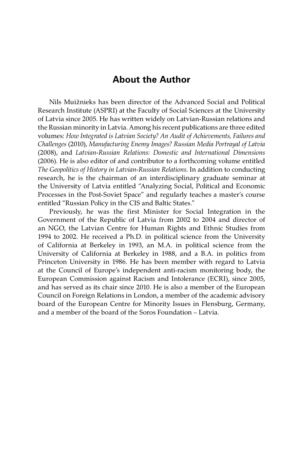## **About the Author**

Nils Muižnieks has been director of the Advanced Social and Political Research Institute (ASPRI) at the Faculty of Social Sciences at the University of Latvia since 2005. He has written widely on Latvian-Russian relations and the Russian minority in Latvia. Among his recent publications are three edited volumes: *How Integrated is Latvian Society? An Audit of Achievements, Failures and Challenges* (2010), *Manufacturing Enemy Images? Russian Media Portrayal of Latvia*  (2008), and *Latvian-Russian Relations: Domestic and International Dimensions*  (2006). He is also editor of and contributor to a forthcoming volume entitled *The Geopolitics of History in Latvian-Russian Relations*. In addition to conducting research, he is the chairman of an interdisciplinary graduate seminar at the University of Latvia entitled "Analyzing Social, Political and Economic Processes in the Post-Soviet Space" and regularly teaches a master's course entitled "Russian Policy in the CIS and Baltic States."

Previously, he was the first Minister for Social Integration in the Government of the Republic of Latvia from 2002 to 2004 and director of an NGO, the Latvian Centre for Human Rights and Ethnic Studies from 1994 to 2002. He received a Ph.D. in political science from the University of California at Berkeley in 1993, an M.A. in political science from the University of California at Berkeley in 1988, and a B.A. in politics from Princeton University in 1986. He has been member with regard to Latvia at the Council of Europe's independent anti-racism monitoring body, the European Commission against Racism and Intolerance (ECRI), since 2005, and has served as its chair since 2010. He is also a member of the European Council on Foreign Relations in London, a member of the academic advisory board of the European Centre for Minority Issues in Flensburg, Germany, and a member of the board of the Soros Foundation – Latvia.